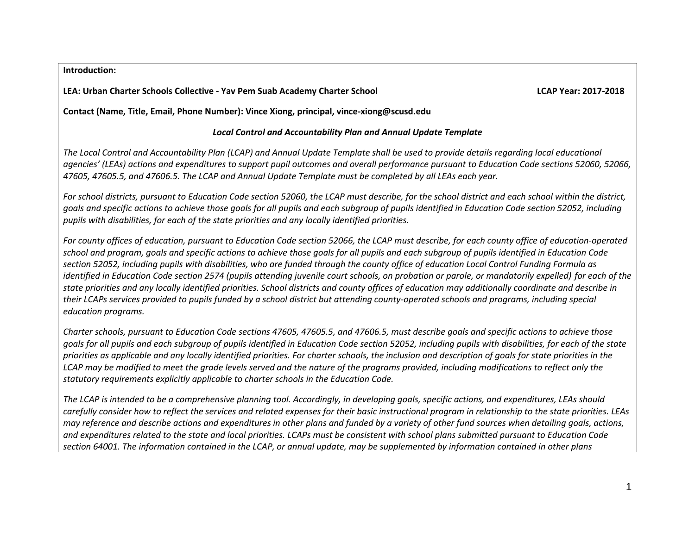#### **Introduction:**

### **LEA: Urban Charter Schools Collective - Yav Pem Suab Academy Charter School LCAP Year: 2017-2018**

**Contact (Name, Title, Email, Phone Number): Vince Xiong, principal, vince-xiong@scusd.edu** 

### *Local Control and Accountability Plan and Annual Update Template*

*The Local Control and Accountability Plan (LCAP) and Annual Update Template shall be used to provide details regarding local educational agencies' (LEAs) actions and expenditures to support pupil outcomes and overall performance pursuant to Education Code sections 52060, 52066, 47605, 47605.5, and 47606.5. The LCAP and Annual Update Template must be completed by all LEAs each year.*

*For school districts, pursuant to Education Code section 52060, the LCAP must describe, for the school district and each school within the district, goals and specific actions to achieve those goals for all pupils and each subgroup of pupils identified in Education Code section 52052, including pupils with disabilities, for each of the state priorities and any locally identified priorities.*

*For county offices of education, pursuant to Education Code section 52066, the LCAP must describe, for each county office of education-operated school and program, goals and specific actions to achieve those goals for all pupils and each subgroup of pupils identified in Education Code section 52052, including pupils with disabilities, who are funded through the county office of education Local Control Funding Formula as identified in Education Code section 2574 (pupils attending juvenile court schools, on probation or parole, or mandatorily expelled) for each of the state priorities and any locally identified priorities. School districts and county offices of education may additionally coordinate and describe in their LCAPs services provided to pupils funded by a school district but attending county-operated schools and programs, including special education programs.*

*Charter schools, pursuant to Education Code sections 47605, 47605.5, and 47606.5, must describe goals and specific actions to achieve those goals for all pupils and each subgroup of pupils identified in Education Code section 52052, including pupils with disabilities, for each of the state priorities as applicable and any locally identified priorities. For charter schools, the inclusion and description of goals for state priorities in the LCAP may be modified to meet the grade levels served and the nature of the programs provided, including modifications to reflect only the statutory requirements explicitly applicable to charter schools in the Education Code.*

*The LCAP is intended to be a comprehensive planning tool. Accordingly, in developing goals, specific actions, and expenditures, LEAs should carefully consider how to reflect the services and related expenses for their basic instructional program in relationship to the state priorities. LEAs may reference and describe actions and expenditures in other plans and funded by a variety of other fund sources when detailing goals, actions, and expenditures related to the state and local priorities. LCAPs must be consistent with school plans submitted pursuant to Education Code section 64001. The information contained in the LCAP, or annual update, may be supplemented by information contained in other plans*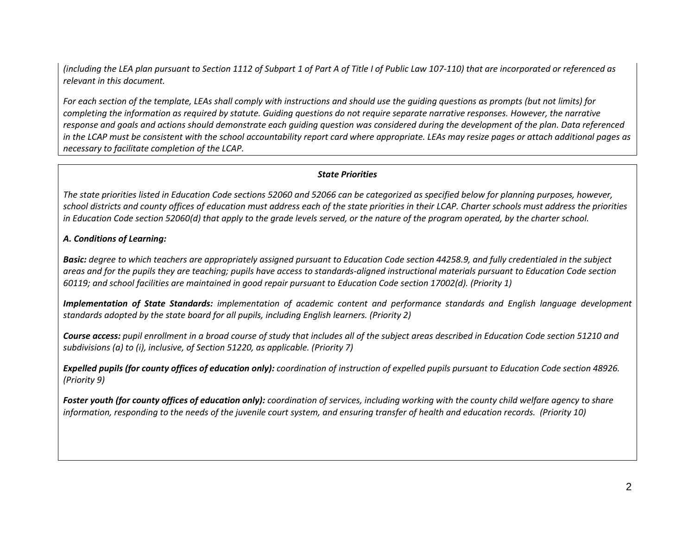*(including the LEA plan pursuant to Section 1112 of Subpart 1 of Part A of Title I of Public Law 107-110) that are incorporated or referenced as relevant in this document.* 

*For each section of the template, LEAs shall comply with instructions and should use the guiding questions as prompts (but not limits) for completing the information as required by statute. Guiding questions do not require separate narrative responses. However, the narrative response and goals and actions should demonstrate each guiding question was considered during the development of the plan. Data referenced in the LCAP must be consistent with the school accountability report card where appropriate. LEAs may resize pages or attach additional pages as necessary to facilitate completion of the LCAP.*

### *State Priorities*

*The state priorities listed in Education Code sections 52060 and 52066 can be categorized as specified below for planning purposes, however, school districts and county offices of education must address each of the state priorities in their LCAP. Charter schools must address the priorities in Education Code section 52060(d) that apply to the grade levels served, or the nature of the program operated, by the charter school.*

### *A. Conditions of Learning:*

*Basic: degree to which teachers are appropriately assigned pursuant to Education Code section 44258.9, and fully credentialed in the subject areas and for the pupils they are teaching; pupils have access to standards-aligned instructional materials pursuant to Education Code section 60119; and school facilities are maintained in good repair pursuant to Education Code section 17002(d). (Priority 1)*

*Implementation of State Standards: implementation of academic content and performance standards and English language development standards adopted by the state board for all pupils, including English learners. (Priority 2)*

*Course access: pupil enrollment in a broad course of study that includes all of the subject areas described in Education Code section 51210 and subdivisions (a) to (i), inclusive, of Section 51220, as applicable. (Priority 7)*

*Expelled pupils (for county offices of education only): coordination of instruction of expelled pupils pursuant to Education Code section 48926. (Priority 9)*

*Foster youth (for county offices of education only): coordination of services, including working with the county child welfare agency to share information, responding to the needs of the juvenile court system, and ensuring transfer of health and education records. (Priority 10)*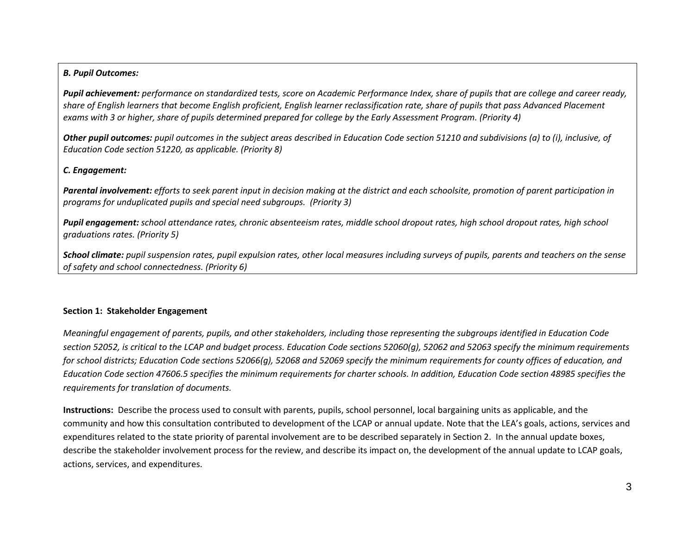#### *B. Pupil Outcomes:*

*Pupil achievement: performance on standardized tests, score on Academic Performance Index, share of pupils that are college and career ready, share of English learners that become English proficient, English learner reclassification rate, share of pupils that pass Advanced Placement exams with 3 or higher, share of pupils determined prepared for college by the Early Assessment Program. (Priority 4)*

*Other pupil outcomes: pupil outcomes in the subject areas described in Education Code section 51210 and subdivisions (a) to (i), inclusive, of Education Code section 51220, as applicable. (Priority 8)* 

#### *C. Engagement:*

*Parental involvement: efforts to seek parent input in decision making at the district and each schoolsite, promotion of parent participation in programs for unduplicated pupils and special need subgroups. (Priority 3)*

*Pupil engagement: school attendance rates, chronic absenteeism rates, middle school dropout rates, high school dropout rates, high school graduations rates. (Priority 5)*

*School climate: pupil suspension rates, pupil expulsion rates, other local measures including surveys of pupils, parents and teachers on the sense of safety and school connectedness. (Priority 6)*

#### **Section 1: Stakeholder Engagement**

*Meaningful engagement of parents, pupils, and other stakeholders, including those representing the subgroups identified in Education Code section 52052, is critical to the LCAP and budget process. Education Code sections 52060(g), 52062 and 52063 specify the minimum requirements for school districts; Education Code sections 52066(g), 52068 and 52069 specify the minimum requirements for county offices of education, and Education Code section 47606.5 specifies the minimum requirements for charter schools. In addition, Education Code section 48985 specifies the requirements for translation of documents.*

**Instructions:** Describe the process used to consult with parents, pupils, school personnel, local bargaining units as applicable, and the community and how this consultation contributed to development of the LCAP or annual update. Note that the LEA's goals, actions, services and expenditures related to the state priority of parental involvement are to be described separately in Section 2. In the annual update boxes, describe the stakeholder involvement process for the review, and describe its impact on, the development of the annual update to LCAP goals, actions, services, and expenditures.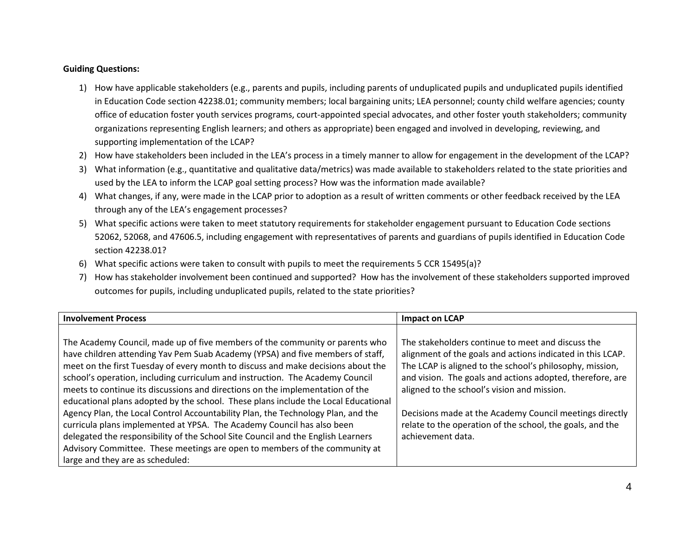#### **Guiding Questions:**

- 1) How have applicable stakeholders (e.g., parents and pupils, including parents of unduplicated pupils and unduplicated pupils identified in Education Code section 42238.01; community members; local bargaining units; LEA personnel; county child welfare agencies; county office of education foster youth services programs, court-appointed special advocates, and other foster youth stakeholders; community organizations representing English learners; and others as appropriate) been engaged and involved in developing, reviewing, and supporting implementation of the LCAP?
- 2) How have stakeholders been included in the LEA's process in a timely manner to allow for engagement in the development of the LCAP?
- 3) What information (e.g., quantitative and qualitative data/metrics) was made available to stakeholders related to the state priorities and used by the LEA to inform the LCAP goal setting process? How was the information made available?
- 4) What changes, if any, were made in the LCAP prior to adoption as a result of written comments or other feedback received by the LEA through any of the LEA's engagement processes?
- 5) What specific actions were taken to meet statutory requirements for stakeholder engagement pursuant to Education Code sections 52062, 52068, and 47606.5, including engagement with representatives of parents and guardians of pupils identified in Education Code section 42238.01?
- 6) What specific actions were taken to consult with pupils to meet the requirements 5 CCR 15495(a)?
- 7) How has stakeholder involvement been continued and supported? How has the involvement of these stakeholders supported improved outcomes for pupils, including unduplicated pupils, related to the state priorities?

| <b>Involvement Process</b>                                                         | <b>Impact on LCAP</b>                                      |
|------------------------------------------------------------------------------------|------------------------------------------------------------|
|                                                                                    |                                                            |
| The Academy Council, made up of five members of the community or parents who       | The stakeholders continue to meet and discuss the          |
| have children attending Yav Pem Suab Academy (YPSA) and five members of staff,     | alignment of the goals and actions indicated in this LCAP. |
| meet on the first Tuesday of every month to discuss and make decisions about the   | The LCAP is aligned to the school's philosophy, mission,   |
| school's operation, including curriculum and instruction. The Academy Council      | and vision. The goals and actions adopted, therefore, are  |
| meets to continue its discussions and directions on the implementation of the      | aligned to the school's vision and mission.                |
| educational plans adopted by the school. These plans include the Local Educational |                                                            |
| Agency Plan, the Local Control Accountability Plan, the Technology Plan, and the   | Decisions made at the Academy Council meetings directly    |
| curricula plans implemented at YPSA. The Academy Council has also been             | relate to the operation of the school, the goals, and the  |
| delegated the responsibility of the School Site Council and the English Learners   | achievement data.                                          |
| Advisory Committee. These meetings are open to members of the community at         |                                                            |
| large and they are as scheduled:                                                   |                                                            |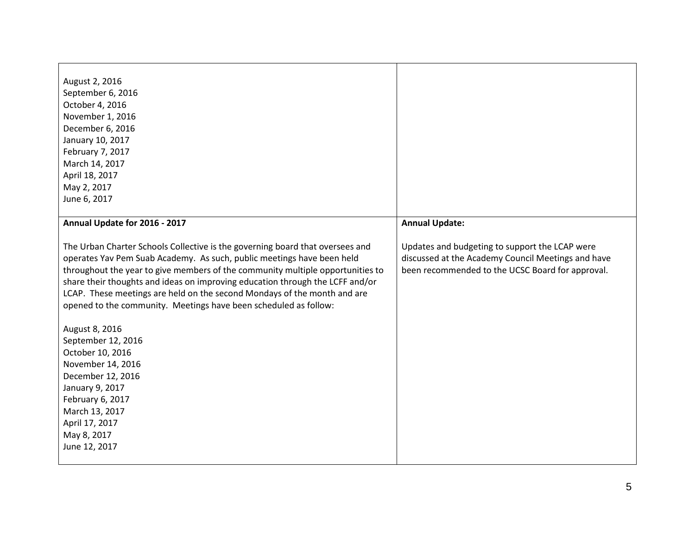| August 2, 2016<br>September 6, 2016<br>October 4, 2016<br>November 1, 2016<br>December 6, 2016<br>January 10, 2017<br>February 7, 2017<br>March 14, 2017<br>April 18, 2017<br>May 2, 2017<br>June 6, 2017                                                                                                                                                                                                                                                                                                                                                                                                                                                                                   |                                                                                                                                                          |
|---------------------------------------------------------------------------------------------------------------------------------------------------------------------------------------------------------------------------------------------------------------------------------------------------------------------------------------------------------------------------------------------------------------------------------------------------------------------------------------------------------------------------------------------------------------------------------------------------------------------------------------------------------------------------------------------|----------------------------------------------------------------------------------------------------------------------------------------------------------|
| Annual Update for 2016 - 2017                                                                                                                                                                                                                                                                                                                                                                                                                                                                                                                                                                                                                                                               | <b>Annual Update:</b>                                                                                                                                    |
| The Urban Charter Schools Collective is the governing board that oversees and<br>operates Yav Pem Suab Academy. As such, public meetings have been held<br>throughout the year to give members of the community multiple opportunities to<br>share their thoughts and ideas on improving education through the LCFF and/or<br>LCAP. These meetings are held on the second Mondays of the month and are<br>opened to the community. Meetings have been scheduled as follow:<br>August 8, 2016<br>September 12, 2016<br>October 10, 2016<br>November 14, 2016<br>December 12, 2016<br>January 9, 2017<br>February 6, 2017<br>March 13, 2017<br>April 17, 2017<br>May 8, 2017<br>June 12, 2017 | Updates and budgeting to support the LCAP were<br>discussed at the Academy Council Meetings and have<br>been recommended to the UCSC Board for approval. |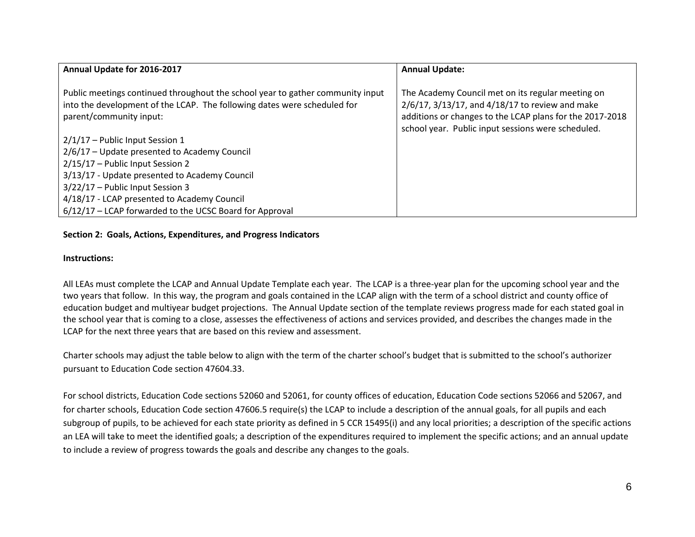| Annual Update for 2016-2017                                                                                                                                                           | <b>Annual Update:</b>                                                                                                                                                                                                          |
|---------------------------------------------------------------------------------------------------------------------------------------------------------------------------------------|--------------------------------------------------------------------------------------------------------------------------------------------------------------------------------------------------------------------------------|
| Public meetings continued throughout the school year to gather community input<br>into the development of the LCAP. The following dates were scheduled for<br>parent/community input: | The Academy Council met on its regular meeting on<br>$2/6/17$ , $3/13/17$ , and $4/18/17$ to review and make<br>additions or changes to the LCAP plans for the 2017-2018<br>school year. Public input sessions were scheduled. |
| 2/1/17 - Public Input Session 1                                                                                                                                                       |                                                                                                                                                                                                                                |
| 2/6/17 - Update presented to Academy Council                                                                                                                                          |                                                                                                                                                                                                                                |
| 2/15/17 - Public Input Session 2                                                                                                                                                      |                                                                                                                                                                                                                                |
| 3/13/17 - Update presented to Academy Council                                                                                                                                         |                                                                                                                                                                                                                                |
| 3/22/17 - Public Input Session 3                                                                                                                                                      |                                                                                                                                                                                                                                |
| 4/18/17 - LCAP presented to Academy Council                                                                                                                                           |                                                                                                                                                                                                                                |
| 6/12/17 - LCAP forwarded to the UCSC Board for Approval                                                                                                                               |                                                                                                                                                                                                                                |

#### **Section 2: Goals, Actions, Expenditures, and Progress Indicators**

#### **Instructions:**

All LEAs must complete the LCAP and Annual Update Template each year. The LCAP is a three-year plan for the upcoming school year and the two years that follow. In this way, the program and goals contained in the LCAP align with the term of a school district and county office of education budget and multiyear budget projections. The Annual Update section of the template reviews progress made for each stated goal in the school year that is coming to a close, assesses the effectiveness of actions and services provided, and describes the changes made in the LCAP for the next three years that are based on this review and assessment.

Charter schools may adjust the table below to align with the term of the charter school's budget that is submitted to the school's authorizer pursuant to Education Code section 47604.33.

For school districts, Education Code sections 52060 and 52061, for county offices of education, Education Code sections 52066 and 52067, and for charter schools, Education Code section 47606.5 require(s) the LCAP to include a description of the annual goals, for all pupils and each subgroup of pupils, to be achieved for each state priority as defined in 5 CCR 15495(i) and any local priorities; a description of the specific actions an LEA will take to meet the identified goals; a description of the expenditures required to implement the specific actions; and an annual update to include a review of progress towards the goals and describe any changes to the goals.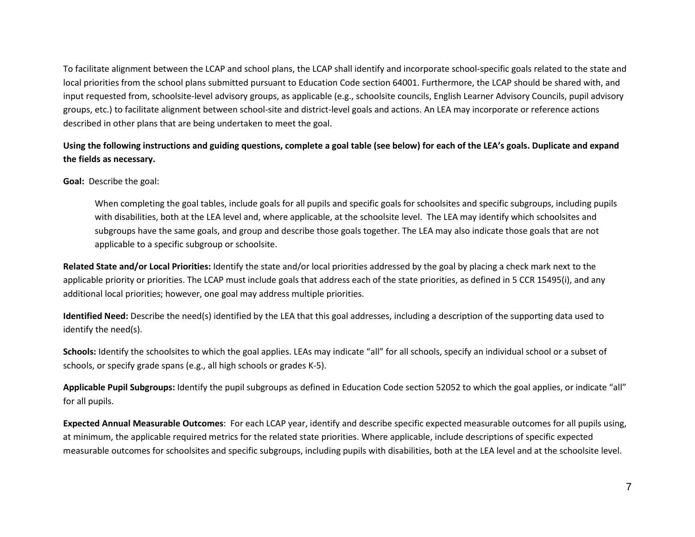To facilitate alignment between the LCAP and school plans, the LCAP shall identify and incorporate school-specific goals related to the state and local priorities from the school plans submitted pursuant to Education Code section 64001. Furthermore, the LCAP should be shared with, and input requested from, schoolsite-level advisory groups, as applicable (e.g., schoolsite councils, English Learner Advisory Councils, pupil advisory groups, etc.) to facilitate alignment between school-site and district-level goals and actions. An LEA may incorporate or reference actions described in other plans that are being undertaken to meet the goal.

# **Using the following instructions and guiding questions, complete a goal table (see below) for each of the LEA's goals. Duplicate and expand the fields as necessary.**

**Goal:** Describe the goal:

When completing the goal tables, include goals for all pupils and specific goals for schoolsites and specific subgroups, including pupils with disabilities, both at the LEA level and, where applicable, at the schoolsite level. The LEA may identify which schoolsites and subgroups have the same goals, and group and describe those goals together. The LEA may also indicate those goals that are not applicable to a specific subgroup or schoolsite.

**Related State and/or Local Priorities:** Identify the state and/or local priorities addressed by the goal by placing a check mark next to the applicable priority or priorities. The LCAP must include goals that address each of the state priorities, as defined in 5 CCR 15495(i), and any additional local priorities; however, one goal may address multiple priorities.

**Identified Need:** Describe the need(s) identified by the LEA that this goal addresses, including a description of the supporting data used to identify the need(s).

**Schools:** Identify the schoolsites to which the goal applies. LEAs may indicate "all" for all schools, specify an individual school or a subset of schools, or specify grade spans (e.g., all high schools or grades K-5).

**Applicable Pupil Subgroups:** Identify the pupil subgroups as defined in Education Code section 52052 to which the goal applies, or indicate "all" for all pupils.

**Expected Annual Measurable Outcomes**: For each LCAP year, identify and describe specific expected measurable outcomes for all pupils using, at minimum, the applicable required metrics for the related state priorities. Where applicable, include descriptions of specific expected measurable outcomes for schoolsites and specific subgroups, including pupils with disabilities, both at the LEA level and at the schoolsite level.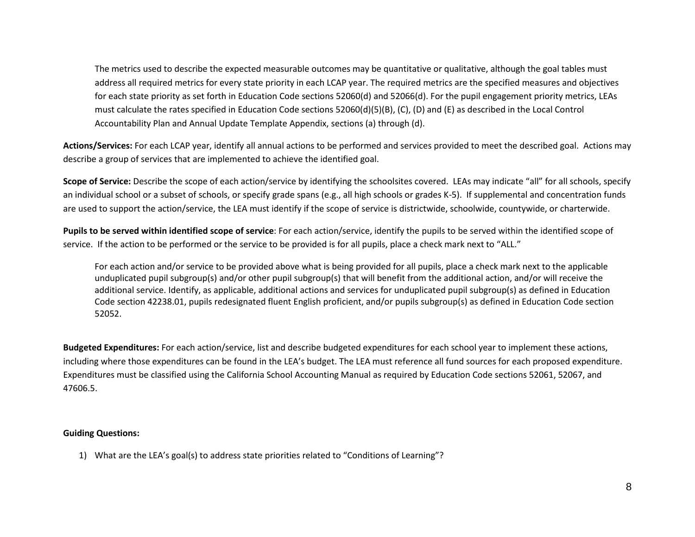The metrics used to describe the expected measurable outcomes may be quantitative or qualitative, although the goal tables must address all required metrics for every state priority in each LCAP year. The required metrics are the specified measures and objectives for each state priority as set forth in Education Code sections 52060(d) and 52066(d). For the pupil engagement priority metrics, LEAs must calculate the rates specified in Education Code sections 52060(d)(5)(B), (C), (D) and (E) as described in the Local Control Accountability Plan and Annual Update Template Appendix, sections (a) through (d).

**Actions/Services:** For each LCAP year, identify all annual actions to be performed and services provided to meet the described goal. Actions may describe a group of services that are implemented to achieve the identified goal.

**Scope of Service:** Describe the scope of each action/service by identifying the schoolsites covered. LEAs may indicate "all" for all schools, specify an individual school or a subset of schools, or specify grade spans (e.g., all high schools or grades K-5). If supplemental and concentration funds are used to support the action/service, the LEA must identify if the scope of service is districtwide, schoolwide, countywide, or charterwide.

**Pupils to be served within identified scope of service**: For each action/service, identify the pupils to be served within the identified scope of service. If the action to be performed or the service to be provided is for all pupils, place a check mark next to "ALL."

For each action and/or service to be provided above what is being provided for all pupils, place a check mark next to the applicable unduplicated pupil subgroup(s) and/or other pupil subgroup(s) that will benefit from the additional action, and/or will receive the additional service. Identify, as applicable, additional actions and services for unduplicated pupil subgroup(s) as defined in Education Code section 42238.01, pupils redesignated fluent English proficient, and/or pupils subgroup(s) as defined in Education Code section 52052.

**Budgeted Expenditures:** For each action/service, list and describe budgeted expenditures for each school year to implement these actions, including where those expenditures can be found in the LEA's budget. The LEA must reference all fund sources for each proposed expenditure. Expenditures must be classified using the California School Accounting Manual as required by Education Code sections 52061, 52067, and 47606.5.

#### **Guiding Questions:**

1) What are the LEA's goal(s) to address state priorities related to "Conditions of Learning"?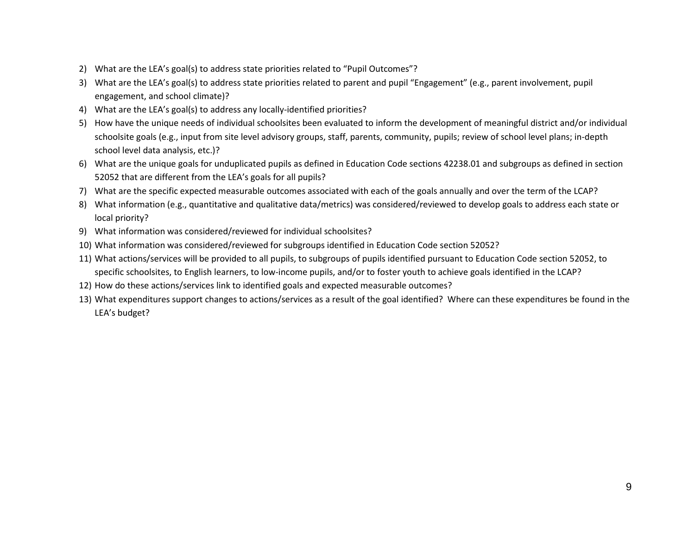- 2) What are the LEA's goal(s) to address state priorities related to "Pupil Outcomes"?
- 3) What are the LEA's goal(s) to address state priorities related to parent and pupil "Engagement" (e.g., parent involvement, pupil engagement, and school climate)?
- 4) What are the LEA's goal(s) to address any locally-identified priorities?
- 5) How have the unique needs of individual schoolsites been evaluated to inform the development of meaningful district and/or individual schoolsite goals (e.g., input from site level advisory groups, staff, parents, community, pupils; review of school level plans; in-depth school level data analysis, etc.)?
- 6) What are the unique goals for unduplicated pupils as defined in Education Code sections 42238.01 and subgroups as defined in section 52052 that are different from the LEA's goals for all pupils?
- 7) What are the specific expected measurable outcomes associated with each of the goals annually and over the term of the LCAP?
- 8) What information (e.g., quantitative and qualitative data/metrics) was considered/reviewed to develop goals to address each state or local priority?
- 9) What information was considered/reviewed for individual schoolsites?
- 10) What information was considered/reviewed for subgroups identified in Education Code section 52052?
- 11) What actions/services will be provided to all pupils, to subgroups of pupils identified pursuant to Education Code section 52052, to specific schoolsites, to English learners, to low-income pupils, and/or to foster youth to achieve goals identified in the LCAP?
- 12) How do these actions/services link to identified goals and expected measurable outcomes?
- 13) What expenditures support changes to actions/services as a result of the goal identified? Where can these expenditures be found in the LEA's budget?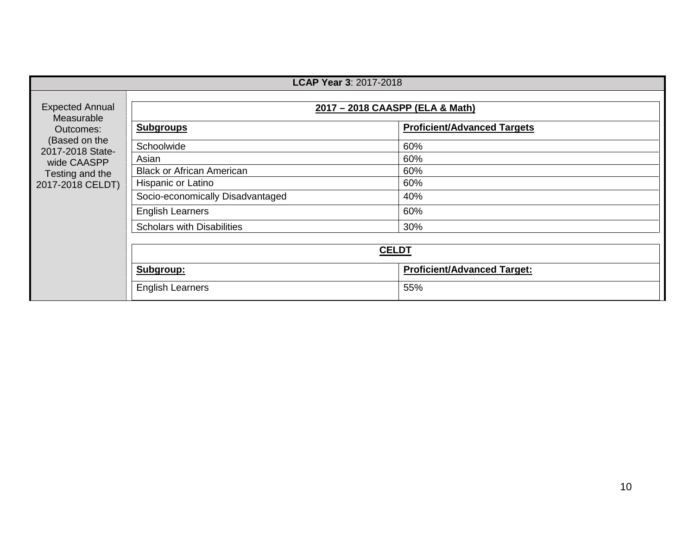|                                      | <b>LCAP Year 3: 2017-2018</b>     |                                    |  |  |
|--------------------------------------|-----------------------------------|------------------------------------|--|--|
| <b>Expected Annual</b><br>Measurable | 2017 - 2018 CAASPP (ELA & Math)   |                                    |  |  |
| Outcomes:                            | <b>Subgroups</b>                  | <b>Proficient/Advanced Targets</b> |  |  |
| (Based on the<br>2017-2018 State-    | Schoolwide                        | 60%                                |  |  |
| wide CAASPP                          | Asian                             | 60%                                |  |  |
| Testing and the                      | <b>Black or African American</b>  | 60%                                |  |  |
| 2017-2018 CELDT)                     | Hispanic or Latino                | 60%                                |  |  |
|                                      | Socio-economically Disadvantaged  | 40%                                |  |  |
|                                      | <b>English Learners</b>           | 60%                                |  |  |
|                                      | <b>Scholars with Disabilities</b> | 30%                                |  |  |
|                                      |                                   |                                    |  |  |
|                                      | <b>CELDT</b>                      |                                    |  |  |
|                                      | Subgroup:                         | <b>Proficient/Advanced Target:</b> |  |  |
|                                      | <b>English Learners</b>           | 55%                                |  |  |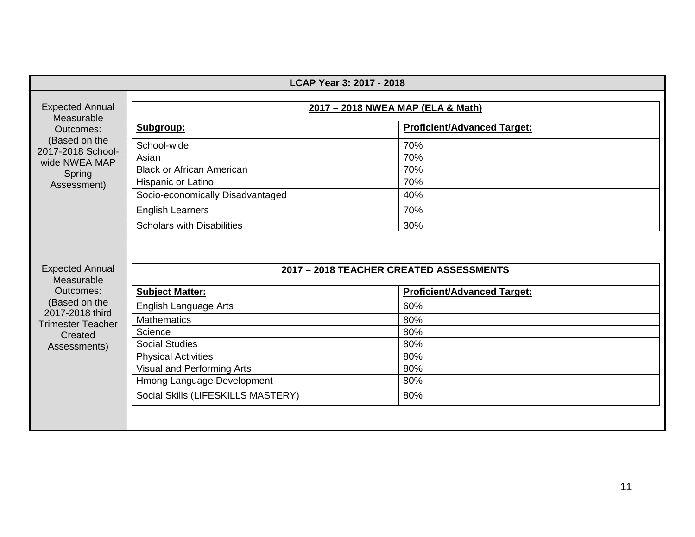| LCAP Year 3: 2017 - 2018                    |                                         |                                    |  |
|---------------------------------------------|-----------------------------------------|------------------------------------|--|
| <b>Expected Annual</b><br>Measurable        | 2017 - 2018 NWEA MAP (ELA & Math)       |                                    |  |
| Outcomes:                                   | Subgroup:                               | <b>Proficient/Advanced Target:</b> |  |
| (Based on the                               | School-wide                             | 70%                                |  |
| 2017-2018 School-<br>wide NWEA MAP          | Asian                                   | 70%                                |  |
| Spring                                      | <b>Black or African American</b>        | 70%                                |  |
| Assessment)                                 | Hispanic or Latino                      | 70%                                |  |
|                                             | Socio-economically Disadvantaged        | 40%                                |  |
|                                             | <b>English Learners</b>                 | 70%                                |  |
|                                             | <b>Scholars with Disabilities</b>       | 30%                                |  |
| <b>Expected Annual</b><br>Measurable        | 2017 - 2018 TEACHER CREATED ASSESSMENTS |                                    |  |
| Outcomes:                                   | <b>Subject Matter:</b>                  | <b>Proficient/Advanced Target:</b> |  |
| (Based on the                               | English Language Arts                   | 60%                                |  |
| 2017-2018 third<br><b>Trimester Teacher</b> | <b>Mathematics</b>                      | 80%                                |  |
| Created                                     | Science                                 | 80%                                |  |
| Assessments)                                | <b>Social Studies</b>                   | 80%                                |  |
|                                             | <b>Physical Activities</b>              | 80%                                |  |
|                                             | Visual and Performing Arts              | 80%                                |  |
|                                             | Hmong Language Development              | 80%                                |  |
|                                             | Social Skills (LIFESKILLS MASTERY)      | 80%                                |  |
|                                             |                                         |                                    |  |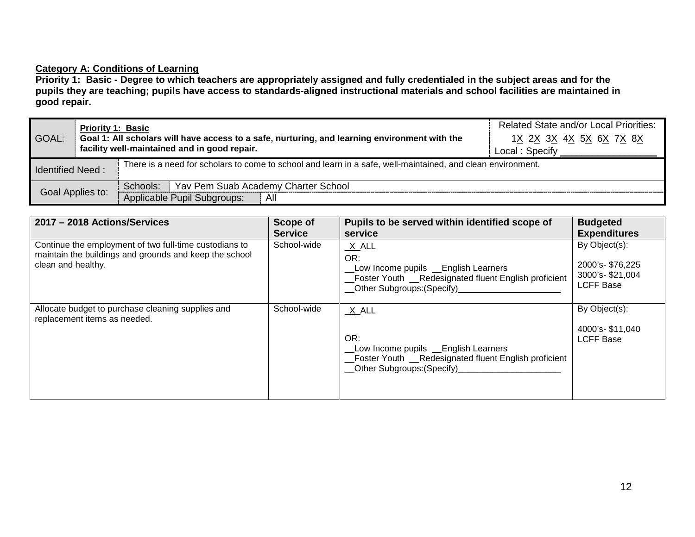# **Category A: Conditions of Learning**

**Priority 1: Basic - Degree to which teachers are appropriately assigned and fully credentialed in the subject areas and for the pupils they are teaching; pupils have access to standards-aligned instructional materials and school facilities are maintained in good repair.**

| GOAL:                   | <b>Priority 1: Basic</b><br>Goal 1: All scholars will have access to a safe, nurturing, and learning environment with the<br>facility well-maintained and in good repair. |                                                                                                             | <b>Related State and/or Local Priorities:</b><br>1 <u>X 2X 3X 4X 5X 6X 7X 8X</u><br>Local : Specify |
|-------------------------|---------------------------------------------------------------------------------------------------------------------------------------------------------------------------|-------------------------------------------------------------------------------------------------------------|-----------------------------------------------------------------------------------------------------|
| <b>Identified Need:</b> |                                                                                                                                                                           | There is a need for scholars to come to school and learn in a safe, well-maintained, and clean environment. |                                                                                                     |
| Goal Applies to:        |                                                                                                                                                                           | Schools: Yav Pem Suab Academy Charter School                                                                |                                                                                                     |
|                         |                                                                                                                                                                           | Applicable Pupil Subgroups:<br>All                                                                          |                                                                                                     |

| 2017 - 2018 Actions/Services                                                                                                           | Scope of<br><b>Service</b> | Pupils to be served within identified scope of<br>service                                                                                       | <b>Budgeted</b><br><b>Expenditures</b>                                  |
|----------------------------------------------------------------------------------------------------------------------------------------|----------------------------|-------------------------------------------------------------------------------------------------------------------------------------------------|-------------------------------------------------------------------------|
| Continue the employment of two full-time custodians to<br>maintain the buildings and grounds and keep the school<br>clean and healthy. | School-wide                | $X$ $ALL$<br>OR:<br>Low Income pupils _ English Learners<br>Foster Youth __Redesignated fluent English proficient<br>Other Subgroups: (Specify) | By Object(s):<br>2000's-\$76,225<br>3000's-\$21,004<br><b>LCFF Base</b> |
| Allocate budget to purchase cleaning supplies and<br>replacement items as needed.                                                      | School-wide                | X ALL<br>OR:<br>Low Income pupils _ English Learners<br>Foster Youth _Redesignated fluent English proficient<br>Other Subgroups: (Specify)      | By Object(s):<br>4000's-\$11,040<br><b>LCFF Base</b>                    |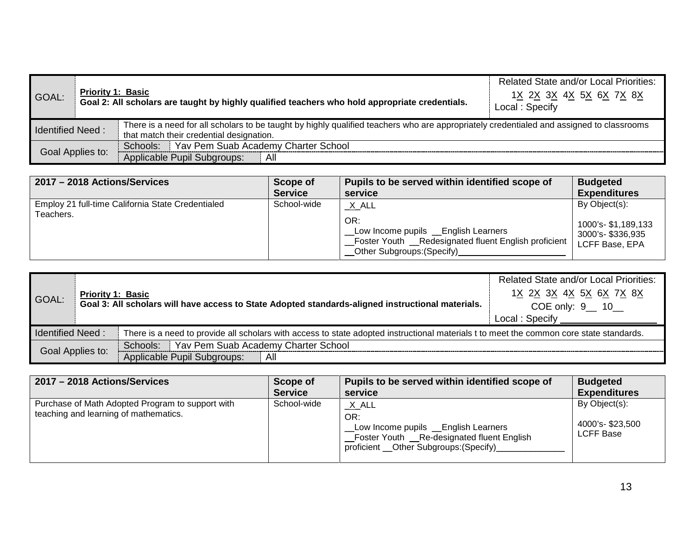| GOAL:                   | <b>Priority 1: Basic</b><br>Goal 2: All scholars are taught by highly qualified teachers who hold appropriate credentials. |                                                                                                                                                                                      | <b>Related State and/or Local Priorities:</b><br>1 <u>X 2X 3X 4X 5X 6X 7X 8X</u><br>Local: Specify |
|-------------------------|----------------------------------------------------------------------------------------------------------------------------|--------------------------------------------------------------------------------------------------------------------------------------------------------------------------------------|----------------------------------------------------------------------------------------------------|
| <b>Identified Need:</b> |                                                                                                                            | There is a need for all scholars to be taught by highly qualified teachers who are appropriately credentialed and assigned to classrooms<br>that match their credential designation. |                                                                                                    |
| Goal Applies to:        |                                                                                                                            | Schools: Yav Pem Suab Academy Charter School                                                                                                                                         |                                                                                                    |
|                         |                                                                                                                            | Applicable Pupil Subgroups:<br>All                                                                                                                                                   |                                                                                                    |

| 2017 - 2018 Actions/Services                                   | <b>Scope of</b> | Pupils to be served within identified scope of                                                                                                | <b>Budgeted</b>                                                             |
|----------------------------------------------------------------|-----------------|-----------------------------------------------------------------------------------------------------------------------------------------------|-----------------------------------------------------------------------------|
|                                                                | <b>Service</b>  | service                                                                                                                                       | <b>Expenditures</b>                                                         |
| Employ 21 full-time California State Credentialed<br>Teachers. | School-wide     | $X$ ALL<br>OR:<br>Low Income pupils _ English Learners<br>Foster Youth __Redesignated fluent English proficient<br>Other Subgroups: (Specify) | By Object(s):<br>1000's- \$1,189,133<br>3000's- \$336,935<br>LCFF Base, EPA |

| GOAL:                   | <b>Priority 1: Basic</b> | Goal 3: All scholars will have access to State Adopted standards-aligned instructional materials.                                       | <b>Related State and/or Local Priorities:</b><br>1 <u>X 2X 3X 4X 5X 6X 7X 8X</u><br>COE only: 9 __ 10__<br>Local: Specify |
|-------------------------|--------------------------|-----------------------------------------------------------------------------------------------------------------------------------------|---------------------------------------------------------------------------------------------------------------------------|
| <b>Identified Need:</b> |                          | There is a need to provide all scholars with access to state adopted instructional materials t to meet the common core state standards. |                                                                                                                           |
| Goal Applies to:        |                          | Schools: Yav Pem Suab Academy Charter School                                                                                            |                                                                                                                           |
|                         |                          | Applicable Pupil Subgroups:<br>All                                                                                                      |                                                                                                                           |

| 2017 - 2018 Actions/Services                                                              | Scope of       | Pupils to be served within identified scope of                                                                                                  | <b>Budgeted</b>                                      |
|-------------------------------------------------------------------------------------------|----------------|-------------------------------------------------------------------------------------------------------------------------------------------------|------------------------------------------------------|
|                                                                                           | <b>Service</b> | service                                                                                                                                         | <b>Expenditures</b>                                  |
| Purchase of Math Adopted Program to support with<br>teaching and learning of mathematics. | School-wide    | X ALL<br>OR:<br>Low Income pupils __English Learners<br>_Foster Youth __Re-designated fluent English<br>proficient __Other Subgroups: (Specify) | By Object(s):<br>4000's-\$23,500<br><b>LCFF Base</b> |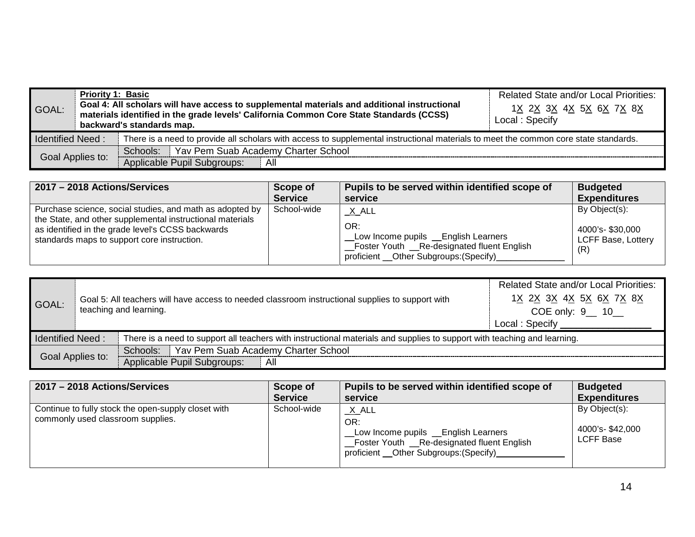| GOAL:                   | <b>Priority 1: Basic</b><br>Goal 4: All scholars will have access to supplemental materials and additional instructional<br>materials identified in the grade levels' California Common Core State Standards (CCSS)<br>backward's standards map. |                                                                                                                                      | <b>Related State and/or Local Priorities:</b><br>1 <u>X 2X 3X 4X 5X 6X 7X 8X</u><br>Local: Specify |
|-------------------------|--------------------------------------------------------------------------------------------------------------------------------------------------------------------------------------------------------------------------------------------------|--------------------------------------------------------------------------------------------------------------------------------------|----------------------------------------------------------------------------------------------------|
| <b>Identified Need:</b> |                                                                                                                                                                                                                                                  | There is a need to provide all scholars with access to supplemental instructional materials to meet the common core state standards. |                                                                                                    |
| Goal Applies to:        |                                                                                                                                                                                                                                                  | Schools: Yav Pem Suab Academy Charter School                                                                                         |                                                                                                    |
|                         |                                                                                                                                                                                                                                                  | Applicable Pupil Subgroups:<br>- All                                                                                                 |                                                                                                    |

| 2017 - 2018 Actions/Services                                                                                                                                                                                              | Scope of       | Pupils to be served within identified scope of                                                                                                   | <b>Budgeted</b>                                               |
|---------------------------------------------------------------------------------------------------------------------------------------------------------------------------------------------------------------------------|----------------|--------------------------------------------------------------------------------------------------------------------------------------------------|---------------------------------------------------------------|
|                                                                                                                                                                                                                           | <b>Service</b> | service                                                                                                                                          | <b>Expenditures</b>                                           |
| Purchase science, social studies, and math as adopted by<br>the State, and other supplemental instructional materials<br>as identified in the grade level's CCSS backwards<br>standards maps to support core instruction. | School-wide    | X ALL<br>OR:<br>Low Income pupils _ English Learners<br>_Foster Youth __Re-designated fluent English<br>proficient __Other Subgroups: (Specify)_ | By Object(s):<br>4000's-\$30,000<br>LCFF Base, Lottery<br>(R) |

| GOAL:                                                                                                                                               |  | Goal 5: All teachers will have access to needed classroom instructional supplies to support with<br>teaching and learning. | <b>Related State and/or Local Priorities:</b><br>1 <u>X 2X 3X 4X 5X 6X 7X 8X</u><br>COE only: 9__ 10__<br>Local: Specify |
|-----------------------------------------------------------------------------------------------------------------------------------------------------|--|----------------------------------------------------------------------------------------------------------------------------|--------------------------------------------------------------------------------------------------------------------------|
| There is a need to support all teachers with instructional materials and supplies to support with teaching and learning.<br><b>Identified Need:</b> |  |                                                                                                                            |                                                                                                                          |
| Goal Applies to:                                                                                                                                    |  | Schools: Yav Pem Suab Academy Charter School                                                                               |                                                                                                                          |
|                                                                                                                                                     |  | Applicable Pupil Subgroups:<br>All                                                                                         |                                                                                                                          |

| 2017 - 2018 Actions/Services                                                             | Scope of       | Pupils to be served within identified scope of                                                                                                    | <b>Budgeted</b>                                      |
|------------------------------------------------------------------------------------------|----------------|---------------------------------------------------------------------------------------------------------------------------------------------------|------------------------------------------------------|
|                                                                                          | <b>Service</b> | service                                                                                                                                           | <b>Expenditures</b>                                  |
| Continue to fully stock the open-supply closet with<br>commonly used classroom supplies. | School-wide    | $X$ ALL<br>OR:<br>Low Income pupils _ English Learners<br>Foster Youth __Re-designated fluent English<br>proficient __Other Subgroups: (Specify)_ | By Object(s):<br>4000's-\$42,000<br><b>LCFF Base</b> |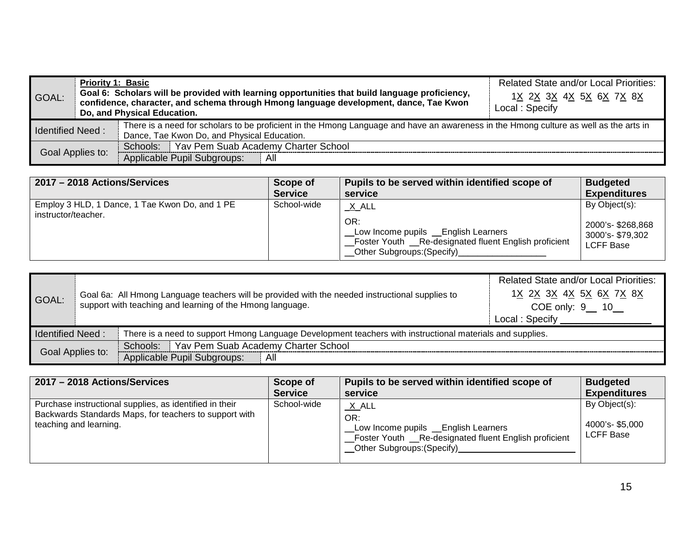| GOAL:                                                                                                                                                                                                           | <b>Priority 1: Basic</b> | Goal 6: Scholars will be provided with learning opportunities that build language proficiency,<br>confidence, character, and schema through Hmong language development, dance, Tae Kwon<br>Do, and Physical Education. | <b>Related State and/or Local Priorities:</b><br>1X 2X 3X 4X 5X 6X 7X 8X<br>Local: Specify |
|-----------------------------------------------------------------------------------------------------------------------------------------------------------------------------------------------------------------|--------------------------|------------------------------------------------------------------------------------------------------------------------------------------------------------------------------------------------------------------------|--------------------------------------------------------------------------------------------|
| There is a need for scholars to be proficient in the Hmong Language and have an awareness in the Hmong culture as well as the arts in<br><b>Identified Need:</b><br>Dance, Tae Kwon Do, and Physical Education. |                          |                                                                                                                                                                                                                        |                                                                                            |
| Goal Applies to:                                                                                                                                                                                                |                          | Schools:   Yav Pem Suab Academy Charter School                                                                                                                                                                         |                                                                                            |
|                                                                                                                                                                                                                 |                          | Applicable Pupil Subgroups:<br>All                                                                                                                                                                                     |                                                                                            |

| 2017 - 2018 Actions/Services                                          | Scope of       | Pupils to be served within identified scope of                                                                                                      | <b>Budgeted</b>                                                           |
|-----------------------------------------------------------------------|----------------|-----------------------------------------------------------------------------------------------------------------------------------------------------|---------------------------------------------------------------------------|
|                                                                       | <b>Service</b> | service                                                                                                                                             | <b>Expenditures</b>                                                       |
| Employ 3 HLD, 1 Dance, 1 Tae Kwon Do, and 1 PE<br>instructor/teacher. | School-wide    | $X$ ALL<br>OR:<br>Low Income pupils _ English Learners<br>Foster Youth Re-designated fluent English proficient<br><b>Other Subgroups: (Specify)</b> | By Object(s):<br>2000's- \$268,868<br>3000's-\$79,302<br><b>LCFF Base</b> |

| GOAL:                                                                                                    |                                                                                                                                      | Goal 6a: All Hmong Language teachers will be provided with the needed instructional supplies to<br>support with teaching and learning of the Hmong language. | <b>Related State and/or Local Priorities:</b><br>1X 2X 3X 4X 5X 6X 7X 8X<br>COE only: 9__ 10__<br>Local: Specify |
|----------------------------------------------------------------------------------------------------------|--------------------------------------------------------------------------------------------------------------------------------------|--------------------------------------------------------------------------------------------------------------------------------------------------------------|------------------------------------------------------------------------------------------------------------------|
|                                                                                                          | <b>Identified Need:</b><br>There is a need to support Hmong Language Development teachers with instructional materials and supplies. |                                                                                                                                                              |                                                                                                                  |
| Schools:   Yav Pem Suab Academy Charter School<br>Goal Applies to:<br>Applicable Pupil Subgroups:<br>All |                                                                                                                                      |                                                                                                                                                              |                                                                                                                  |

| 2017 - 2018 Actions/Services                                                                                                                | Scope of       | Pupils to be served within identified scope of                                                                                                    | <b>Budgeted</b>                                     |
|---------------------------------------------------------------------------------------------------------------------------------------------|----------------|---------------------------------------------------------------------------------------------------------------------------------------------------|-----------------------------------------------------|
|                                                                                                                                             | <b>Service</b> | service                                                                                                                                           | <b>Expenditures</b>                                 |
| Purchase instructional supplies, as identified in their<br>Backwards Standards Maps, for teachers to support with<br>teaching and learning. | School-wide    | $X$ ALL<br>OR:<br>Low Income pupils __English Learners<br>_Foster Youth __Re-designated fluent English proficient<br>_Other Subgroups: (Specify)_ | By Object(s):<br>4000's-\$5,000<br><b>LCFF Base</b> |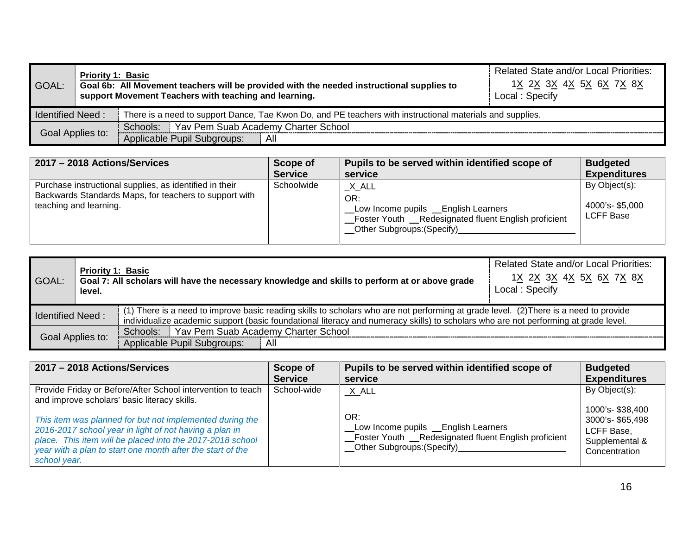| GOAL:                   | <b>Priority 1: Basic</b> | Goal 6b: All Movement teachers will be provided with the needed instructional supplies to<br>support Movement Teachers with teaching and learning. | <b>Related State and/or Local Priorities:</b><br>1 <u>X 2X 3X 4X 5X 6X 7X 8X</u><br>Local: Specify |
|-------------------------|--------------------------|----------------------------------------------------------------------------------------------------------------------------------------------------|----------------------------------------------------------------------------------------------------|
| <b>Identified Need:</b> |                          | There is a need to support Dance, Tae Kwon Do, and PE teachers with instructional materials and supplies.                                          |                                                                                                    |
|                         |                          | Schools: Yav Pem Suab Academy Charter School                                                                                                       |                                                                                                    |
| Goal Applies to:        |                          | Applicable Pupil Subgroups:<br>All                                                                                                                 |                                                                                                    |

| 2017 - 2018 Actions/Services                                                                                                                | Scope of       | Pupils to be served within identified scope of                                                                                                  | <b>Budgeted</b>                                     |
|---------------------------------------------------------------------------------------------------------------------------------------------|----------------|-------------------------------------------------------------------------------------------------------------------------------------------------|-----------------------------------------------------|
|                                                                                                                                             | <b>Service</b> | service                                                                                                                                         | <b>Expenditures</b>                                 |
| Purchase instructional supplies, as identified in their<br>Backwards Standards Maps, for teachers to support with<br>teaching and learning. | Schoolwide     | $X$ ALL<br>OR:<br>Low Income pupils _ English Learners<br>_Foster Youth __Redesignated fluent English proficient<br>_Other Subgroups: (Specify) | By Object(s):<br>4000's-\$5,000<br><b>LCFF Base</b> |

| GOAL:                                                                                                                                                                                                                                                                                                   | <b>Priority 1: Basic</b><br>level. | Goal 7: All scholars will have the necessary knowledge and skills to perform at or above grade | <b>Related State and/or Local Priorities:</b><br>1X 2X 3X 4X 5X 6X 7X 8X<br>Local: Specify |
|---------------------------------------------------------------------------------------------------------------------------------------------------------------------------------------------------------------------------------------------------------------------------------------------------------|------------------------------------|------------------------------------------------------------------------------------------------|--------------------------------------------------------------------------------------------|
| (1) There is a need to improve basic reading skills to scholars who are not performing at grade level. (2) There is a need to provide<br><b>Identified Need:</b><br>individualize academic support (basic foundational literacy and numeracy skills) to scholars who are not performing at grade level. |                                    |                                                                                                |                                                                                            |
| Goal Applies to:                                                                                                                                                                                                                                                                                        |                                    | Schools: Yav Pem Suab Academy Charter School<br>Applicable Pupil Subgroups:<br>All             |                                                                                            |

| 2017 - 2018 Actions/Services                                                                                                                                                                                                                                  | Scope of       | Pupils to be served within identified scope of                                                                                                   | <b>Budgeted</b>                                                                      |
|---------------------------------------------------------------------------------------------------------------------------------------------------------------------------------------------------------------------------------------------------------------|----------------|--------------------------------------------------------------------------------------------------------------------------------------------------|--------------------------------------------------------------------------------------|
|                                                                                                                                                                                                                                                               | <b>Service</b> | service                                                                                                                                          | <b>Expenditures</b>                                                                  |
| Provide Friday or Before/After School intervention to teach<br>and improve scholars' basic literacy skills.                                                                                                                                                   | School-wide    | $X$ $ALL$                                                                                                                                        | By Object(s):                                                                        |
| This item was planned for but not implemented during the<br>2016-2017 school year in light of not having a plan in<br>place. This item will be placed into the 2017-2018 school<br>year with a plan to start one month after the start of the<br>school year. |                | OR:<br>Low Income pupils _ English Learners<br>_Foster Youth __Redesignated fluent English proficient<br>__Other Subgroups: (Specify)___________ | 1000's- \$38,400<br>3000's-\$65,498<br>LCFF Base,<br>Supplemental &<br>Concentration |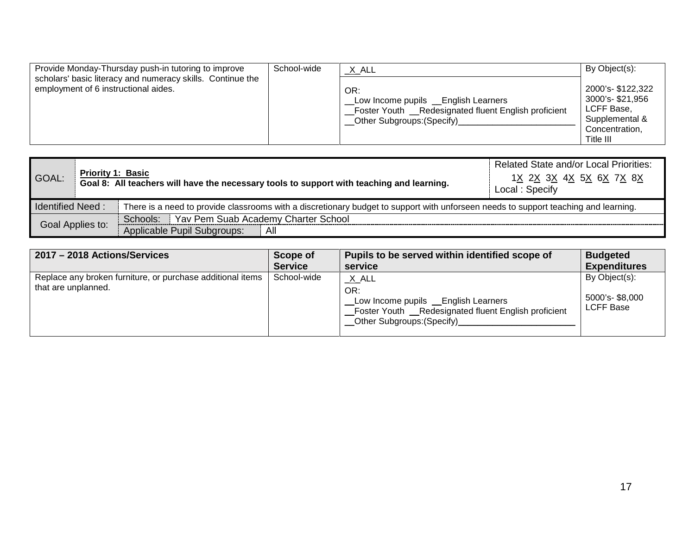| Provide Monday-Thursday push-in tutoring to improve<br>scholars' basic literacy and numeracy skills. Continue the<br>employment of 6 instructional aides. | School-wide | <u>_X_</u> ALL<br>OR:<br>Low Income pupils __English Learners<br>_Foster Youth __Redesignated fluent English proficient | By Object(s):<br>2000's- \$122,322<br>3000's-\$21,956<br>LCFF Base, |
|-----------------------------------------------------------------------------------------------------------------------------------------------------------|-------------|-------------------------------------------------------------------------------------------------------------------------|---------------------------------------------------------------------|
|                                                                                                                                                           |             | _Other Subgroups: (Specify)_                                                                                            | Supplemental &<br>Concentration,<br>Title III                       |

| GOAL:            | <b>Priority 1: Basic</b> | Goal 8: All teachers will have the necessary tools to support with teaching and learning.                                           | <b>Related State and/or Local Priorities:</b><br>1 <u>X 2X 3X 4X 5X 6X 7X 8X</u><br>Local: Specify |
|------------------|--------------------------|-------------------------------------------------------------------------------------------------------------------------------------|----------------------------------------------------------------------------------------------------|
| Identified Need: |                          | There is a need to provide classrooms with a discretionary budget to support with unforseen needs to support teaching and learning. |                                                                                                    |
|                  |                          | Schools: Yav Pem Suab Academy Charter School                                                                                        |                                                                                                    |
| Goal Applies to: |                          | Applicable Pupil Subgroups:<br>All                                                                                                  |                                                                                                    |

| 2017 - 2018 Actions/Services                                                      | Scope of       | Pupils to be served within identified scope of                                                                                                 | <b>Budgeted</b>                                     |
|-----------------------------------------------------------------------------------|----------------|------------------------------------------------------------------------------------------------------------------------------------------------|-----------------------------------------------------|
|                                                                                   | <b>Service</b> | service                                                                                                                                        | <b>Expenditures</b>                                 |
| Replace any broken furniture, or purchase additional items<br>that are unplanned. | School-wide    | $X$ ALL<br>OR:<br>Low Income pupils __English Learners<br>_Foster Youth __Redesignated fluent English proficient<br>Other Subgroups: (Specify) | By Object(s):<br>5000's-\$8,000<br><b>LCFF Base</b> |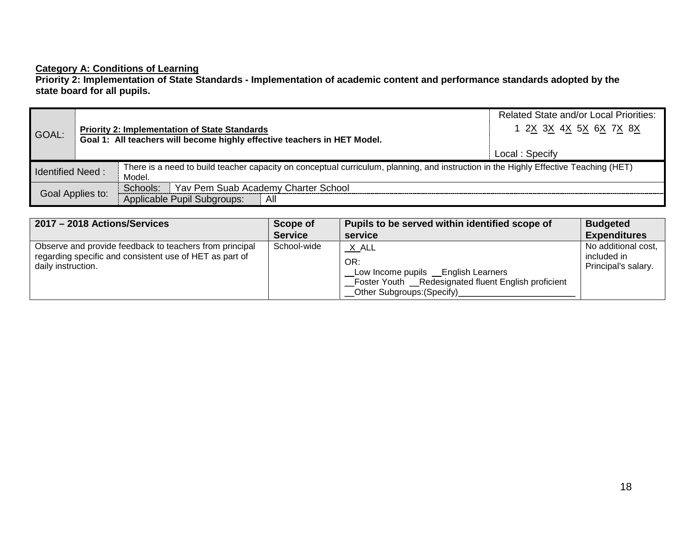### **Category A: Conditions of Learning**

**Priority 2: Implementation of State Standards - Implementation of academic content and performance standards adopted by the state board for all pupils.**

| GOAL:                   | <b>Priority 2: Implementation of State Standards</b><br>Goal 1: All teachers will become highly effective teachers in HET Model. |                                                                                                                                                | <b>Related State and/or Local Priorities:</b><br>1 2X 3X 4X 5X 6X 7X 8X |
|-------------------------|----------------------------------------------------------------------------------------------------------------------------------|------------------------------------------------------------------------------------------------------------------------------------------------|-------------------------------------------------------------------------|
|                         |                                                                                                                                  |                                                                                                                                                | Local: Specify                                                          |
| <b>Identified Need:</b> |                                                                                                                                  | There is a need to build teacher capacity on conceptual curriculum, planning, and instruction in the Highly Effective Teaching (HET)<br>Model. |                                                                         |
|                         |                                                                                                                                  | Yav Pem Suab Academy Charter School<br>Schools:                                                                                                |                                                                         |
| Goal Applies to:        |                                                                                                                                  | Applicable Pupil Subgroups:<br>All                                                                                                             |                                                                         |

| 2017 - 2018 Actions/Services                                                                                                             | Scope of       | Pupils to be served within identified scope of                                                                                                        | <b>Budgeted</b>                                           |
|------------------------------------------------------------------------------------------------------------------------------------------|----------------|-------------------------------------------------------------------------------------------------------------------------------------------------------|-----------------------------------------------------------|
|                                                                                                                                          | <b>Service</b> | service                                                                                                                                               | <b>Expenditures</b>                                       |
| Observe and provide feedback to teachers from principal<br>regarding specific and consistent use of HET as part of<br>daily instruction. | School-wide    | $X$ ALL<br>OR:<br>Low Income pupils __English Learners<br>_Foster Youth __Redesignated fluent English proficient<br><b>Other Subgroups: (Specify)</b> | No additional cost,<br>included in<br>Principal's salary. |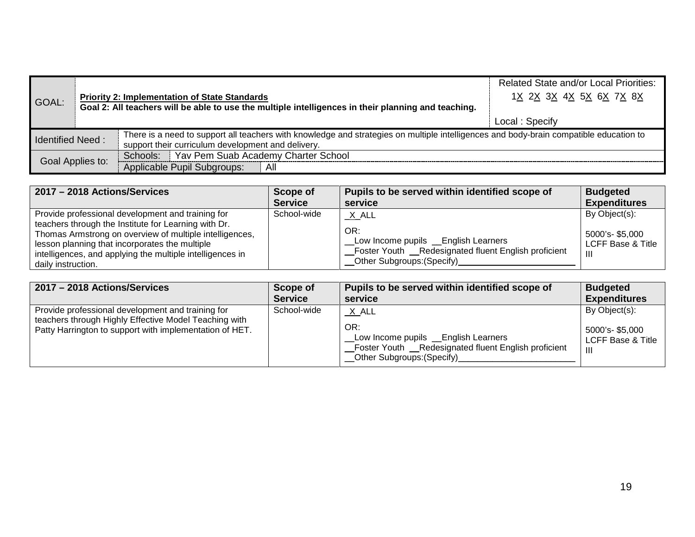| GOAL:                   |  | <b>Priority 2: Implementation of State Standards</b><br>Goal 2: All teachers will be able to use the multiple intelligences in their planning and teaching.                                  | <b>Related State and/or Local Priorities:</b><br>1X 2X 3X 4X 5X 6X 7X 8X<br>Local: Specify |
|-------------------------|--|----------------------------------------------------------------------------------------------------------------------------------------------------------------------------------------------|--------------------------------------------------------------------------------------------|
| <b>Identified Need:</b> |  | There is a need to support all teachers with knowledge and strategies on multiple intelligences and body-brain compatible education to<br>support their curriculum development and delivery. |                                                                                            |
| Goal Applies to:        |  | Schools: Yav Pem Suab Academy Charter School<br>Applicable Pupil Subgroups:<br>All                                                                                                           |                                                                                            |

| 2017 - 2018 Actions/Services                                                                                                                                                                                                                                                                              | Scope of       | Pupils to be served within identified scope of                                                                                                        | <b>Budgeted</b>                                                         |
|-----------------------------------------------------------------------------------------------------------------------------------------------------------------------------------------------------------------------------------------------------------------------------------------------------------|----------------|-------------------------------------------------------------------------------------------------------------------------------------------------------|-------------------------------------------------------------------------|
|                                                                                                                                                                                                                                                                                                           | <b>Service</b> | service                                                                                                                                               | <b>Expenditures</b>                                                     |
| Provide professional development and training for<br>teachers through the Institute for Learning with Dr.<br>Thomas Armstrong on overview of multiple intelligences,<br>lesson planning that incorporates the multiple<br>intelligences, and applying the multiple intelligences in<br>daily instruction. | School-wide    | $X$ ALL<br>OR:<br>Low Income pupils _ English Learners<br>_Foster Youth __Redesignated fluent English proficient<br><b>Other Subgroups: (Specify)</b> | By Object(s):<br>5000's-\$5,000<br><b>LCFF Base &amp; Title</b><br>-111 |

| 2017 - 2018 Actions/Services                                                                                                                                          | Scope of       | Pupils to be served within identified scope of                                                                                                       | <b>Budgeted</b>                                           |
|-----------------------------------------------------------------------------------------------------------------------------------------------------------------------|----------------|------------------------------------------------------------------------------------------------------------------------------------------------------|-----------------------------------------------------------|
|                                                                                                                                                                       | <b>Service</b> | service                                                                                                                                              | <b>Expenditures</b>                                       |
| Provide professional development and training for<br>teachers through Highly Effective Model Teaching with<br>Patty Harrington to support with implementation of HET. | School-wide    | $X$ ALL<br>OR:<br>Low Income pupils _ English Learners<br>_Foster Youth _Redesignated fluent English proficient<br><b>Other Subgroups: (Specify)</b> | By Object(s):<br>5000's-\$5,000<br>LCFF Base & Title<br>Ш |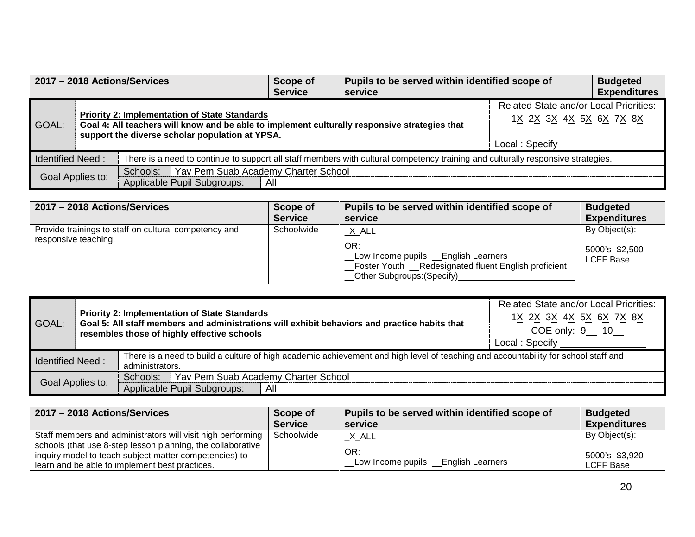| 2017 - 2018 Actions/Services |  | Scope of<br><b>Service</b>                                                                                                                                                                               | Pupils to be served within identified scope of<br>service |                                                                                            | <b>Budgeted</b><br><b>Expenditures</b> |  |
|------------------------------|--|----------------------------------------------------------------------------------------------------------------------------------------------------------------------------------------------------------|-----------------------------------------------------------|--------------------------------------------------------------------------------------------|----------------------------------------|--|
| GOAL:                        |  | <b>Priority 2: Implementation of State Standards</b><br>Goal 4: All teachers will know and be able to implement culturally responsive strategies that<br>support the diverse scholar population at YPSA. |                                                           | <b>Related State and/or Local Priorities:</b><br>1X 2X 3X 4X 5X 6X 7X 8X<br>Local: Specify |                                        |  |
| <b>Identified Need:</b>      |  | There is a need to continue to support all staff members with cultural competency training and culturally responsive strategies.                                                                         |                                                           |                                                                                            |                                        |  |
| Goal Applies to:             |  | Schools: Yav Pem Suab Academy Charter School<br>Applicable Pupil Subgroups:                                                                                                                              |                                                           |                                                                                            |                                        |  |
|                              |  |                                                                                                                                                                                                          | All                                                       |                                                                                            |                                        |  |

| 2017 - 2018 Actions/Services                                                  | Scope of       | Pupils to be served within identified scope of                                                                                                  | <b>Budgeted</b>                               |
|-------------------------------------------------------------------------------|----------------|-------------------------------------------------------------------------------------------------------------------------------------------------|-----------------------------------------------|
|                                                                               | <b>Service</b> | service                                                                                                                                         | <b>Expenditures</b>                           |
| Provide trainings to staff on cultural competency and<br>responsive teaching. | Schoolwide     | $X$ ALL<br>OR:<br>Low Income pupils _ English Learners<br>_Foster Youth __Redesignated fluent English proficient<br>_Other Subgroups: (Specify) | By Object(s):<br>5000's- \$2,500<br>LCFF Base |

| <b>Priority 2: Implementation of State Standards</b><br>Goal 5: All staff members and administrations will exhibit behaviors and practice habits that<br>GOAL:<br>resembles those of highly effective schools |  | 1X 2X 3X 4X 5X 6X 7X 8X<br>COE only: 9__ 10__<br>Local: Specify                                         |
|---------------------------------------------------------------------------------------------------------------------------------------------------------------------------------------------------------------|--|---------------------------------------------------------------------------------------------------------|
| There is a need to build a culture of high academic achievement and high level of teaching and accountability for school staff and<br><b>Identified Need:</b>                                                 |  |                                                                                                         |
| Goal Applies to:                                                                                                                                                                                              |  |                                                                                                         |
|                                                                                                                                                                                                               |  | administrators.<br>Schools:   Yav Pem Suab Academy Charter School<br>Applicable Pupil Subgroups:<br>All |

| 2017 - 2018 Actions/Services                                                                                                 | Scope of       | Pupils to be served within identified scope of | <b>Budgeted</b>     |
|------------------------------------------------------------------------------------------------------------------------------|----------------|------------------------------------------------|---------------------|
|                                                                                                                              | <b>Service</b> | service                                        | <b>Expenditures</b> |
| Staff members and administrators will visit high performing  <br>schools (that use 8-step lesson planning, the collaborative | Schoolwide     | $_{\rm \_}$ X $_{\rm \_ALL}$                   | By Object(s):       |
| inquiry model to teach subject matter competencies) to                                                                       |                | OR:                                            | 5000's-\$3,920      |
| learn and be able to implement best practices.                                                                               |                | Low Income pupils _ English Learners           | <b>LCFF Base</b>    |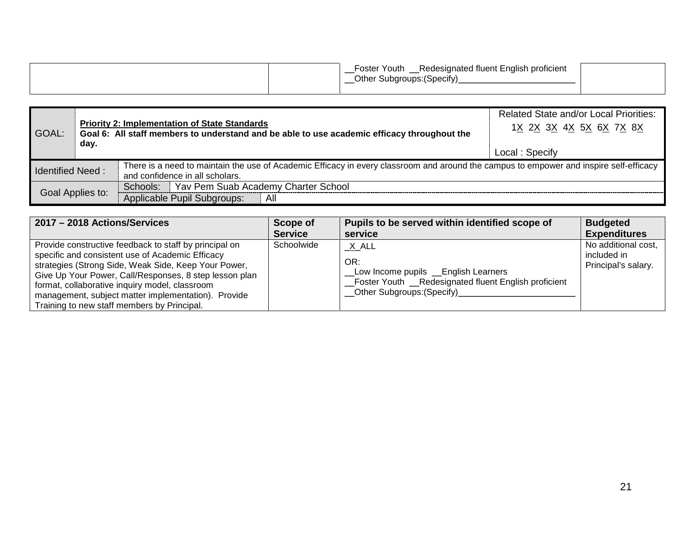| Foster Youth<br>Redesignated fluent English proficient<br>Other Subgroups: (Specify) |  |
|--------------------------------------------------------------------------------------|--|
|                                                                                      |  |

| GOAL:                   | day. | <b>Priority 2: Implementation of State Standards</b><br>Goal 6: All staff members to understand and be able to use academic efficacy throughout the                       | <b>Related State and/or Local Priorities:</b><br>1X 2X 3X 4X 5X 6X 7X 8X<br>Local: Specify |
|-------------------------|------|---------------------------------------------------------------------------------------------------------------------------------------------------------------------------|--------------------------------------------------------------------------------------------|
| <b>Identified Need:</b> |      | There is a need to maintain the use of Academic Efficacy in every classroom and around the campus to empower and inspire self-efficacy<br>and confidence in all scholars. |                                                                                            |
| Goal Applies to:        |      | Schools: Yav Pem Suab Academy Charter School<br>Applicable Pupil Subgroups:<br>All                                                                                        |                                                                                            |

| 2017 - 2018 Actions/Services                                                                                                                                                                                                                                                                                                                                                         | Scope of       | Pupils to be served within identified scope of                                                                                                | <b>Budgeted</b>                                           |
|--------------------------------------------------------------------------------------------------------------------------------------------------------------------------------------------------------------------------------------------------------------------------------------------------------------------------------------------------------------------------------------|----------------|-----------------------------------------------------------------------------------------------------------------------------------------------|-----------------------------------------------------------|
|                                                                                                                                                                                                                                                                                                                                                                                      | <b>Service</b> | service                                                                                                                                       | <b>Expenditures</b>                                       |
| Provide constructive feedback to staff by principal on<br>specific and consistent use of Academic Efficacy<br>strategies (Strong Side, Weak Side, Keep Your Power,<br>Give Up Your Power, Call/Responses, 8 step lesson plan<br>format, collaborative inquiry model, classroom<br>management, subject matter implementation). Provide<br>Training to new staff members by Principal. | Schoolwide     | $X$ ALL<br>OR:<br>Low Income pupils _ English Learners<br>Foster Youth __Redesignated fluent English proficient<br>Other Subgroups: (Specify) | No additional cost,<br>included in<br>Principal's salary. |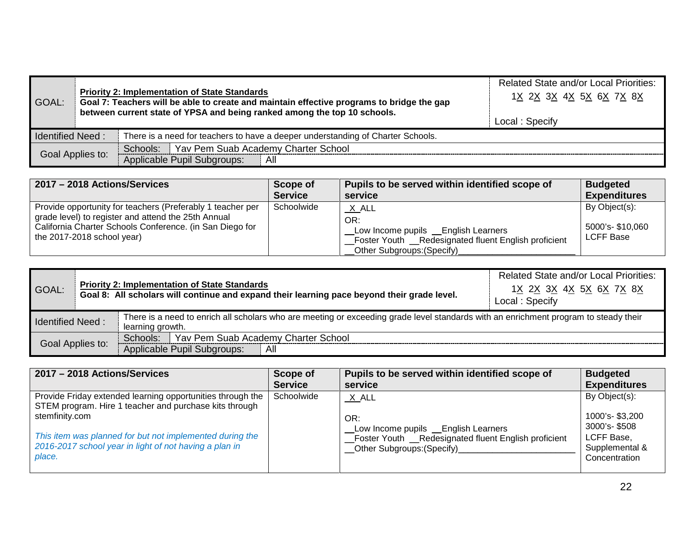| GOAL:                   |                  | <b>Priority 2: Implementation of State Standards</b><br>Goal 7: Teachers will be able to create and maintain effective programs to bridge the gap<br>between current state of YPSA and being ranked among the top 10 schools. | <b>Related State and/or Local Priorities:</b><br>1X 2X 3X 4X 5X 6X 7X 8X<br>Local: Specify |
|-------------------------|------------------|-------------------------------------------------------------------------------------------------------------------------------------------------------------------------------------------------------------------------------|--------------------------------------------------------------------------------------------|
| <b>Identified Need:</b> |                  | There is a need for teachers to have a deeper understanding of Charter Schools.                                                                                                                                               |                                                                                            |
|                         |                  | Schools:   Yav Pem Suab Academy Charter School                                                                                                                                                                                |                                                                                            |
|                         | Goal Applies to: | Applicable Pupil Subgroups:<br>All                                                                                                                                                                                            |                                                                                            |

| 2017 - 2018 Actions/Services                                                                                                                                                                                | Scope of       | Pupils to be served within identified scope of                                                                                               | <b>Budgeted</b>                               |
|-------------------------------------------------------------------------------------------------------------------------------------------------------------------------------------------------------------|----------------|----------------------------------------------------------------------------------------------------------------------------------------------|-----------------------------------------------|
|                                                                                                                                                                                                             | <b>Service</b> | service                                                                                                                                      | <b>Expenditures</b>                           |
| Provide opportunity for teachers (Preferably 1 teacher per<br>grade level) to register and attend the 25th Annual<br>California Charter Schools Conference. (in San Diego for<br>the 2017-2018 school year) | Schoolwide     | X ALL<br>OR:<br>Low Income pupils _ English Learners<br>_Foster Youth __Redesignated fluent English proficient<br>Other Subgroups: (Specify) | By Object(s):<br>5000's-\$10,060<br>LCFF Base |

| GOAL:                   |  | <b>Priority 2: Implementation of State Standards</b><br>Goal 8: All scholars will continue and expand their learning pace beyond their grade level.      | <b>Related State and/or Local Priorities:</b><br>1 <u>X 2X 3X 4X 5X 6X 7X 8X</u><br>Local: Specify |
|-------------------------|--|----------------------------------------------------------------------------------------------------------------------------------------------------------|----------------------------------------------------------------------------------------------------|
| <b>Identified Need:</b> |  | There is a need to enrich all scholars who are meeting or exceeding grade level standards with an enrichment program to steady their<br>learning growth. |                                                                                                    |
| Goal Applies to:        |  | Schools:   Yav Pem Suab Academy Charter School                                                                                                           |                                                                                                    |
|                         |  | Applicable Pupil Subgroups:<br>All                                                                                                                       |                                                                                                    |

| 2017 - 2018 Actions/Services                                                                                                                   | Scope of       | Pupils to be served within identified scope of                                                                                      | <b>Budgeted</b>                                                                 |
|------------------------------------------------------------------------------------------------------------------------------------------------|----------------|-------------------------------------------------------------------------------------------------------------------------------------|---------------------------------------------------------------------------------|
|                                                                                                                                                | <b>Service</b> | service                                                                                                                             | <b>Expenditures</b>                                                             |
| Provide Friday extended learning opportunities through the<br>STEM program. Hire 1 teacher and purchase kits through                           | Schoolwide     | $X$ $ALL$                                                                                                                           | By Object(s):                                                                   |
| stemfinity.com<br>This item was planned for but not implemented during the<br>2016-2017 school year in light of not having a plan in<br>place. |                | OR:<br>Low Income pupils __English Learners<br>_Foster Youth __Redesignated fluent English proficient<br>Other Subgroups: (Specify) | 1000's-\$3,200<br>3000's-\$508<br>LCFF Base,<br>Supplemental &<br>Concentration |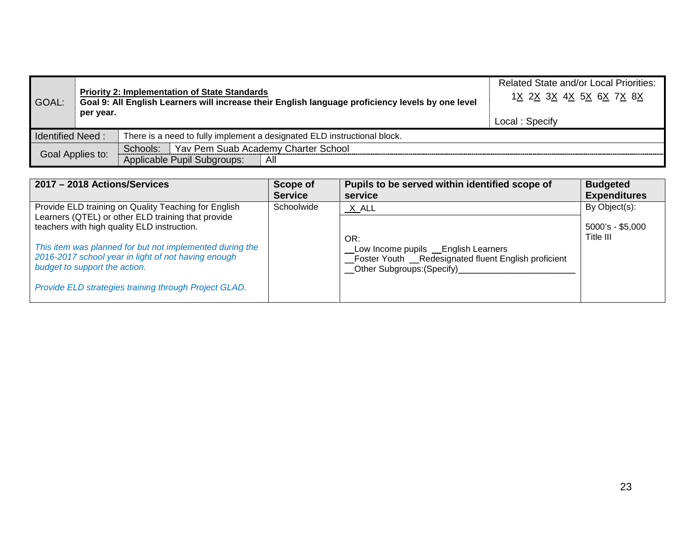| GOAL:                   | per year. | <b>Priority 2: Implementation of State Standards</b><br>Goal 9: All English Learners will increase their English language proficiency levels by one level | <b>Related State and/or Local Priorities:</b><br>1X 2X 3X 4X 5X 6X 7X 8X<br>Local: Specify |
|-------------------------|-----------|-----------------------------------------------------------------------------------------------------------------------------------------------------------|--------------------------------------------------------------------------------------------|
| <b>Identified Need:</b> |           | There is a need to fully implement a designated ELD instructional block.                                                                                  |                                                                                            |
| Goal Applies to:        |           | Yav Pem Suab Academy Charter School<br>Schools:                                                                                                           |                                                                                            |
|                         |           | Applicable Pupil Subgroups:<br>All                                                                                                                        |                                                                                            |

| 2017 - 2018 Actions/Services                                                                                                                     | Scope of<br><b>Service</b> | Pupils to be served within identified scope of<br>service                                                                                    | <b>Budgeted</b><br><b>Expenditures</b> |
|--------------------------------------------------------------------------------------------------------------------------------------------------|----------------------------|----------------------------------------------------------------------------------------------------------------------------------------------|----------------------------------------|
| Provide ELD training on Quality Teaching for English<br>Learners (QTEL) or other ELD training that provide                                       | Schoolwide                 | X ALL                                                                                                                                        | By Object(s):                          |
| teachers with high quality ELD instruction.                                                                                                      |                            | OR:                                                                                                                                          | $5000's - $5,000$<br>Title III         |
| This item was planned for but not implemented during the<br>2016-2017 school year in light of not having enough<br>budget to support the action. |                            | Low Income pupils _ English Learners<br>_Foster Youth __Redesignated fluent English proficient<br>__Other Subgroups:(Specify)_______________ |                                        |
| Provide ELD strategies training through Project GLAD.                                                                                            |                            |                                                                                                                                              |                                        |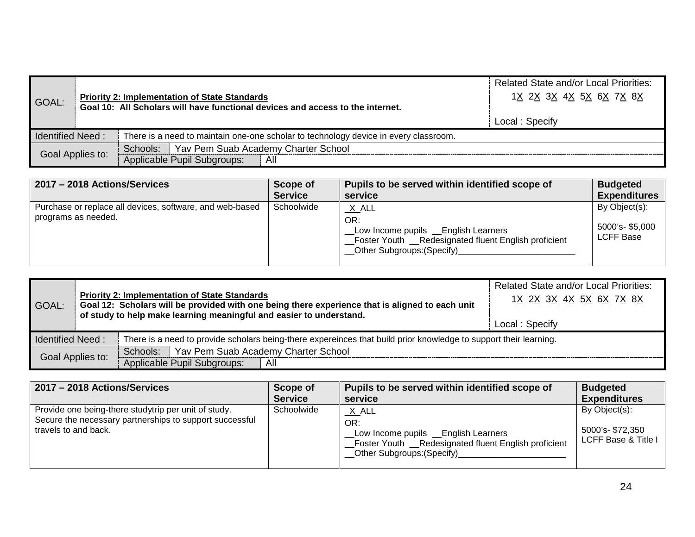| GOAL:                   |  | <b>Priority 2: Implementation of State Standards</b><br>Goal 10: All Scholars will have functional devices and access to the internet. | <b>Related State and/or Local Priorities:</b><br>1 <u>X 2X 3X 4X 5X 6X 7X 8X</u><br>Local: Specify |
|-------------------------|--|----------------------------------------------------------------------------------------------------------------------------------------|----------------------------------------------------------------------------------------------------|
| <b>Identified Need:</b> |  | There is a need to maintain one-one scholar to technology device in every classroom.                                                   |                                                                                                    |
|                         |  | Schools: Yav Pem Suab Academy Charter School                                                                                           |                                                                                                    |
| Goal Applies to:        |  | Applicable Pupil Subgroups:<br>All                                                                                                     |                                                                                                    |

| 2017 - 2018 Actions/Services                                                    | Scope of       | Pupils to be served within identified scope of                                                                                                     | <b>Budgeted</b>                                     |
|---------------------------------------------------------------------------------|----------------|----------------------------------------------------------------------------------------------------------------------------------------------------|-----------------------------------------------------|
|                                                                                 | <b>Service</b> | service                                                                                                                                            | <b>Expenditures</b>                                 |
| Purchase or replace all devices, software, and web-based<br>programs as needed. | Schoolwide     | <u>X</u> ALL<br>OR:<br>Low Income pupils _ English Learners<br>Foster Youth __Redesignated fluent English proficient<br>Other Subgroups: (Specify) | By Object(s):<br>5000's-\$5,000<br><b>LCFF Base</b> |

| GOAL:                   |                  | <b>Priority 2: Implementation of State Standards</b><br>Goal 12: Scholars will be provided with one being there experience that is aligned to each unit<br>of study to help make learning meaningful and easier to understand. | <b>Related State and/or Local Priorities:</b><br>1X 2X 3X 4X 5X 6X 7X 8X<br>Local: Specify |
|-------------------------|------------------|--------------------------------------------------------------------------------------------------------------------------------------------------------------------------------------------------------------------------------|--------------------------------------------------------------------------------------------|
| <b>Identified Need:</b> |                  | There is a need to provide scholars being-there expereinces that build prior knowledge to support their learning.                                                                                                              |                                                                                            |
|                         |                  | Schools: Yav Pem Suab Academy Charter School                                                                                                                                                                                   |                                                                                            |
|                         | Goal Applies to: | Applicable Pupil Subgroups:<br>All                                                                                                                                                                                             |                                                                                            |

| 2017 - 2018 Actions/Services                                                                                                            | Scope of       | Pupils to be served within identified scope of                                                                                                          | <b>Budgeted</b>                                         |
|-----------------------------------------------------------------------------------------------------------------------------------------|----------------|---------------------------------------------------------------------------------------------------------------------------------------------------------|---------------------------------------------------------|
|                                                                                                                                         | <b>Service</b> | service                                                                                                                                                 | <b>Expenditures</b>                                     |
| Provide one being-there studytrip per unit of study.<br>Secure the necessary partnerships to support successful<br>travels to and back. | Schoolwide     | <u>_X_</u> ALL<br>OR:<br>Low Income pupils _ English Learners<br>Foster Youth __Redesignated fluent English proficient<br>_Other Subgroups: (Specify)__ | By Object(s):<br>5000's-\$72,350<br>LCFF Base & Title I |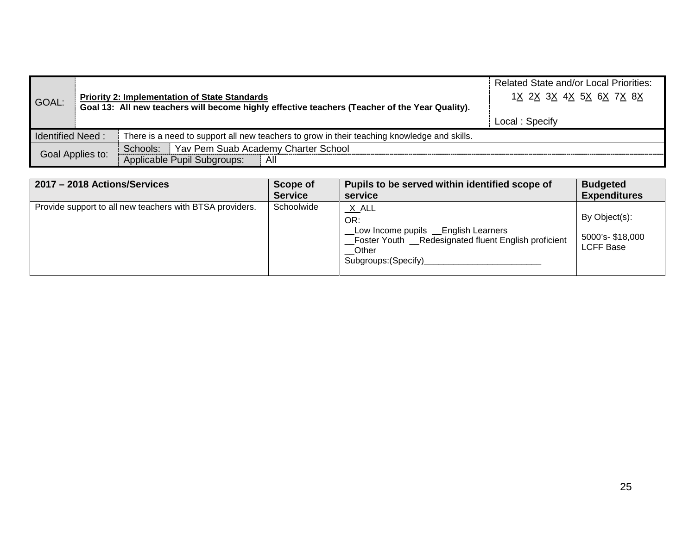| GOAL:                                                                                                                  |  | <b>Priority 2: Implementation of State Standards</b><br>Goal 13: All new teachers will become highly effective teachers (Teacher of the Year Quality). | <b>Related State and/or Local Priorities:</b><br>1X 2X 3X 4X 5X 6X 7X 8X<br>Local: Specify |
|------------------------------------------------------------------------------------------------------------------------|--|--------------------------------------------------------------------------------------------------------------------------------------------------------|--------------------------------------------------------------------------------------------|
| <b>Identified Need:</b><br>There is a need to support all new teachers to grow in their teaching knowledge and skills. |  |                                                                                                                                                        |                                                                                            |
|                                                                                                                        |  | Schools:   Yav Pem Suab Academy Charter School                                                                                                         |                                                                                            |
| Goal Applies to:                                                                                                       |  | Applicable Pupil Subgroups:<br>All                                                                                                                     |                                                                                            |

| 2017 - 2018 Actions/Services                             | Scope of       | Pupils to be served within identified scope of                                                                                                                                           | <b>Budgeted</b>                                       |
|----------------------------------------------------------|----------------|------------------------------------------------------------------------------------------------------------------------------------------------------------------------------------------|-------------------------------------------------------|
|                                                          | <b>Service</b> | service                                                                                                                                                                                  | <b>Expenditures</b>                                   |
| Provide support to all new teachers with BTSA providers. | Schoolwide     | <u>_X_</u> ALL<br>OR:<br>Low Income pupils _ English Learners<br>Foster Youth __Redesignated fluent English proficient<br>$\sqrt{\phantom{a}}$ Other<br>Subgroups: (Specify)____________ | By Object(s):<br>5000's- \$18,000<br><b>LCFF Base</b> |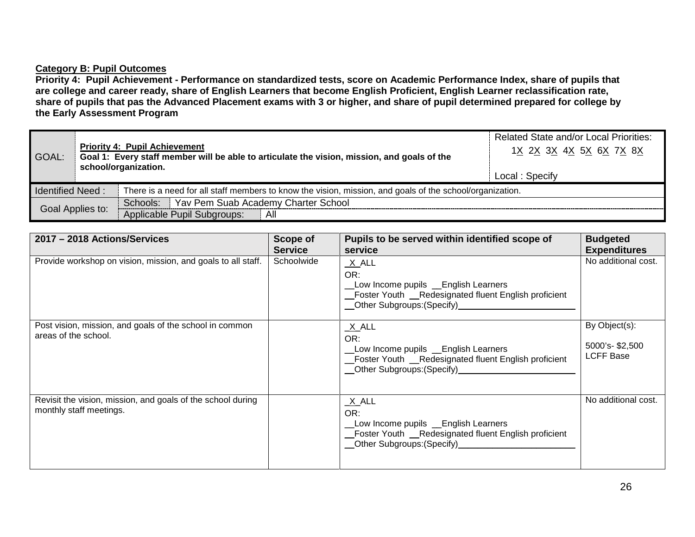## **Category B: Pupil Outcomes**

**Priority 4: Pupil Achievement - Performance on standardized tests, score on Academic Performance Index, share of pupils that are college and career ready, share of English Learners that become English Proficient, English Learner reclassification rate, share of pupils that pas the Advanced Placement exams with 3 or higher, and share of pupil determined prepared for college by the Early Assessment Program**

| GOAL:                   | <b>Priority 4: Pupil Achievement</b><br>Goal 1: Every staff member will be able to articulate the vision, mission, and goals of the<br>school/organization. |                                                                                                          | <b>Related State and/or Local Priorities:</b><br>1 <u>X 2X 3X 4X 5X 6X 7X 8X</u><br>Local: Specify |
|-------------------------|-------------------------------------------------------------------------------------------------------------------------------------------------------------|----------------------------------------------------------------------------------------------------------|----------------------------------------------------------------------------------------------------|
| <b>Identified Need:</b> |                                                                                                                                                             | There is a need for all staff members to know the vision, mission, and goals of the school/organization. |                                                                                                    |
| Goal Applies to:        |                                                                                                                                                             | Schools: Yav Pem Suab Academy Charter School                                                             |                                                                                                    |
|                         |                                                                                                                                                             | Applicable Pupil Subgroups:<br>All                                                                       |                                                                                                    |

| 2017 - 2018 Actions/Services                                                           | Scope of<br><b>Service</b> | Pupils to be served within identified scope of<br>service                                                                                                                                                                                                                                                                                                | <b>Budgeted</b><br><b>Expenditures</b>              |
|----------------------------------------------------------------------------------------|----------------------------|----------------------------------------------------------------------------------------------------------------------------------------------------------------------------------------------------------------------------------------------------------------------------------------------------------------------------------------------------------|-----------------------------------------------------|
| Provide workshop on vision, mission, and goals to all staff.                           | Schoolwide                 | $X$ ALL<br>OR:<br>Low Income pupils Lenglish Learners<br>_Foster Youth __Redesignated fluent English proficient<br>Other Subgroups: (Specify)<br><u>Community</u> Contract Contract Contract Contract Contract Contract Contract Contract Contract Contract Contract Contract Contract Contract Contract Contract Contract Contract Contract Contract Co | No additional cost.                                 |
| Post vision, mission, and goals of the school in common<br>areas of the school.        |                            | $X$ ALL<br>OR:<br>Low Income pupils Lenglish Learners<br>Foster Youth __Redesignated fluent English proficient                                                                                                                                                                                                                                           | By Object(s):<br>5000's-\$2,500<br><b>LCFF Base</b> |
| Revisit the vision, mission, and goals of the school during<br>monthly staff meetings. |                            | X_ALL<br>OR:<br>Low Income pupils Lenglish Learners<br>Foster Youth _Redesignated fluent English proficient<br>__Other Subgroups:(Specify)_________________________                                                                                                                                                                                      | No additional cost.                                 |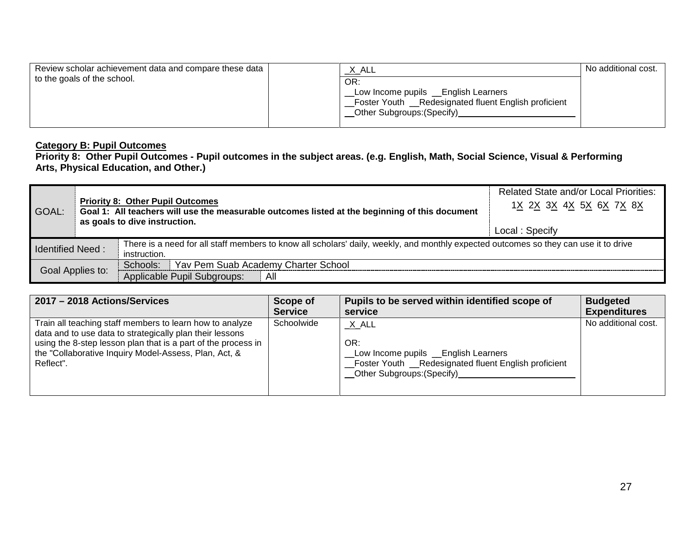| Review scholar achievement data and compare these data<br>to the goals of the school. | <u>X_</u> ALL<br>OR:<br>Low Income pupils __English Learners<br>Foster Youth __Redesignated fluent English proficient<br>_Other Subgroups: (Specify)_ | No additional cost. |
|---------------------------------------------------------------------------------------|-------------------------------------------------------------------------------------------------------------------------------------------------------|---------------------|
|                                                                                       |                                                                                                                                                       |                     |

# **Category B: Pupil Outcomes**

**Priority 8: Other Pupil Outcomes - Pupil outcomes in the subject areas. (e.g. English, Math, Social Science, Visual & Performing Arts, Physical Education, and Other.)**

| GOAL:                     | <b>Priority 8: Other Pupil Outcomes</b><br>Goal 1: All teachers will use the measurable outcomes listed at the beginning of this document<br>as goals to dive instruction. |                                                                                                                                                      | <b>Related State and/or Local Priorities:</b><br>1X 2X 3X 4X 5X 6X 7X 8X<br>Local: Specify |
|---------------------------|----------------------------------------------------------------------------------------------------------------------------------------------------------------------------|------------------------------------------------------------------------------------------------------------------------------------------------------|--------------------------------------------------------------------------------------------|
| <b>I</b> Identified Need: |                                                                                                                                                                            | There is a need for all staff members to know all scholars' daily, weekly, and monthly expected outcomes so they can use it to drive<br>instruction. |                                                                                            |
| Goal Applies to:          |                                                                                                                                                                            | Schools:   Yav Pem Suab Academy Charter School<br>Applicable Pupil Subgroups:<br>All                                                                 |                                                                                            |

| 2017 - 2018 Actions/Services                                                                                                                                                                                                                                | Scope of       | Pupils to be served within identified scope of                                                                                                  | <b>Budgeted</b>     |
|-------------------------------------------------------------------------------------------------------------------------------------------------------------------------------------------------------------------------------------------------------------|----------------|-------------------------------------------------------------------------------------------------------------------------------------------------|---------------------|
|                                                                                                                                                                                                                                                             | <b>Service</b> | service                                                                                                                                         | <b>Expenditures</b> |
| Train all teaching staff members to learn how to analyze<br>data and to use data to strategically plan their lessons<br>using the 8-step lesson plan that is a part of the process in<br>the "Collaborative Inquiry Model-Assess, Plan, Act, &<br>Reflect". | Schoolwide     | $X$ $ALL$<br>OR:<br>Low Income pupils _ English Learners<br>_Foster Youth _Redesignated fluent English proficient<br>Other Subgroups: (Specify) | No additional cost. |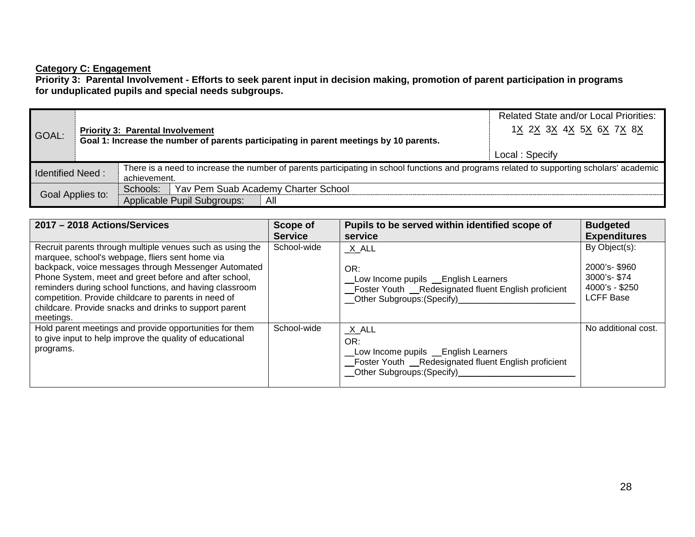### **Category C: Engagement**

**Priority 3: Parental Involvement - Efforts to seek parent input in decision making, promotion of parent participation in programs for unduplicated pupils and special needs subgroups.**

|                         |                  |                                                                                                                                           | <b>Related State and/or Local Priorities:</b> |
|-------------------------|------------------|-------------------------------------------------------------------------------------------------------------------------------------------|-----------------------------------------------|
| GOAL:                   |                  | <b>Priority 3: Parental Involvement</b>                                                                                                   | 1X 2X 3X 4X 5X 6X 7X 8X                       |
|                         |                  | Goal 1: Increase the number of parents participating in parent meetings by 10 parents.                                                    |                                               |
|                         |                  |                                                                                                                                           | Local: Specify                                |
| <b>Identified Need:</b> |                  | There is a need to increase the number of parents participating in school functions and programs related to supporting scholars' academic |                                               |
|                         |                  | achievement.                                                                                                                              |                                               |
|                         | Goal Applies to: | Schools:   Yav Pem Suab Academy Charter School                                                                                            |                                               |
|                         |                  | Applicable Pupil Subgroups:<br>All                                                                                                        |                                               |

| 2017 - 2018 Actions/Services                                                                                                                                                                                                                                                                                                                                                                                            | Scope of       | Pupils to be served within identified scope of                                                                                                  | <b>Budgeted</b>                                                                    |
|-------------------------------------------------------------------------------------------------------------------------------------------------------------------------------------------------------------------------------------------------------------------------------------------------------------------------------------------------------------------------------------------------------------------------|----------------|-------------------------------------------------------------------------------------------------------------------------------------------------|------------------------------------------------------------------------------------|
|                                                                                                                                                                                                                                                                                                                                                                                                                         | <b>Service</b> | service                                                                                                                                         | <b>Expenditures</b>                                                                |
| Recruit parents through multiple venues such as using the<br>marquee, school's webpage, fliers sent home via<br>backpack, voice messages through Messenger Automated<br>Phone System, meet and greet before and after school,<br>reminders during school functions, and having classroom<br>competition. Provide childcare to parents in need of<br>childcare. Provide snacks and drinks to support parent<br>meetings. | School-wide    | $X$ $ALL$<br>OR:<br>Low Income pupils _ English Learners<br>Foster Youth _Redesignated fluent English proficient                                | By Object(s):<br>2000's-\$960<br>3000's-\$74<br>4000's - \$250<br><b>LCFF Base</b> |
| Hold parent meetings and provide opportunities for them<br>to give input to help improve the quality of educational<br>programs.                                                                                                                                                                                                                                                                                        | School-wide    | $X$ $ALL$<br>OR:<br>Low Income pupils Lenglish Learners<br>_Foster Youth __Redesignated fluent English proficient<br>Other Subgroups: (Specify) | No additional cost.                                                                |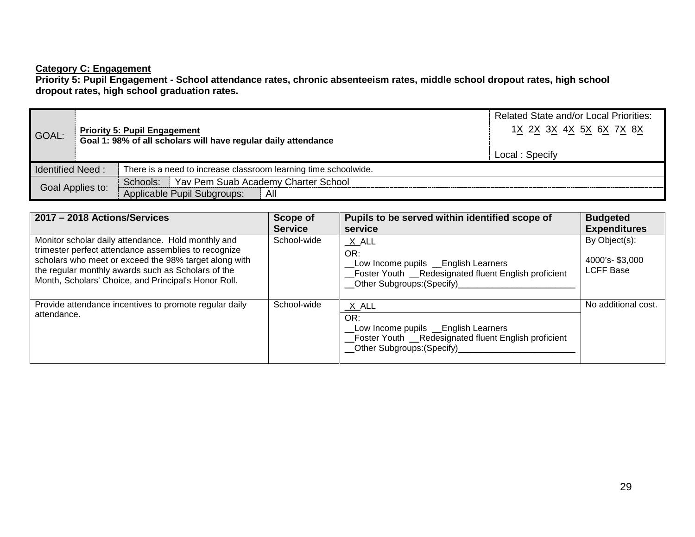### **Category C: Engagement**

**Priority 5: Pupil Engagement - School attendance rates, chronic absenteeism rates, middle school dropout rates, high school dropout rates, high school graduation rates.**

| GOAL:                   |  | <b>Priority 5: Pupil Engagement</b><br>Goal 1: 98% of all scholars will have regular daily attendance | <b>Related State and/or Local Priorities:</b><br>1 <u>X 2X 3X 4X 5X 6X 7X 8X</u><br>Local: Specify |
|-------------------------|--|-------------------------------------------------------------------------------------------------------|----------------------------------------------------------------------------------------------------|
| <b>Identified Need:</b> |  | There is a need to increase classroom learning time schoolwide.                                       |                                                                                                    |
|                         |  | Schools: Yav Pem Suab Academy Charter School                                                          |                                                                                                    |
| Goal Applies to:        |  | Applicable Pupil Subgroups:<br>All                                                                    |                                                                                                    |

| 2017 - 2018 Actions/Services                                                                                                                                                                                                                                                      | Scope of<br><b>Service</b> | Pupils to be served within identified scope of<br>service                                                                                        | <b>Budgeted</b><br><b>Expenditures</b>              |
|-----------------------------------------------------------------------------------------------------------------------------------------------------------------------------------------------------------------------------------------------------------------------------------|----------------------------|--------------------------------------------------------------------------------------------------------------------------------------------------|-----------------------------------------------------|
| Monitor scholar daily attendance. Hold monthly and<br>trimester perfect attendance assemblies to recognize<br>scholars who meet or exceed the 98% target along with<br>the regular monthly awards such as Scholars of the<br>Month, Scholars' Choice, and Principal's Honor Roll. | School-wide                | $X$ $ALL$<br>OR:<br>Low Income pupils _ English Learners<br>Foster Youth _Redesignated fluent English proficient<br>Other Subgroups: (Specify)   | By Object(s):<br>4000's-\$3,000<br><b>LCFF Base</b> |
| Provide attendance incentives to promote regular daily<br>attendance.                                                                                                                                                                                                             | School-wide                | X ALL<br>OR:<br>Low Income pupils _ English Learners<br>Foster Youth _Redesignated fluent English proficient<br>_Other Subgroups: (Specify)_____ | No additional cost.                                 |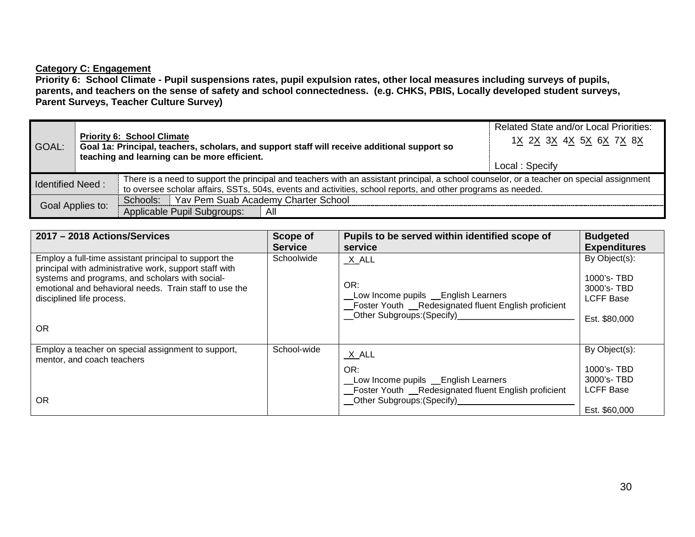# **Category C: Engagement**

**Priority 6: School Climate - Pupil suspensions rates, pupil expulsion rates, other local measures including surveys of pupils, parents, and teachers on the sense of safety and school connectedness. (e.g. CHKS, PBIS, Locally developed student surveys, Parent Surveys, Teacher Culture Survey)**

|                         |  |                                                                                                                                                                                                                                                           | <b>Related State and/or Local Priorities:</b> |
|-------------------------|--|-----------------------------------------------------------------------------------------------------------------------------------------------------------------------------------------------------------------------------------------------------------|-----------------------------------------------|
| GOAL:                   |  | <b>Priority 6: School Climate</b><br>Goal 1a: Principal, teachers, scholars, and support staff will receive additional support so<br>teaching and learning can be more efficient.                                                                         | 1X 2X 3X 4X 5X 6X 7X 8X                       |
|                         |  |                                                                                                                                                                                                                                                           | Local: Specify                                |
| <b>Identified Need:</b> |  | There is a need to support the principal and teachers with an assistant principal, a school counselor, or a teacher on special assignment<br>to oversee scholar affairs, SSTs, 504s, events and activities, school reports, and other programs as needed. |                                               |
|                         |  | Schools: Yav Pem Suab Academy Charter School                                                                                                                                                                                                              |                                               |
| Goal Applies to:        |  | Applicable Pupil Subgroups:<br>All                                                                                                                                                                                                                        |                                               |

| 2017 - 2018 Actions/Services                                                                                                                                                                                                                                           | Scope of<br><b>Service</b> | Pupils to be served within identified scope of<br>service                                                                                                         | <b>Budgeted</b><br><b>Expenditures</b>                                         |
|------------------------------------------------------------------------------------------------------------------------------------------------------------------------------------------------------------------------------------------------------------------------|----------------------------|-------------------------------------------------------------------------------------------------------------------------------------------------------------------|--------------------------------------------------------------------------------|
| Employ a full-time assistant principal to support the<br>principal with administrative work, support staff with<br>systems and programs, and scholars with social-<br>emotional and behavioral needs. Train staff to use the<br>disciplined life process.<br><b>OR</b> | Schoolwide                 | $X$ $ALL$<br>OR:<br>Low Income pupils _ English Learners<br>Foster Youth __Redesignated fluent English proficient<br>__Other Subgroups:(Specify)_________________ | By Object(s):<br>1000's-TBD<br>3000's-TBD<br><b>LCFF Base</b><br>Est. \$80,000 |
| Employ a teacher on special assignment to support,<br>mentor, and coach teachers<br><b>OR</b>                                                                                                                                                                          | School-wide                | $X$ $ALL$<br>OR:<br>_Low Income pupils __English Learners<br>_Foster Youth __Redesignated fluent English proficient<br>_Other Subgroups: (Specify)                | By Object(s):<br>1000's-TBD<br>3000's-TBD<br><b>LCFF Base</b><br>Est. \$60,000 |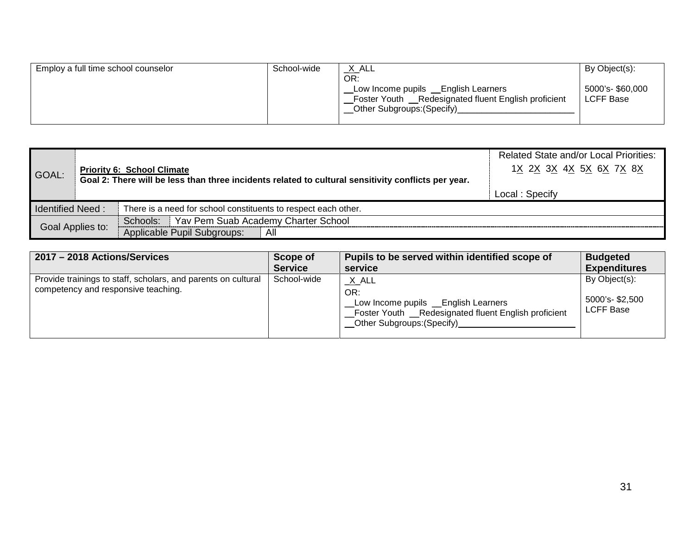|                         |  |                                                                                                                                          | <b>Related State and/or Local Priorities:</b> |
|-------------------------|--|------------------------------------------------------------------------------------------------------------------------------------------|-----------------------------------------------|
| GOAL:                   |  | <b>Priority 6: School Climate</b><br>Goal 2: There will be less than three incidents related to cultural sensitivity conflicts per year. | 1 <u>X 2X 3X 4X 5X 6X 7X 8X</u>               |
|                         |  |                                                                                                                                          |                                               |
|                         |  |                                                                                                                                          | Local: Specify                                |
| <b>Identified Need:</b> |  | There is a need for school constituents to respect each other.                                                                           |                                               |
| Goal Applies to:        |  | Schools: Yav Pem Suab Academy Charter School                                                                                             |                                               |
|                         |  | Applicable Pupil Subgroups:<br>All                                                                                                       |                                               |

| 2017 - 2018 Actions/Services                                                                         | Scope of       | Pupils to be served within identified scope of                                                                                                   | <b>Budgeted</b>                                     |
|------------------------------------------------------------------------------------------------------|----------------|--------------------------------------------------------------------------------------------------------------------------------------------------|-----------------------------------------------------|
|                                                                                                      | <b>Service</b> | service                                                                                                                                          | <b>Expenditures</b>                                 |
| Provide trainings to staff, scholars, and parents on cultural<br>competency and responsive teaching. | School-wide    | X_ALL<br>OR:<br>Low Income pupils __English Learners<br>_Foster Youth __Redesignated fluent English proficient<br>__Other Subgroups: (Specify)__ | By Object(s):<br>5000's-\$2,500<br><b>LCFF Base</b> |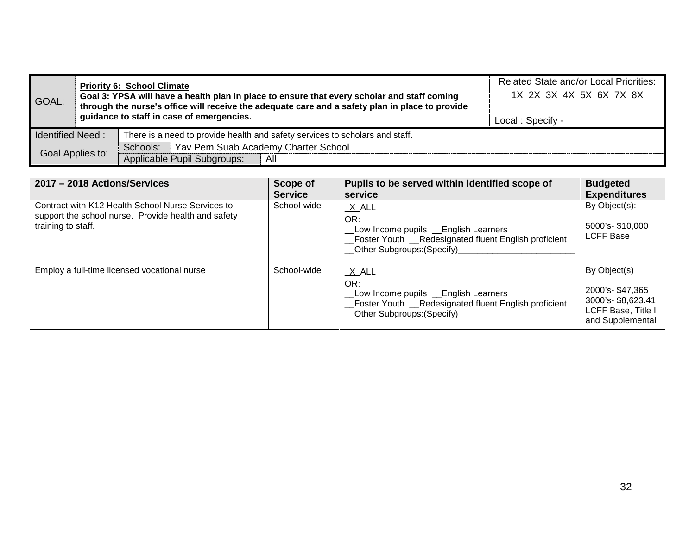| GOAL:                                                                                                   |                  | <b>Priority 6: School Climate</b><br>Goal 3: YPSA will have a health plan in place to ensure that every scholar and staff coming<br>through the nurse's office will receive the adequate care and a safety plan in place to provide<br>guidance to staff in case of emergencies. | <b>Related State and/or Local Priorities:</b><br>1X 2X 3X 4X 5X 6X 7X 8X<br>Local: Specify - |
|---------------------------------------------------------------------------------------------------------|------------------|----------------------------------------------------------------------------------------------------------------------------------------------------------------------------------------------------------------------------------------------------------------------------------|----------------------------------------------------------------------------------------------|
| <b>Identified Need:</b><br>There is a need to provide health and safety services to scholars and staff. |                  |                                                                                                                                                                                                                                                                                  |                                                                                              |
|                                                                                                         |                  | Schools:   Yav Pem Suab Academy Charter School                                                                                                                                                                                                                                   |                                                                                              |
|                                                                                                         | Goal Applies to: | Applicable Pupil Subgroups:<br>All                                                                                                                                                                                                                                               |                                                                                              |

| 2017 - 2018 Actions/Services                                                                                                   | Scope of                      | Pupils to be served within identified scope of                                                                                                                      | <b>Budgeted</b>                                                                                |
|--------------------------------------------------------------------------------------------------------------------------------|-------------------------------|---------------------------------------------------------------------------------------------------------------------------------------------------------------------|------------------------------------------------------------------------------------------------|
| Contract with K12 Health School Nurse Services to<br>support the school nurse. Provide health and safety<br>training to staff. | <b>Service</b><br>School-wide | service<br>X ALL<br>OR:<br>Low Income pupils Lenglish Learners<br>_Foster Youth __Redesignated fluent English proficient<br>__Other Subgroups: (Specify)___________ | <b>Expenditures</b><br>By Object(s):<br>5000's-\$10,000<br><b>LCFF Base</b>                    |
| Employ a full-time licensed vocational nurse                                                                                   | School-wide                   | $X$ $ALL$<br>OR:<br>Low Income pupils _ English Learners<br>_Foster Youth __Redesignated fluent English proficient<br>_Other Subgroups: (Specify)_                  | By Object(s)<br>2000's-\$47,365<br>3000's-\$8,623.41<br>LCFF Base, Title I<br>and Supplemental |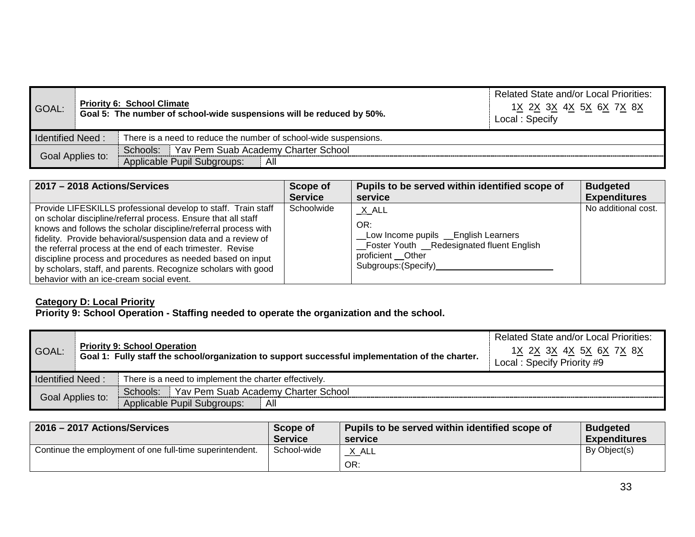| GOAL:                                                                                       |  | <b>Priority 6: School Climate</b><br>Goal 5: The number of school-wide suspensions will be reduced by 50%. | <b>Related State and/or Local Priorities:</b><br>1 <u>X 2X 3X 4X 5X 6X 7X 8X</u><br>Local: Specify |
|---------------------------------------------------------------------------------------------|--|------------------------------------------------------------------------------------------------------------|----------------------------------------------------------------------------------------------------|
| <b>Identified Need:</b><br>There is a need to reduce the number of school-wide suspensions. |  |                                                                                                            |                                                                                                    |
| Goal Applies to:                                                                            |  | Schools: Yav Pem Suab Academy Charter School                                                               |                                                                                                    |
|                                                                                             |  | Applicable Pupil Subgroups:<br>All                                                                         |                                                                                                    |

| 2017 - 2018 Actions/Services                                                                                                                                                                                                                                                                                                                                                                                                                                                                             | Scope of       | Pupils to be served within identified scope of                                                                                                                     | <b>Budgeted</b>     |
|----------------------------------------------------------------------------------------------------------------------------------------------------------------------------------------------------------------------------------------------------------------------------------------------------------------------------------------------------------------------------------------------------------------------------------------------------------------------------------------------------------|----------------|--------------------------------------------------------------------------------------------------------------------------------------------------------------------|---------------------|
|                                                                                                                                                                                                                                                                                                                                                                                                                                                                                                          | <b>Service</b> | service                                                                                                                                                            | <b>Expenditures</b> |
| Provide LIFESKILLS professional develop to staff. Train staff<br>on scholar discipline/referral process. Ensure that all staff<br>knows and follows the scholar discipline/referral process with<br>fidelity. Provide behavioral/suspension data and a review of<br>the referral process at the end of each trimester. Revise<br>discipline process and procedures as needed based on input<br>by scholars, staff, and parents. Recognize scholars with good<br>behavior with an ice-cream social event. | Schoolwide     | <u>_X</u> _ALL<br>OR:<br>Low Income pupils _ English Learners<br>_Foster Youth _Redesignated fluent English<br>proficient __Other<br>Subgroups: (Specify) ________ | No additional cost. |

# **Category D: Local Priority**

**Priority 9: School Operation - Staffing needed to operate the organization and the school.**

| GOAL:            |  | <b>Priority 9: School Operation</b><br>Goal 1: Fully staff the school/organization to support successful implementation of the charter. | <b>Related State and/or Local Priorities:</b><br>1 <u>X 2X 3X 4X 5X 6X 7X 8X</u><br>Local: Specify Priority #9 |
|------------------|--|-----------------------------------------------------------------------------------------------------------------------------------------|----------------------------------------------------------------------------------------------------------------|
| Identified Need: |  | There is a need to implement the charter effectively.                                                                                   |                                                                                                                |
| Goal Applies to: |  | Schools: Yav Pem Suab Academy Charter School                                                                                            |                                                                                                                |
|                  |  | Applicable Pupil Subgroups:<br>All                                                                                                      |                                                                                                                |

| 2016 - 2017 Actions/Services                             | Scope of       | Pupils to be served within identified scope of | <b>Budgeted</b>     |
|----------------------------------------------------------|----------------|------------------------------------------------|---------------------|
|                                                          | <b>Service</b> | service                                        | <b>Expenditures</b> |
| Continue the employment of one full-time superintendent. | School-wide    | _X_ALL<br>OR:                                  | By Object(s)        |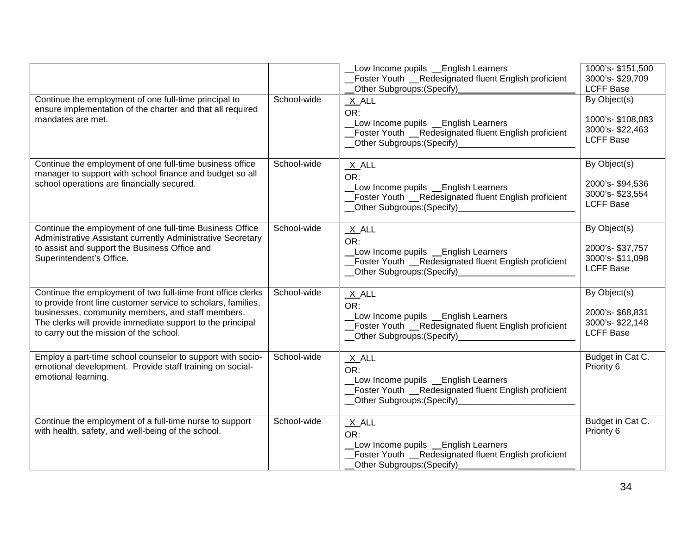|                                                                                                                                                                                                                                                                                             |             | Low Income pupils _ English Learners<br>Foster Youth _Redesignated fluent English proficient<br>Other Subgroups: (Specify)                                                | 1000's-\$151,500<br>3000's-\$29,709<br><b>LCFF Base</b>                 |
|---------------------------------------------------------------------------------------------------------------------------------------------------------------------------------------------------------------------------------------------------------------------------------------------|-------------|---------------------------------------------------------------------------------------------------------------------------------------------------------------------------|-------------------------------------------------------------------------|
| Continue the employment of one full-time principal to<br>ensure implementation of the charter and that all required<br>mandates are met.                                                                                                                                                    | School-wide | $X$ ALL<br>OR:<br>Low Income pupils Learners<br>Foster Youth _Redesignated fluent English proficient                                                                      | By Object(s)<br>1000's-\$108,083<br>3000's-\$22,463<br><b>LCFF Base</b> |
| Continue the employment of one full-time business office<br>manager to support with school finance and budget so all<br>school operations are financially secured.                                                                                                                          | School-wide | $X$ $ALL$<br>OR:<br>Low Income pupils _English Learners<br>_Foster Youth _Redesignated fluent English proficient<br>__Other Subgroups:(Specify)__________________________ | By Object(s)<br>2000's-\$94,536<br>3000's-\$23,554<br><b>LCFF Base</b>  |
| Continue the employment of one full-time Business Office<br>Administrative Assistant currently Administrative Secretary<br>to assist and support the Business Office and<br>Superintendent's Office.                                                                                        | School-wide | $X$ ALL<br>OR:<br>Low Income pupils Lenglish Learners<br>Foster Youth _Redesignated fluent English proficient                                                             | By Object(s)<br>2000's-\$37,757<br>3000's-\$11,098<br><b>LCFF Base</b>  |
| Continue the employment of two full-time front office clerks<br>to provide front line customer service to scholars, families,<br>businesses, community members, and staff members.<br>The clerks will provide immediate support to the principal<br>to carry out the mission of the school. | School-wide | $X$ ALL<br>OR:<br>Low Income pupils Lenglish Learners<br>_Foster Youth _Redesignated fluent English proficient                                                            | By Object(s)<br>2000's-\$68,831<br>3000's-\$22,148<br><b>LCFF Base</b>  |
| Employ a part-time school counselor to support with socio-<br>emotional development. Provide staff training on social-<br>emotional learning.                                                                                                                                               | School-wide | $X$ ALL<br>OR:<br>Low Income pupils _ English Learners<br>Foster Youth _Redesignated fluent English proficient                                                            | Budget in Cat C.<br>Priority 6                                          |
| Continue the employment of a full-time nurse to support<br>with health, safety, and well-being of the school.                                                                                                                                                                               | School-wide | $X$ ALL<br>OR:<br>Low Income pupils _ English Learners<br>Foster Youth _Redesignated fluent English proficient<br>Other Subgroups: (Specify)                              | Budget in Cat C.<br>Priority 6                                          |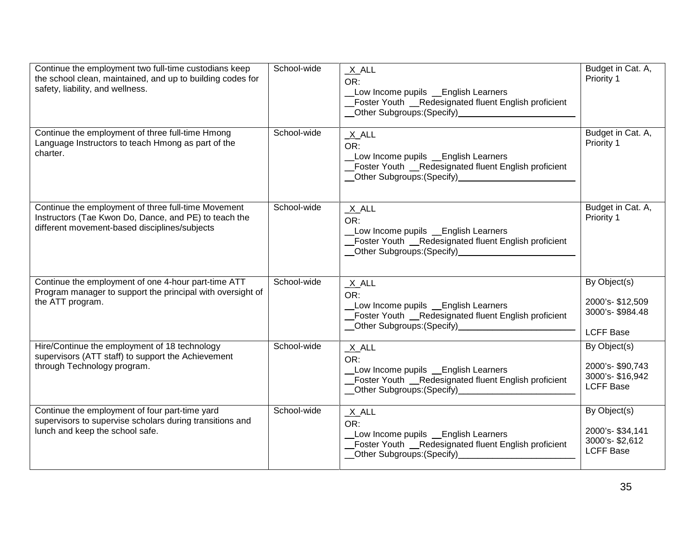| Continue the employment two full-time custodians keep<br>the school clean, maintained, and up to building codes for<br>safety, liability, and wellness.       | School-wide | $X$ ALL<br>OR:<br>Low Income pupils _ English Learners<br>_Foster Youth _Redesignated fluent English proficient<br>_Other Subgroups: (Specify)________________________    | Budget in Cat. A,<br>Priority 1                                        |
|---------------------------------------------------------------------------------------------------------------------------------------------------------------|-------------|---------------------------------------------------------------------------------------------------------------------------------------------------------------------------|------------------------------------------------------------------------|
| Continue the employment of three full-time Hmong<br>Language Instructors to teach Hmong as part of the<br>charter.                                            | School-wide | $X$ ALL<br>OR:<br>Low Income pupils Lenglish Learners<br>_Foster Youth __Redesignated fluent English proficient<br>__Other Subgroups:(Specify)_____________________       | Budget in Cat. A,<br>Priority 1                                        |
| Continue the employment of three full-time Movement<br>Instructors (Tae Kwon Do, Dance, and PE) to teach the<br>different movement-based disciplines/subjects | School-wide | $X$ ALL<br>OR:<br>Low Income pupils _ English Learners<br>_Foster Youth _Redesignated fluent English proficient<br>__Other Subgroups:(Specify)_______________________     | Budget in Cat. A,<br>Priority 1                                        |
| Continue the employment of one 4-hour part-time ATT<br>Program manager to support the principal with oversight of<br>the ATT program.                         | School-wide | $X$ ALL<br>OR:<br>Low Income pupils _ English Learners<br>_Foster Youth __Redesignated fluent English proficient<br>__Other Subgroups:(Specify)__________________________ | By Object(s)<br>2000's-\$12,509<br>3000's-\$984.48<br><b>LCFF Base</b> |
| Hire/Continue the employment of 18 technology<br>supervisors (ATT staff) to support the Achievement<br>through Technology program.                            | School-wide | $X$ ALL<br>OR:<br>Low Income pupils Lenglish Learners<br>_Foster Youth _Redesignated fluent English proficient                                                            | By Object(s)<br>2000's-\$90,743<br>3000's-\$16,942<br><b>LCFF Base</b> |
| Continue the employment of four part-time yard<br>supervisors to supervise scholars during transitions and<br>lunch and keep the school safe.                 | School-wide | $X$ ALL<br>OR:<br>Low Income pupils _English Learners<br>_Foster Youth _Redesignated fluent English proficient                                                            | By Object(s)<br>2000's-\$34,141<br>3000's-\$2,612<br><b>LCFF Base</b>  |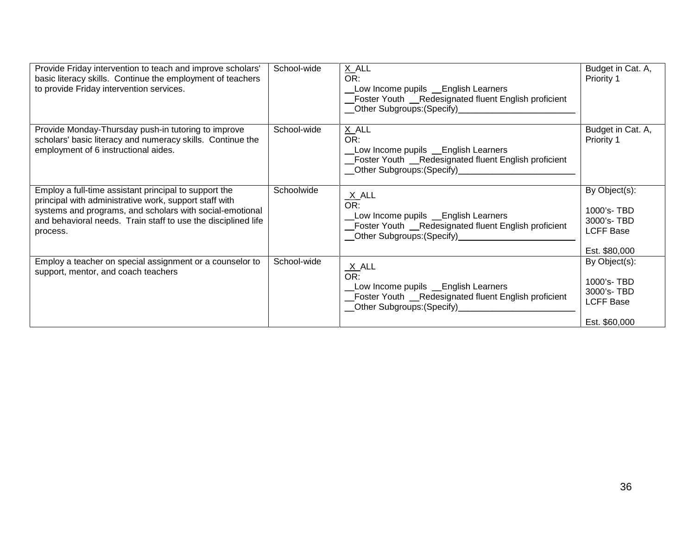| Provide Friday intervention to teach and improve scholars'<br>basic literacy skills. Continue the employment of teachers<br>to provide Friday intervention services.                                                                                     | School-wide | X_ALL<br>OR:<br>Low Income pupils _ English Learners<br>_Foster Youth __Redesignated fluent English proficient<br>__Other Subgroups:(Specify)__________________________ | Budget in Cat. A,<br>Priority 1                                                |
|----------------------------------------------------------------------------------------------------------------------------------------------------------------------------------------------------------------------------------------------------------|-------------|-------------------------------------------------------------------------------------------------------------------------------------------------------------------------|--------------------------------------------------------------------------------|
| Provide Monday-Thursday push-in tutoring to improve<br>scholars' basic literacy and numeracy skills. Continue the<br>employment of 6 instructional aides.                                                                                                | School-wide | X_ALL<br>OR:<br>Low Income pupils _ English Learners<br>Foster Youth __Redesignated fluent English proficient<br>__Other Subgroups: (Specify)___________________        | Budget in Cat. A,<br>Priority 1                                                |
| Employ a full-time assistant principal to support the<br>principal with administrative work, support staff with<br>systems and programs, and scholars with social-emotional<br>and behavioral needs. Train staff to use the disciplined life<br>process. | Schoolwide  | $\frac{X}{OR}$ .<br>Low Income pupils Learners<br>_Foster Youth __Redesignated fluent English proficient<br>__Other Subgroups:(Specify)_______________                  | By Object(s):<br>1000's-TBD<br>3000's-TBD<br><b>LCFF Base</b><br>Est. \$80,000 |
| Employ a teacher on special assignment or a counselor to<br>support, mentor, and coach teachers                                                                                                                                                          | School-wide | $\frac{X}{OR}$ .<br>Low Income pupils Lenglish Learners<br>Foster Youth _Redesignated fluent English proficient<br>__Other Subgroups:(Specify)_____________             | By Object(s):<br>1000's-TBD<br>3000's-TBD<br><b>LCFF Base</b><br>Est. \$60,000 |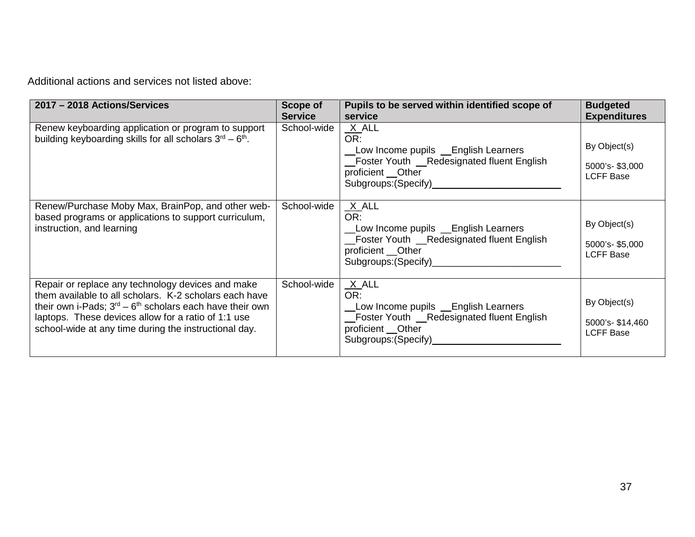Additional actions and services not listed above:

| 2017 - 2018 Actions/Services                                                                                                                                                                                                                                                              | Scope of<br><b>Service</b> | Pupils to be served within identified scope of<br>service                                                                                                             | <b>Budgeted</b><br><b>Expenditures</b>              |
|-------------------------------------------------------------------------------------------------------------------------------------------------------------------------------------------------------------------------------------------------------------------------------------------|----------------------------|-----------------------------------------------------------------------------------------------------------------------------------------------------------------------|-----------------------------------------------------|
| Renew keyboarding application or program to support<br>building keyboarding skills for all scholars $3rd - 6th$ .                                                                                                                                                                         | School-wide                | X_ALL<br>OR:<br>Low Income pupils Lenglish Learners<br>_Foster Youth _Redesignated fluent English<br>proficient __Other<br>Subgroups: (Specify)_________              | By Object(s)<br>5000's-\$3,000<br><b>LCFF Base</b>  |
| Renew/Purchase Moby Max, BrainPop, and other web-<br>based programs or applications to support curriculum,<br>instruction, and learning                                                                                                                                                   | School-wide                | $X$ ALL<br>OR:<br>Low Income pupils Lenglish Learners<br>_Foster Youth __Redesignated fluent English<br>proficient __Other<br>Subgroups: (Specify)___________________ | By Object(s)<br>5000's-\$5,000<br><b>LCFF Base</b>  |
| Repair or replace any technology devices and make<br>them available to all scholars. K-2 scholars each have<br>their own i-Pads; $3rd - 6th$ scholars each have their own<br>laptops. These devices allow for a ratio of 1:1 use<br>school-wide at any time during the instructional day. | School-wide                | $X$ ALL<br>OR:<br>Low Income pupils Lenglish Learners<br>_Foster Youth _Redesignated fluent English<br>proficient __ Other<br>Subgroups: (Specify)____________        | By Object(s)<br>5000's-\$14,460<br><b>LCFF Base</b> |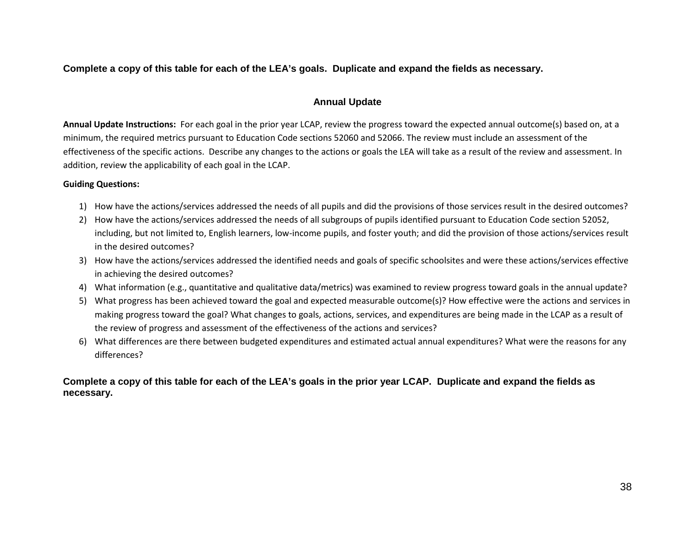**Complete a copy of this table for each of the LEA's goals. Duplicate and expand the fields as necessary.**

# **Annual Update**

**Annual Update Instructions:** For each goal in the prior year LCAP, review the progress toward the expected annual outcome(s) based on, at a minimum, the required metrics pursuant to Education Code sections 52060 and 52066. The review must include an assessment of the effectiveness of the specific actions. Describe any changes to the actions or goals the LEA will take as a result of the review and assessment. In addition, review the applicability of each goal in the LCAP.

# **Guiding Questions:**

- 1) How have the actions/services addressed the needs of all pupils and did the provisions of those services result in the desired outcomes?
- 2) How have the actions/services addressed the needs of all subgroups of pupils identified pursuant to Education Code section 52052, including, but not limited to, English learners, low-income pupils, and foster youth; and did the provision of those actions/services result in the desired outcomes?
- 3) How have the actions/services addressed the identified needs and goals of specific schoolsites and were these actions/services effective in achieving the desired outcomes?
- 4) What information (e.g., quantitative and qualitative data/metrics) was examined to review progress toward goals in the annual update?
- 5) What progress has been achieved toward the goal and expected measurable outcome(s)? How effective were the actions and services in making progress toward the goal? What changes to goals, actions, services, and expenditures are being made in the LCAP as a result of the review of progress and assessment of the effectiveness of the actions and services?
- 6) What differences are there between budgeted expenditures and estimated actual annual expenditures? What were the reasons for any differences?

**Complete a copy of this table for each of the LEA's goals in the prior year LCAP. Duplicate and expand the fields as necessary.**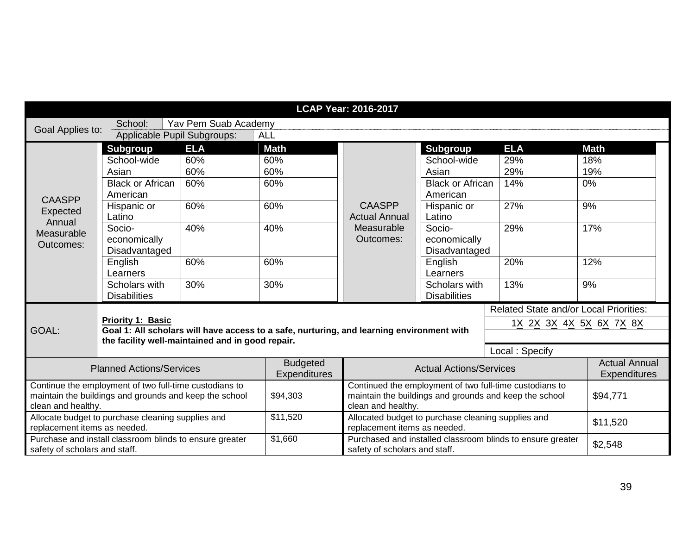|                                                        |                                                         |                                                  |                                                                                           | <b>LCAP Year: 2016-2017</b>                        |                                                        |                                                            |                      |
|--------------------------------------------------------|---------------------------------------------------------|--------------------------------------------------|-------------------------------------------------------------------------------------------|----------------------------------------------------|--------------------------------------------------------|------------------------------------------------------------|----------------------|
| Goal Applies to:                                       | School:                                                 | Yav Pem Suab Academy                             |                                                                                           |                                                    |                                                        |                                                            |                      |
|                                                        | Applicable Pupil Subgroups:                             |                                                  | <b>ALL</b>                                                                                |                                                    |                                                        |                                                            |                      |
|                                                        | <b>Subgroup</b>                                         | <b>ELA</b>                                       | <b>Math</b>                                                                               |                                                    | <b>Subgroup</b>                                        | <b>ELA</b>                                                 | <b>Math</b>          |
|                                                        | School-wide                                             | 60%                                              | 60%                                                                                       |                                                    | School-wide                                            | 29%                                                        | 18%                  |
|                                                        | Asian                                                   | 60%                                              | 60%                                                                                       |                                                    | Asian                                                  | 29%                                                        | 19%                  |
|                                                        | <b>Black or African</b>                                 | 60%                                              | 60%                                                                                       |                                                    | <b>Black or African</b>                                | 14%                                                        | 0%                   |
| <b>CAASPP</b>                                          | American                                                |                                                  |                                                                                           | American                                           |                                                        |                                                            |                      |
| Expected                                               | Hispanic or                                             | 60%                                              | 60%                                                                                       | <b>CAASPP</b>                                      | Hispanic or                                            | 27%                                                        | 9%                   |
| Annual                                                 | Latino                                                  |                                                  |                                                                                           | <b>Actual Annual</b>                               | Latino                                                 |                                                            |                      |
| Measurable                                             | Socio-                                                  | 40%                                              | 40%                                                                                       | Measurable                                         | Socio-                                                 | 29%                                                        | 17%                  |
| Outcomes:                                              | economically                                            |                                                  |                                                                                           | Outcomes:                                          | economically                                           |                                                            |                      |
|                                                        | Disadvantaged                                           |                                                  |                                                                                           |                                                    | Disadvantaged                                          |                                                            |                      |
|                                                        | English                                                 | 60%                                              | 60%                                                                                       |                                                    | English                                                | 20%                                                        | 12%                  |
|                                                        | Learners                                                |                                                  |                                                                                           |                                                    | Learners                                               |                                                            |                      |
|                                                        | Scholars with                                           | 30%                                              | 30%                                                                                       |                                                    | Scholars with                                          | 13%                                                        | 9%                   |
|                                                        | <b>Disabilities</b>                                     |                                                  |                                                                                           |                                                    | <b>Disabilities</b>                                    |                                                            |                      |
|                                                        |                                                         |                                                  |                                                                                           |                                                    |                                                        | <b>Related State and/or Local Priorities:</b>              |                      |
|                                                        | <b>Priority 1: Basic</b>                                |                                                  |                                                                                           |                                                    |                                                        | 1 <u>X 2X 3X 4X 5X 6X 7X 8X</u>                            |                      |
| GOAL:                                                  |                                                         | the facility well-maintained and in good repair. | Goal 1: All scholars will have access to a safe, nurturing, and learning environment with |                                                    |                                                        |                                                            |                      |
|                                                        |                                                         |                                                  |                                                                                           |                                                    |                                                        | Local: Specify                                             |                      |
|                                                        |                                                         |                                                  | <b>Budgeted</b>                                                                           |                                                    |                                                        |                                                            | <b>Actual Annual</b> |
| <b>Planned Actions/Services</b>                        |                                                         | Expenditures                                     |                                                                                           | <b>Actual Actions/Services</b>                     |                                                        | <b>Expenditures</b>                                        |                      |
|                                                        | Continue the employment of two full-time custodians to  |                                                  |                                                                                           |                                                    |                                                        | Continued the employment of two full-time custodians to    |                      |
| maintain the buildings and grounds and keep the school |                                                         | \$94,303                                         |                                                                                           |                                                    | maintain the buildings and grounds and keep the school | \$94,771                                                   |                      |
| clean and healthy.                                     |                                                         |                                                  | clean and healthy.                                                                        |                                                    |                                                        |                                                            |                      |
|                                                        | Allocate budget to purchase cleaning supplies and       |                                                  | \$11,520                                                                                  | Allocated budget to purchase cleaning supplies and |                                                        |                                                            | \$11,520             |
| replacement items as needed.                           |                                                         |                                                  |                                                                                           | replacement items as needed.                       |                                                        |                                                            |                      |
| safety of scholars and staff.                          | Purchase and install classroom blinds to ensure greater |                                                  | \$1,660                                                                                   | safety of scholars and staff.                      |                                                        | Purchased and installed classroom blinds to ensure greater | \$2,548              |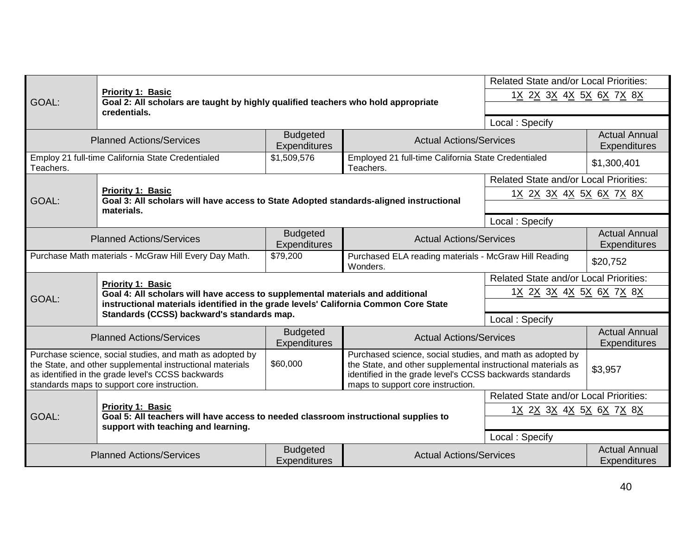|                                                                                                                                                                                                                                                                                                                                                                                                                                                                     | <b>Priority 1: Basic</b>                                                                                    |                                                                                                                                                                        |                                                                  | <b>Related State and/or Local Priorities:</b><br>1 <u>X 2X 3X 4X 5X 6X 7X 8X</u> |                                             |
|---------------------------------------------------------------------------------------------------------------------------------------------------------------------------------------------------------------------------------------------------------------------------------------------------------------------------------------------------------------------------------------------------------------------------------------------------------------------|-------------------------------------------------------------------------------------------------------------|------------------------------------------------------------------------------------------------------------------------------------------------------------------------|------------------------------------------------------------------|----------------------------------------------------------------------------------|---------------------------------------------|
| GOAL:                                                                                                                                                                                                                                                                                                                                                                                                                                                               | Goal 2: All scholars are taught by highly qualified teachers who hold appropriate<br>credentials.           |                                                                                                                                                                        |                                                                  |                                                                                  |                                             |
|                                                                                                                                                                                                                                                                                                                                                                                                                                                                     |                                                                                                             |                                                                                                                                                                        |                                                                  | Local: Specify                                                                   |                                             |
|                                                                                                                                                                                                                                                                                                                                                                                                                                                                     | <b>Planned Actions/Services</b>                                                                             | <b>Budgeted</b><br><b>Expenditures</b>                                                                                                                                 | <b>Actual Actions/Services</b>                                   |                                                                                  | <b>Actual Annual</b><br>Expenditures        |
| Teachers.                                                                                                                                                                                                                                                                                                                                                                                                                                                           | Employ 21 full-time California State Credentialed                                                           | \$1,509,576                                                                                                                                                            | Employed 21 full-time California State Credentialed<br>Teachers. |                                                                                  | \$1,300,401                                 |
|                                                                                                                                                                                                                                                                                                                                                                                                                                                                     |                                                                                                             |                                                                                                                                                                        |                                                                  | <b>Related State and/or Local Priorities:</b>                                    |                                             |
| GOAL:                                                                                                                                                                                                                                                                                                                                                                                                                                                               | Priority 1: Basic<br>Goal 3: All scholars will have access to State Adopted standards-aligned instructional |                                                                                                                                                                        |                                                                  | 1 <u>X 2X 3X 4X 5X 6X 7X 8X</u>                                                  |                                             |
|                                                                                                                                                                                                                                                                                                                                                                                                                                                                     | materials.                                                                                                  |                                                                                                                                                                        |                                                                  |                                                                                  |                                             |
|                                                                                                                                                                                                                                                                                                                                                                                                                                                                     |                                                                                                             |                                                                                                                                                                        |                                                                  | Local: Specify                                                                   |                                             |
| <b>Budgeted</b><br><b>Planned Actions/Services</b><br><b>Actual Actions/Services</b><br>Expenditures                                                                                                                                                                                                                                                                                                                                                                |                                                                                                             |                                                                                                                                                                        | <b>Actual Annual</b><br>Expenditures                             |                                                                                  |                                             |
| Purchase Math materials - McGraw Hill Every Day Math.<br>Purchased ELA reading materials - McGraw Hill Reading<br>\$79,200<br>Wonders.                                                                                                                                                                                                                                                                                                                              |                                                                                                             |                                                                                                                                                                        | \$20,752                                                         |                                                                                  |                                             |
|                                                                                                                                                                                                                                                                                                                                                                                                                                                                     | <b>Priority 1: Basic</b>                                                                                    |                                                                                                                                                                        |                                                                  | <b>Related State and/or Local Priorities:</b>                                    |                                             |
| GOAL:                                                                                                                                                                                                                                                                                                                                                                                                                                                               |                                                                                                             | Goal 4: All scholars will have access to supplemental materials and additional<br>instructional materials identified in the grade levels' California Common Core State |                                                                  | 1 <u>X 2X 3X 4X 5X 6X 7X 8X</u>                                                  |                                             |
|                                                                                                                                                                                                                                                                                                                                                                                                                                                                     | Standards (CCSS) backward's standards map.                                                                  |                                                                                                                                                                        |                                                                  |                                                                                  |                                             |
|                                                                                                                                                                                                                                                                                                                                                                                                                                                                     |                                                                                                             |                                                                                                                                                                        |                                                                  | Local: Specify                                                                   |                                             |
|                                                                                                                                                                                                                                                                                                                                                                                                                                                                     | <b>Planned Actions/Services</b>                                                                             | <b>Budgeted</b><br>Expenditures                                                                                                                                        | <b>Actual Actions/Services</b>                                   |                                                                                  | <b>Actual Annual</b><br>Expenditures        |
| Purchase science, social studies, and math as adopted by<br>Purchased science, social studies, and math as adopted by<br>\$60,000<br>the State, and other supplemental instructional materials<br>the State, and other supplemental instructional materials as<br>as identified in the grade level's CCSS backwards<br>identified in the grade level's CCSS backwards standards<br>standards maps to support core instruction.<br>maps to support core instruction. |                                                                                                             | \$3,957                                                                                                                                                                |                                                                  |                                                                                  |                                             |
|                                                                                                                                                                                                                                                                                                                                                                                                                                                                     |                                                                                                             |                                                                                                                                                                        |                                                                  | <b>Related State and/or Local Priorities:</b>                                    |                                             |
| <b>Priority 1: Basic</b><br>GOAL:<br>Goal 5: All teachers will have access to needed classroom instructional supplies to                                                                                                                                                                                                                                                                                                                                            |                                                                                                             |                                                                                                                                                                        |                                                                  | 1 <u>X 2X 3X 4X 5X 6X 7X 8X</u>                                                  |                                             |
|                                                                                                                                                                                                                                                                                                                                                                                                                                                                     | support with teaching and learning.                                                                         |                                                                                                                                                                        |                                                                  |                                                                                  |                                             |
|                                                                                                                                                                                                                                                                                                                                                                                                                                                                     |                                                                                                             |                                                                                                                                                                        |                                                                  | Local: Specify                                                                   |                                             |
|                                                                                                                                                                                                                                                                                                                                                                                                                                                                     | <b>Planned Actions/Services</b>                                                                             | <b>Budgeted</b><br><b>Expenditures</b>                                                                                                                                 | <b>Actual Actions/Services</b>                                   |                                                                                  | <b>Actual Annual</b><br><b>Expenditures</b> |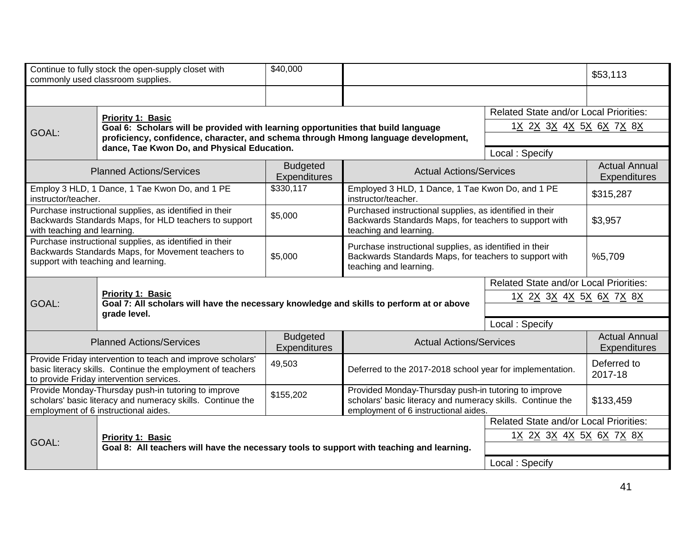|                                                                                                                                                                      | Continue to fully stock the open-supply closet with<br>commonly used classroom supplies.                                                                                                                                                                                                                   | \$40,000                                                                                                                                               |                                                                                                                                                            |                                               | \$53,113                             |
|----------------------------------------------------------------------------------------------------------------------------------------------------------------------|------------------------------------------------------------------------------------------------------------------------------------------------------------------------------------------------------------------------------------------------------------------------------------------------------------|--------------------------------------------------------------------------------------------------------------------------------------------------------|------------------------------------------------------------------------------------------------------------------------------------------------------------|-----------------------------------------------|--------------------------------------|
|                                                                                                                                                                      |                                                                                                                                                                                                                                                                                                            |                                                                                                                                                        |                                                                                                                                                            |                                               |                                      |
|                                                                                                                                                                      | Priority 1: Basic                                                                                                                                                                                                                                                                                          |                                                                                                                                                        |                                                                                                                                                            | <b>Related State and/or Local Priorities:</b> |                                      |
| GOAL:                                                                                                                                                                | Goal 6: Scholars will be provided with learning opportunities that build language                                                                                                                                                                                                                          |                                                                                                                                                        |                                                                                                                                                            | 1 <u>X 2X 3X 4X 5X 6X 7X 8X</u>               |                                      |
| proficiency, confidence, character, and schema through Hmong language development,<br>dance, Tae Kwon Do, and Physical Education.                                    |                                                                                                                                                                                                                                                                                                            |                                                                                                                                                        |                                                                                                                                                            |                                               |                                      |
|                                                                                                                                                                      |                                                                                                                                                                                                                                                                                                            |                                                                                                                                                        | Local: Specify                                                                                                                                             |                                               |                                      |
| <b>Budgeted</b><br><b>Actual Actions/Services</b><br><b>Planned Actions/Services</b><br>Expenditures                                                                 |                                                                                                                                                                                                                                                                                                            |                                                                                                                                                        |                                                                                                                                                            | <b>Actual Annual</b><br>Expenditures          |                                      |
| instructor/teacher.                                                                                                                                                  | Employ 3 HLD, 1 Dance, 1 Tae Kwon Do, and 1 PE                                                                                                                                                                                                                                                             | \$330,117                                                                                                                                              | Employed 3 HLD, 1 Dance, 1 Tae Kwon Do, and 1 PE<br>instructor/teacher.                                                                                    |                                               | \$315,287                            |
|                                                                                                                                                                      | Purchase instructional supplies, as identified in their<br>Purchased instructional supplies, as identified in their<br>\$5,000<br>Backwards Standards Maps, for teachers to support with<br>Backwards Standards Maps, for HLD teachers to support<br>with teaching and learning.<br>teaching and learning. |                                                                                                                                                        | \$3,957                                                                                                                                                    |                                               |                                      |
|                                                                                                                                                                      | Purchase instructional supplies, as identified in their<br>Backwards Standards Maps, for Movement teachers to<br>support with teaching and learning.                                                                                                                                                       | Purchase instructional supplies, as identified in their<br>\$5,000<br>Backwards Standards Maps, for teachers to support with<br>teaching and learning. |                                                                                                                                                            | %5,709                                        |                                      |
|                                                                                                                                                                      |                                                                                                                                                                                                                                                                                                            |                                                                                                                                                        |                                                                                                                                                            | <b>Related State and/or Local Priorities:</b> |                                      |
|                                                                                                                                                                      | Priority 1: Basic                                                                                                                                                                                                                                                                                          |                                                                                                                                                        |                                                                                                                                                            | 1 <u>X 2X 3X 4X 5X 6X 7X 8X</u>               |                                      |
| GOAL:                                                                                                                                                                | grade level.                                                                                                                                                                                                                                                                                               | Goal 7: All scholars will have the necessary knowledge and skills to perform at or above                                                               |                                                                                                                                                            |                                               |                                      |
|                                                                                                                                                                      |                                                                                                                                                                                                                                                                                                            |                                                                                                                                                        |                                                                                                                                                            | Local: Specify                                |                                      |
| <b>Planned Actions/Services</b>                                                                                                                                      |                                                                                                                                                                                                                                                                                                            | <b>Budgeted</b><br>Expenditures                                                                                                                        | <b>Actual Actions/Services</b>                                                                                                                             |                                               | <b>Actual Annual</b><br>Expenditures |
| Provide Friday intervention to teach and improve scholars'<br>basic literacy skills. Continue the employment of teachers<br>to provide Friday intervention services. |                                                                                                                                                                                                                                                                                                            | 49,503                                                                                                                                                 | Deferred to the 2017-2018 school year for implementation.                                                                                                  |                                               | Deferred to<br>2017-18               |
|                                                                                                                                                                      | Provide Monday-Thursday push-in tutoring to improve<br>scholars' basic literacy and numeracy skills. Continue the<br>employment of 6 instructional aides.                                                                                                                                                  | \$155,202                                                                                                                                              | Provided Monday-Thursday push-in tutoring to improve<br>scholars' basic literacy and numeracy skills. Continue the<br>employment of 6 instructional aides. |                                               | \$133,459                            |
|                                                                                                                                                                      |                                                                                                                                                                                                                                                                                                            |                                                                                                                                                        |                                                                                                                                                            | <b>Related State and/or Local Priorities:</b> |                                      |
|                                                                                                                                                                      | <b>Priority 1: Basic</b>                                                                                                                                                                                                                                                                                   |                                                                                                                                                        |                                                                                                                                                            | 1 <u>X 2X 3X 4X 5X 6X 7X 8X</u>               |                                      |
| GOAL:                                                                                                                                                                | Goal 8: All teachers will have the necessary tools to support with teaching and learning.                                                                                                                                                                                                                  |                                                                                                                                                        |                                                                                                                                                            |                                               |                                      |
|                                                                                                                                                                      |                                                                                                                                                                                                                                                                                                            |                                                                                                                                                        |                                                                                                                                                            | Local: Specify                                |                                      |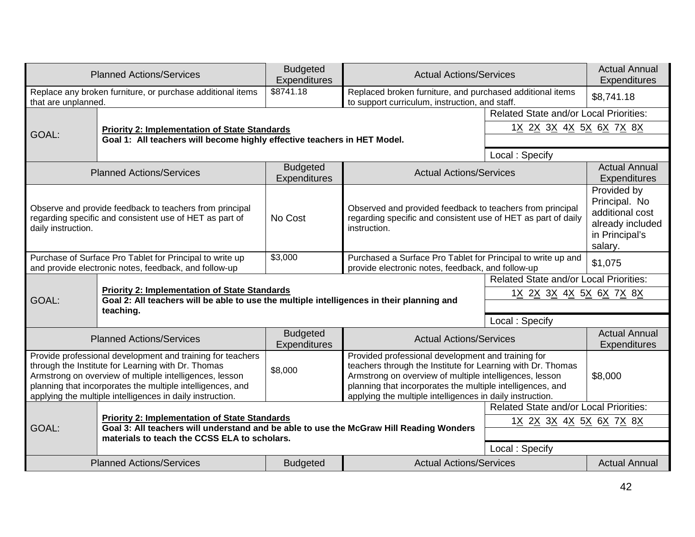|                                                                                                                                                                                                                                                                                                                                                                                                                                                                                                                                                                                                                              | <b>Planned Actions/Services</b>                                                                                                                 | <b>Budgeted</b><br>Expenditures                                                           | <b>Actual Actions/Services</b>                                                                                                             |                                               | <b>Actual Annual</b><br>Expenditures                                                             |
|------------------------------------------------------------------------------------------------------------------------------------------------------------------------------------------------------------------------------------------------------------------------------------------------------------------------------------------------------------------------------------------------------------------------------------------------------------------------------------------------------------------------------------------------------------------------------------------------------------------------------|-------------------------------------------------------------------------------------------------------------------------------------------------|-------------------------------------------------------------------------------------------|--------------------------------------------------------------------------------------------------------------------------------------------|-----------------------------------------------|--------------------------------------------------------------------------------------------------|
| that are unplanned.                                                                                                                                                                                                                                                                                                                                                                                                                                                                                                                                                                                                          | Replace any broken furniture, or purchase additional items                                                                                      | $\overline{$8741.18}$                                                                     | Replaced broken furniture, and purchased additional items<br>to support curriculum, instruction, and staff.                                |                                               | \$8,741.18                                                                                       |
|                                                                                                                                                                                                                                                                                                                                                                                                                                                                                                                                                                                                                              |                                                                                                                                                 |                                                                                           |                                                                                                                                            | <b>Related State and/or Local Priorities:</b> |                                                                                                  |
| GOAL:                                                                                                                                                                                                                                                                                                                                                                                                                                                                                                                                                                                                                        | <b>Priority 2: Implementation of State Standards</b>                                                                                            |                                                                                           |                                                                                                                                            | 1 <u>X 2X 3X 4X 5X 6X 7X 8X</u>               |                                                                                                  |
| Goal 1: All teachers will become highly effective teachers in HET Model.                                                                                                                                                                                                                                                                                                                                                                                                                                                                                                                                                     |                                                                                                                                                 |                                                                                           |                                                                                                                                            |                                               |                                                                                                  |
|                                                                                                                                                                                                                                                                                                                                                                                                                                                                                                                                                                                                                              |                                                                                                                                                 |                                                                                           |                                                                                                                                            | Local: Specify                                |                                                                                                  |
|                                                                                                                                                                                                                                                                                                                                                                                                                                                                                                                                                                                                                              | <b>Planned Actions/Services</b>                                                                                                                 | <b>Budgeted</b><br>Expenditures                                                           | <b>Actual Actions/Services</b>                                                                                                             |                                               | <b>Actual Annual</b><br>Expenditures                                                             |
| daily instruction.                                                                                                                                                                                                                                                                                                                                                                                                                                                                                                                                                                                                           | Observe and provide feedback to teachers from principal<br>regarding specific and consistent use of HET as part of                              | No Cost                                                                                   | Observed and provided feedback to teachers from principal<br>regarding specific and consistent use of HET as part of daily<br>instruction. |                                               | Provided by<br>Principal. No<br>additional cost<br>already included<br>in Principal's<br>salary. |
| \$3,000<br>Purchase of Surface Pro Tablet for Principal to write up<br>Purchased a Surface Pro Tablet for Principal to write up and<br>and provide electronic notes, feedback, and follow-up<br>provide electronic notes, feedback, and follow-up                                                                                                                                                                                                                                                                                                                                                                            |                                                                                                                                                 |                                                                                           | \$1,075                                                                                                                                    |                                               |                                                                                                  |
|                                                                                                                                                                                                                                                                                                                                                                                                                                                                                                                                                                                                                              |                                                                                                                                                 |                                                                                           | Related State and/or Local Priorities:                                                                                                     |                                               |                                                                                                  |
|                                                                                                                                                                                                                                                                                                                                                                                                                                                                                                                                                                                                                              | <b>Priority 2: Implementation of State Standards</b>                                                                                            |                                                                                           | 1 <u>X 2X 3X 4X 5X 6X 7X 8X</u>                                                                                                            |                                               |                                                                                                  |
| GOAL:                                                                                                                                                                                                                                                                                                                                                                                                                                                                                                                                                                                                                        | teaching.                                                                                                                                       | Goal 2: All teachers will be able to use the multiple intelligences in their planning and |                                                                                                                                            |                                               |                                                                                                  |
|                                                                                                                                                                                                                                                                                                                                                                                                                                                                                                                                                                                                                              |                                                                                                                                                 |                                                                                           |                                                                                                                                            | Local: Specify                                |                                                                                                  |
|                                                                                                                                                                                                                                                                                                                                                                                                                                                                                                                                                                                                                              | <b>Budgeted</b><br><b>Actual Actions/Services</b><br><b>Planned Actions/Services</b><br>Expenditures                                            |                                                                                           |                                                                                                                                            | <b>Actual Annual</b><br>Expenditures          |                                                                                                  |
| Provide professional development and training for teachers<br>Provided professional development and training for<br>through the Institute for Learning with Dr. Thomas<br>teachers through the Institute for Learning with Dr. Thomas<br>\$8,000<br>Armstrong on overview of multiple intelligences, lesson<br>Armstrong on overview of multiple intelligences, lesson<br>planning that incorporates the multiple intelligences, and<br>planning that incorporates the multiple intelligences, and<br>applying the multiple intelligences in daily instruction.<br>applying the multiple intelligences in daily instruction. |                                                                                                                                                 |                                                                                           | \$8,000                                                                                                                                    |                                               |                                                                                                  |
|                                                                                                                                                                                                                                                                                                                                                                                                                                                                                                                                                                                                                              |                                                                                                                                                 |                                                                                           |                                                                                                                                            | <b>Related State and/or Local Priorities:</b> |                                                                                                  |
| GOAL:                                                                                                                                                                                                                                                                                                                                                                                                                                                                                                                                                                                                                        | <b>Priority 2: Implementation of State Standards</b><br>Goal 3: All teachers will understand and be able to use the McGraw Hill Reading Wonders |                                                                                           |                                                                                                                                            | 1 <u>X 2X 3X 4X 5X 6X 7X 8X</u>               |                                                                                                  |
|                                                                                                                                                                                                                                                                                                                                                                                                                                                                                                                                                                                                                              | materials to teach the CCSS ELA to scholars.                                                                                                    |                                                                                           |                                                                                                                                            |                                               |                                                                                                  |
|                                                                                                                                                                                                                                                                                                                                                                                                                                                                                                                                                                                                                              |                                                                                                                                                 |                                                                                           |                                                                                                                                            | Local: Specify                                |                                                                                                  |
|                                                                                                                                                                                                                                                                                                                                                                                                                                                                                                                                                                                                                              | <b>Planned Actions/Services</b>                                                                                                                 | <b>Budgeted</b>                                                                           | <b>Actual Actions/Services</b>                                                                                                             |                                               | <b>Actual Annual</b>                                                                             |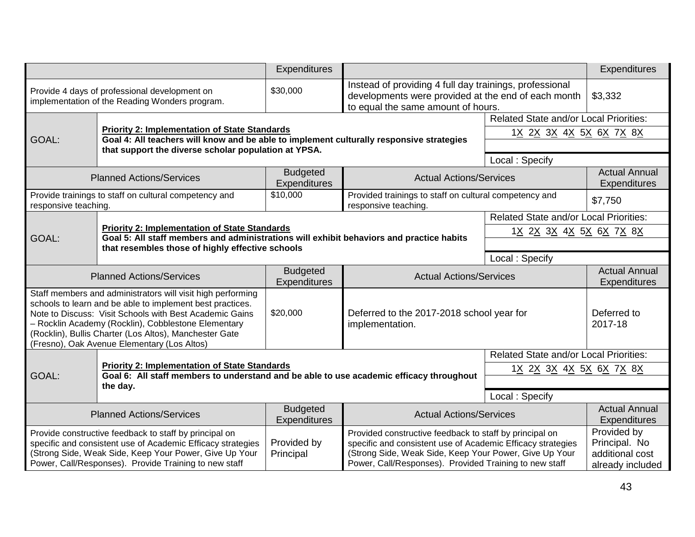|                                                                                                                                                                                                                                                                                                                                                     |                                                                                                                                                  | Expenditures                                                                             |                                                                                                                                                                                                                                            |                                               | Expenditures                                                        |
|-----------------------------------------------------------------------------------------------------------------------------------------------------------------------------------------------------------------------------------------------------------------------------------------------------------------------------------------------------|--------------------------------------------------------------------------------------------------------------------------------------------------|------------------------------------------------------------------------------------------|--------------------------------------------------------------------------------------------------------------------------------------------------------------------------------------------------------------------------------------------|-----------------------------------------------|---------------------------------------------------------------------|
|                                                                                                                                                                                                                                                                                                                                                     | Provide 4 days of professional development on<br>implementation of the Reading Wonders program.                                                  | \$30,000                                                                                 | Instead of providing 4 full day trainings, professional<br>developments were provided at the end of each month<br>to equal the same amount of hours.                                                                                       |                                               | \$3,332                                                             |
|                                                                                                                                                                                                                                                                                                                                                     |                                                                                                                                                  |                                                                                          | <b>Related State and/or Local Priorities:</b>                                                                                                                                                                                              |                                               |                                                                     |
| GOAL:                                                                                                                                                                                                                                                                                                                                               | <b>Priority 2: Implementation of State Standards</b><br>Goal 4: All teachers will know and be able to implement culturally responsive strategies |                                                                                          |                                                                                                                                                                                                                                            | 1 <u>X 2X 3X 4X 5X 6X 7X 8X</u>               |                                                                     |
|                                                                                                                                                                                                                                                                                                                                                     | that support the diverse scholar population at YPSA.                                                                                             |                                                                                          |                                                                                                                                                                                                                                            |                                               |                                                                     |
|                                                                                                                                                                                                                                                                                                                                                     |                                                                                                                                                  |                                                                                          |                                                                                                                                                                                                                                            | Local: Specify                                |                                                                     |
|                                                                                                                                                                                                                                                                                                                                                     | <b>Planned Actions/Services</b>                                                                                                                  | <b>Budgeted</b><br>Expenditures                                                          | <b>Actual Actions/Services</b>                                                                                                                                                                                                             |                                               | <b>Actual Annual</b><br><b>Expenditures</b>                         |
| responsive teaching.                                                                                                                                                                                                                                                                                                                                | Provide trainings to staff on cultural competency and                                                                                            | \$10,000                                                                                 | Provided trainings to staff on cultural competency and<br>responsive teaching.                                                                                                                                                             |                                               | \$7,750                                                             |
|                                                                                                                                                                                                                                                                                                                                                     |                                                                                                                                                  |                                                                                          |                                                                                                                                                                                                                                            | <b>Related State and/or Local Priorities:</b> |                                                                     |
| <b>Priority 2: Implementation of State Standards</b><br>GOAL:<br>that resembles those of highly effective schools                                                                                                                                                                                                                                   |                                                                                                                                                  | Goal 5: All staff members and administrations will exhibit behaviors and practice habits |                                                                                                                                                                                                                                            | 1 <u>X 2X 3X 4X 5X 6X 7X 8X</u>               |                                                                     |
|                                                                                                                                                                                                                                                                                                                                                     |                                                                                                                                                  |                                                                                          |                                                                                                                                                                                                                                            |                                               |                                                                     |
|                                                                                                                                                                                                                                                                                                                                                     |                                                                                                                                                  |                                                                                          |                                                                                                                                                                                                                                            | Local: Specify                                |                                                                     |
|                                                                                                                                                                                                                                                                                                                                                     | <b>Planned Actions/Services</b>                                                                                                                  | <b>Budgeted</b><br>Expenditures                                                          | <b>Actual Actions/Services</b>                                                                                                                                                                                                             |                                               | <b>Actual Annual</b><br><b>Expenditures</b>                         |
| Staff members and administrators will visit high performing<br>schools to learn and be able to implement best practices.<br>Note to Discuss: Visit Schools with Best Academic Gains<br>- Rocklin Academy (Rocklin), Cobblestone Elementary<br>(Rocklin), Bullis Charter (Los Altos), Manchester Gate<br>(Fresno), Oak Avenue Elementary (Los Altos) |                                                                                                                                                  | \$20,000                                                                                 | Deferred to the 2017-2018 school year for<br>implementation.                                                                                                                                                                               |                                               | Deferred to<br>2017-18                                              |
|                                                                                                                                                                                                                                                                                                                                                     |                                                                                                                                                  |                                                                                          |                                                                                                                                                                                                                                            | <b>Related State and/or Local Priorities:</b> |                                                                     |
| GOAL:                                                                                                                                                                                                                                                                                                                                               | <b>Priority 2: Implementation of State Standards</b><br>Goal 6: All staff members to understand and be able to use academic efficacy throughout  |                                                                                          |                                                                                                                                                                                                                                            | 1 <u>X 2X 3X 4X 5X 6X 7X 8X</u>               |                                                                     |
|                                                                                                                                                                                                                                                                                                                                                     | the day.                                                                                                                                         |                                                                                          |                                                                                                                                                                                                                                            |                                               |                                                                     |
|                                                                                                                                                                                                                                                                                                                                                     |                                                                                                                                                  |                                                                                          |                                                                                                                                                                                                                                            | Local: Specify                                |                                                                     |
| <b>Planned Actions/Services</b>                                                                                                                                                                                                                                                                                                                     |                                                                                                                                                  | <b>Budgeted</b><br>Expenditures                                                          | <b>Actual Actions/Services</b>                                                                                                                                                                                                             |                                               | <b>Actual Annual</b><br><b>Expenditures</b>                         |
| Provide constructive feedback to staff by principal on<br>specific and consistent use of Academic Efficacy strategies<br>(Strong Side, Weak Side, Keep Your Power, Give Up Your<br>Power, Call/Responses). Provide Training to new staff                                                                                                            |                                                                                                                                                  | Provided by<br>Principal                                                                 | Provided constructive feedback to staff by principal on<br>specific and consistent use of Academic Efficacy strategies<br>(Strong Side, Weak Side, Keep Your Power, Give Up Your<br>Power, Call/Responses). Provided Training to new staff |                                               | Provided by<br>Principal. No<br>additional cost<br>already included |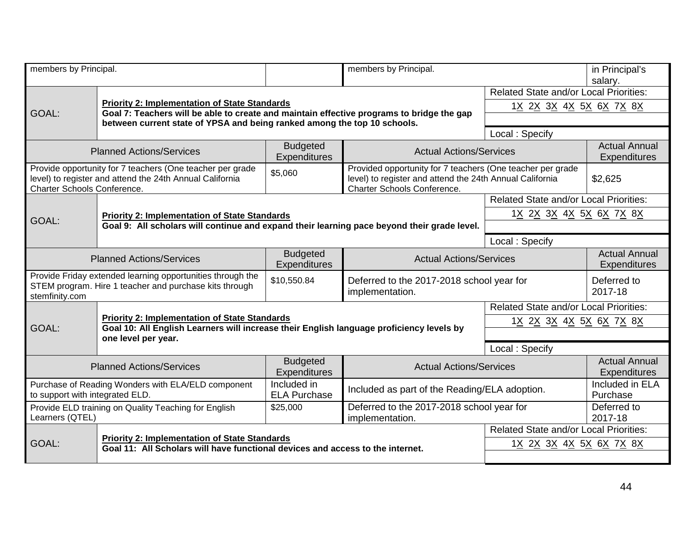| members by Principal.                                                                                                                                                  |                                                                                                                                                  |                                        | members by Principal.                                                                                                                                                   |                                               | in Principal's<br>salary.                   |
|------------------------------------------------------------------------------------------------------------------------------------------------------------------------|--------------------------------------------------------------------------------------------------------------------------------------------------|----------------------------------------|-------------------------------------------------------------------------------------------------------------------------------------------------------------------------|-----------------------------------------------|---------------------------------------------|
|                                                                                                                                                                        |                                                                                                                                                  |                                        |                                                                                                                                                                         | <b>Related State and/or Local Priorities:</b> |                                             |
| GOAL:                                                                                                                                                                  | <b>Priority 2: Implementation of State Standards</b>                                                                                             |                                        |                                                                                                                                                                         | 1 <u>X 2X 3X 4X 5X 6X 7X 8X</u>               |                                             |
| Goal 7: Teachers will be able to create and maintain effective programs to bridge the gap<br>between current state of YPSA and being ranked among the top 10 schools.  |                                                                                                                                                  |                                        |                                                                                                                                                                         |                                               |                                             |
|                                                                                                                                                                        |                                                                                                                                                  |                                        |                                                                                                                                                                         | Local: Specify                                |                                             |
| <b>Budgeted</b><br><b>Planned Actions/Services</b><br><b>Expenditures</b>                                                                                              |                                                                                                                                                  | <b>Actual Actions/Services</b>         |                                                                                                                                                                         | <b>Actual Annual</b><br><b>Expenditures</b>   |                                             |
| Provide opportunity for 7 teachers (One teacher per grade<br>\$5,060<br>level) to register and attend the 24th Annual California<br><b>Charter Schools Conference.</b> |                                                                                                                                                  |                                        | Provided opportunity for 7 teachers (One teacher per grade<br>level) to register and attend the 24th Annual California<br>\$2,625<br><b>Charter Schools Conference.</b> |                                               |                                             |
|                                                                                                                                                                        |                                                                                                                                                  |                                        |                                                                                                                                                                         | <b>Related State and/or Local Priorities:</b> |                                             |
|                                                                                                                                                                        | <b>Priority 2: Implementation of State Standards</b>                                                                                             |                                        |                                                                                                                                                                         | 1 <u>X 2X 3X 4X 5X 6X 7X 8X</u>               |                                             |
| GOAL:<br>Goal 9: All scholars will continue and expand their learning pace beyond their grade level.                                                                   |                                                                                                                                                  |                                        |                                                                                                                                                                         |                                               |                                             |
|                                                                                                                                                                        |                                                                                                                                                  |                                        |                                                                                                                                                                         | Local: Specify                                |                                             |
| <b>Budgeted</b><br><b>Planned Actions/Services</b>                                                                                                                     |                                                                                                                                                  | <b>Expenditures</b>                    | <b>Actual Actions/Services</b>                                                                                                                                          |                                               | <b>Actual Annual</b><br><b>Expenditures</b> |
| Provide Friday extended learning opportunities through the<br>\$10,550.84<br>STEM program. Hire 1 teacher and purchase kits through<br>stemfinity.com                  |                                                                                                                                                  |                                        | Deferred to the 2017-2018 school year for<br>implementation.                                                                                                            |                                               | Deferred to<br>2017-18                      |
|                                                                                                                                                                        |                                                                                                                                                  |                                        |                                                                                                                                                                         | Related State and/or Local Priorities:        |                                             |
| GOAL:                                                                                                                                                                  | <b>Priority 2: Implementation of State Standards</b><br>Goal 10: All English Learners will increase their English language proficiency levels by |                                        | 1 <u>X 2X 3X 4X 5X 6X 7X 8X</u>                                                                                                                                         |                                               |                                             |
|                                                                                                                                                                        | one level per year.                                                                                                                              |                                        |                                                                                                                                                                         |                                               |                                             |
|                                                                                                                                                                        |                                                                                                                                                  |                                        |                                                                                                                                                                         | Local: Specify                                |                                             |
|                                                                                                                                                                        | <b>Planned Actions/Services</b>                                                                                                                  | <b>Budgeted</b><br><b>Expenditures</b> | <b>Actual Actions/Services</b>                                                                                                                                          |                                               | <b>Actual Annual</b><br><b>Expenditures</b> |
| to support with integrated ELD.                                                                                                                                        | Purchase of Reading Wonders with ELA/ELD component                                                                                               | Included in<br><b>ELA Purchase</b>     | Included as part of the Reading/ELA adoption.                                                                                                                           |                                               | Included in ELA<br>Purchase                 |
| Learners (QTEL)                                                                                                                                                        | Provide ELD training on Quality Teaching for English                                                                                             | \$25,000                               | Deferred to the 2017-2018 school year for<br>implementation.                                                                                                            |                                               | Deferred to<br>2017-18                      |
|                                                                                                                                                                        |                                                                                                                                                  |                                        |                                                                                                                                                                         | <b>Related State and/or Local Priorities:</b> |                                             |
| GOAL:                                                                                                                                                                  | <b>Priority 2: Implementation of State Standards</b><br>Goal 11: All Scholars will have functional devices and access to the internet.           |                                        |                                                                                                                                                                         | 1 <u>X 2X 3X 4X 5X 6X 7X 8X</u>               |                                             |
|                                                                                                                                                                        |                                                                                                                                                  |                                        |                                                                                                                                                                         |                                               |                                             |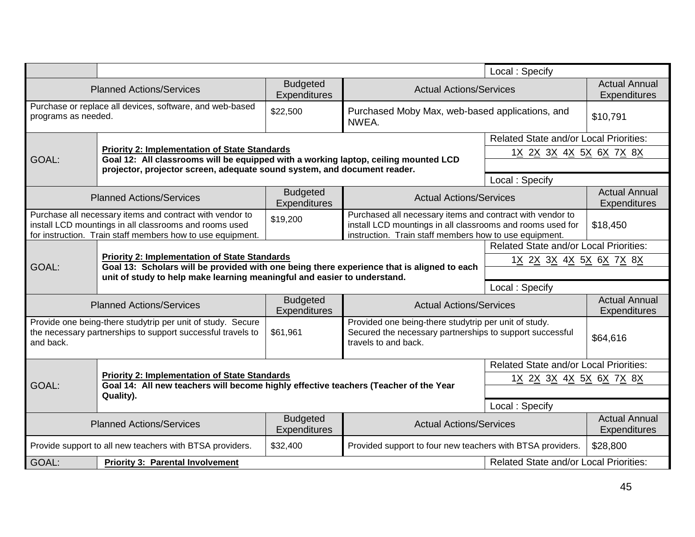|                                                                                                                                                                                                                                                                                                                                                                                   |                                                                                                                                                                                                                         |                                                                                            |                                                                                                                                                       | Local: Specify                                |                                             |
|-----------------------------------------------------------------------------------------------------------------------------------------------------------------------------------------------------------------------------------------------------------------------------------------------------------------------------------------------------------------------------------|-------------------------------------------------------------------------------------------------------------------------------------------------------------------------------------------------------------------------|--------------------------------------------------------------------------------------------|-------------------------------------------------------------------------------------------------------------------------------------------------------|-----------------------------------------------|---------------------------------------------|
|                                                                                                                                                                                                                                                                                                                                                                                   | <b>Planned Actions/Services</b>                                                                                                                                                                                         | <b>Budgeted</b><br>Expenditures                                                            | <b>Actual Actions/Services</b>                                                                                                                        |                                               | <b>Actual Annual</b><br><b>Expenditures</b> |
| programs as needed.                                                                                                                                                                                                                                                                                                                                                               | Purchase or replace all devices, software, and web-based                                                                                                                                                                | \$22,500                                                                                   | Purchased Moby Max, web-based applications, and<br>NWEA.                                                                                              |                                               | \$10,791                                    |
|                                                                                                                                                                                                                                                                                                                                                                                   |                                                                                                                                                                                                                         |                                                                                            |                                                                                                                                                       | <b>Related State and/or Local Priorities:</b> |                                             |
| GOAL:                                                                                                                                                                                                                                                                                                                                                                             | <b>Priority 2: Implementation of State Standards</b><br>Goal 12: All classrooms will be equipped with a working laptop, ceiling mounted LCD<br>projector, projector screen, adequate sound system, and document reader. |                                                                                            |                                                                                                                                                       | 1 <u>X 2X 3X 4X 5X 6X 7X 8X</u>               |                                             |
|                                                                                                                                                                                                                                                                                                                                                                                   |                                                                                                                                                                                                                         |                                                                                            |                                                                                                                                                       | Local: Specify                                |                                             |
|                                                                                                                                                                                                                                                                                                                                                                                   | <b>Planned Actions/Services</b>                                                                                                                                                                                         | <b>Budgeted</b><br>Expenditures                                                            | <b>Actual Actions/Services</b>                                                                                                                        |                                               | <b>Actual Annual</b><br>Expenditures        |
| Purchase all necessary items and contract with vendor to<br>Purchased all necessary items and contract with vendor to<br>\$19,200<br>install LCD mountings in all classrooms and rooms used<br>install LCD mountings in all classrooms and rooms used for<br>for instruction. Train staff members how to use equipment.<br>instruction. Train staff members how to use equipment. |                                                                                                                                                                                                                         |                                                                                            | \$18,450                                                                                                                                              |                                               |                                             |
|                                                                                                                                                                                                                                                                                                                                                                                   |                                                                                                                                                                                                                         |                                                                                            |                                                                                                                                                       | <b>Related State and/or Local Priorities:</b> |                                             |
|                                                                                                                                                                                                                                                                                                                                                                                   | <b>Priority 2: Implementation of State Standards</b>                                                                                                                                                                    |                                                                                            |                                                                                                                                                       |                                               | 1 <u>X 2X 3X 4X 5X 6X 7X 8X</u>             |
| GOAL:                                                                                                                                                                                                                                                                                                                                                                             | unit of study to help make learning meaningful and easier to understand.                                                                                                                                                | Goal 13: Scholars will be provided with one being there experience that is aligned to each |                                                                                                                                                       |                                               |                                             |
|                                                                                                                                                                                                                                                                                                                                                                                   |                                                                                                                                                                                                                         |                                                                                            |                                                                                                                                                       | Local: Specify                                |                                             |
|                                                                                                                                                                                                                                                                                                                                                                                   | <b>Planned Actions/Services</b>                                                                                                                                                                                         | <b>Budgeted</b><br>Expenditures                                                            | <b>Actual Actions/Services</b>                                                                                                                        |                                               | <b>Actual Annual</b><br>Expenditures        |
| Provide one being-there studytrip per unit of study. Secure<br>\$61,961<br>the necessary partnerships to support successful travels to<br>and back.                                                                                                                                                                                                                               |                                                                                                                                                                                                                         |                                                                                            | Provided one being-there studytrip per unit of study.<br>Secured the necessary partnerships to support successful<br>\$64,616<br>travels to and back. |                                               |                                             |
|                                                                                                                                                                                                                                                                                                                                                                                   |                                                                                                                                                                                                                         |                                                                                            |                                                                                                                                                       | <b>Related State and/or Local Priorities:</b> |                                             |
| GOAL:                                                                                                                                                                                                                                                                                                                                                                             | <b>Priority 2: Implementation of State Standards</b><br>Goal 14: All new teachers will become highly effective teachers (Teacher of the Year                                                                            |                                                                                            |                                                                                                                                                       | 1 <u>X 2X 3X 4X 5X 6X 7X 8X</u>               |                                             |
|                                                                                                                                                                                                                                                                                                                                                                                   | Quality).                                                                                                                                                                                                               |                                                                                            |                                                                                                                                                       |                                               |                                             |
|                                                                                                                                                                                                                                                                                                                                                                                   |                                                                                                                                                                                                                         |                                                                                            |                                                                                                                                                       | Local: Specify                                |                                             |
|                                                                                                                                                                                                                                                                                                                                                                                   | <b>Planned Actions/Services</b>                                                                                                                                                                                         | <b>Budgeted</b><br>Expenditures                                                            | <b>Actual Actions/Services</b>                                                                                                                        |                                               | <b>Actual Annual</b><br>Expenditures        |
|                                                                                                                                                                                                                                                                                                                                                                                   | Provide support to all new teachers with BTSA providers.                                                                                                                                                                | \$32,400                                                                                   | \$28,800<br>Provided support to four new teachers with BTSA providers.                                                                                |                                               |                                             |
| GOAL:                                                                                                                                                                                                                                                                                                                                                                             | <b>Priority 3: Parental Involvement</b>                                                                                                                                                                                 |                                                                                            |                                                                                                                                                       | <b>Related State and/or Local Priorities:</b> |                                             |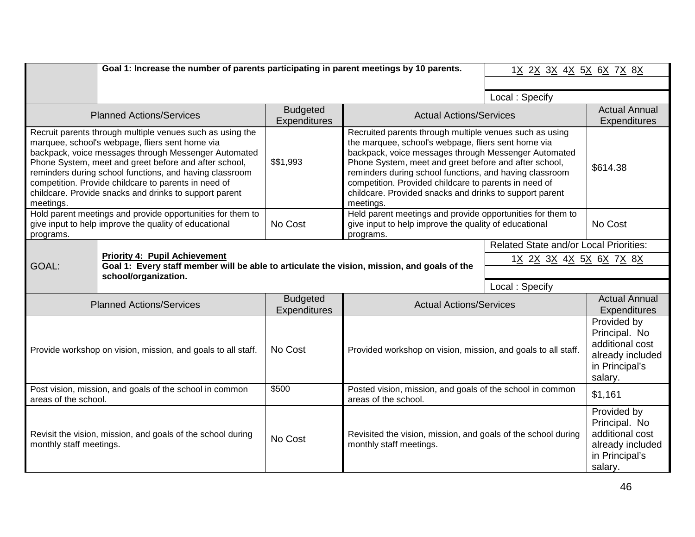|                                                                                                                                                                      | Goal 1: Increase the number of parents participating in parent meetings by 10 parents.                                                                                                                                                                                                                                                                                                                                                                                                                                                                                                                                                                                                                                                                                                                                                                 |                                        |                                                                                                                                  | 1 <u>X 2X 3X 4X 5X 6X 7X 8X</u>                                                  |                                                                                                  |
|----------------------------------------------------------------------------------------------------------------------------------------------------------------------|--------------------------------------------------------------------------------------------------------------------------------------------------------------------------------------------------------------------------------------------------------------------------------------------------------------------------------------------------------------------------------------------------------------------------------------------------------------------------------------------------------------------------------------------------------------------------------------------------------------------------------------------------------------------------------------------------------------------------------------------------------------------------------------------------------------------------------------------------------|----------------------------------------|----------------------------------------------------------------------------------------------------------------------------------|----------------------------------------------------------------------------------|--------------------------------------------------------------------------------------------------|
|                                                                                                                                                                      |                                                                                                                                                                                                                                                                                                                                                                                                                                                                                                                                                                                                                                                                                                                                                                                                                                                        |                                        |                                                                                                                                  | Local: Specify                                                                   |                                                                                                  |
|                                                                                                                                                                      | <b>Planned Actions/Services</b>                                                                                                                                                                                                                                                                                                                                                                                                                                                                                                                                                                                                                                                                                                                                                                                                                        | <b>Budgeted</b><br>Expenditures        | <b>Actual Actions/Services</b>                                                                                                   |                                                                                  | <b>Actual Annual</b><br><b>Expenditures</b>                                                      |
| meetings.                                                                                                                                                            | Recruit parents through multiple venues such as using the<br>Recruited parents through multiple venues such as using<br>the marquee, school's webpage, fliers sent home via<br>marquee, school's webpage, fliers sent home via<br>backpack, voice messages through Messenger Automated<br>backpack, voice messages through Messenger Automated<br>\$\$1,993<br>Phone System, meet and greet before and after school,<br>Phone System, meet and greet before and after school,<br>reminders during school functions, and having classroom<br>reminders during school functions, and having classroom<br>competition. Provide childcare to parents in need of<br>competition. Provided childcare to parents in need of<br>childcare. Provide snacks and drinks to support parent<br>childcare. Provided snacks and drinks to support parent<br>meetings. |                                        | \$614.38                                                                                                                         |                                                                                  |                                                                                                  |
| programs.                                                                                                                                                            | Hold parent meetings and provide opportunities for them to<br>give input to help improve the quality of educational                                                                                                                                                                                                                                                                                                                                                                                                                                                                                                                                                                                                                                                                                                                                    | No Cost                                | Held parent meetings and provide opportunities for them to<br>give input to help improve the quality of educational<br>programs. |                                                                                  | No Cost                                                                                          |
| <b>Priority 4: Pupil Achievement</b><br>Goal 1: Every staff member will be able to articulate the vision, mission, and goals of the<br>GOAL:<br>school/organization. |                                                                                                                                                                                                                                                                                                                                                                                                                                                                                                                                                                                                                                                                                                                                                                                                                                                        |                                        |                                                                                                                                  | <b>Related State and/or Local Priorities:</b><br>1 <u>X 2X 3X 4X 5X 6X 7X 8X</u> |                                                                                                  |
|                                                                                                                                                                      |                                                                                                                                                                                                                                                                                                                                                                                                                                                                                                                                                                                                                                                                                                                                                                                                                                                        |                                        |                                                                                                                                  | Local: Specify                                                                   |                                                                                                  |
|                                                                                                                                                                      | <b>Planned Actions/Services</b>                                                                                                                                                                                                                                                                                                                                                                                                                                                                                                                                                                                                                                                                                                                                                                                                                        | <b>Budgeted</b><br><b>Expenditures</b> | <b>Actual Actions/Services</b>                                                                                                   |                                                                                  | <b>Actual Annual</b><br><b>Expenditures</b>                                                      |
| Provide workshop on vision, mission, and goals to all staff.                                                                                                         |                                                                                                                                                                                                                                                                                                                                                                                                                                                                                                                                                                                                                                                                                                                                                                                                                                                        | No Cost                                | Provided workshop on vision, mission, and goals to all staff.                                                                    |                                                                                  | Provided by<br>Principal. No<br>additional cost<br>already included<br>in Principal's<br>salary. |
| Post vision, mission, and goals of the school in common<br>areas of the school.                                                                                      |                                                                                                                                                                                                                                                                                                                                                                                                                                                                                                                                                                                                                                                                                                                                                                                                                                                        | \$500                                  | Posted vision, mission, and goals of the school in common<br>areas of the school.                                                |                                                                                  | \$1,161                                                                                          |
| monthly staff meetings.                                                                                                                                              | Revisit the vision, mission, and goals of the school during                                                                                                                                                                                                                                                                                                                                                                                                                                                                                                                                                                                                                                                                                                                                                                                            | No Cost                                | Revisited the vision, mission, and goals of the school during<br>monthly staff meetings.                                         |                                                                                  | Provided by<br>Principal. No<br>additional cost<br>already included<br>in Principal's<br>salary. |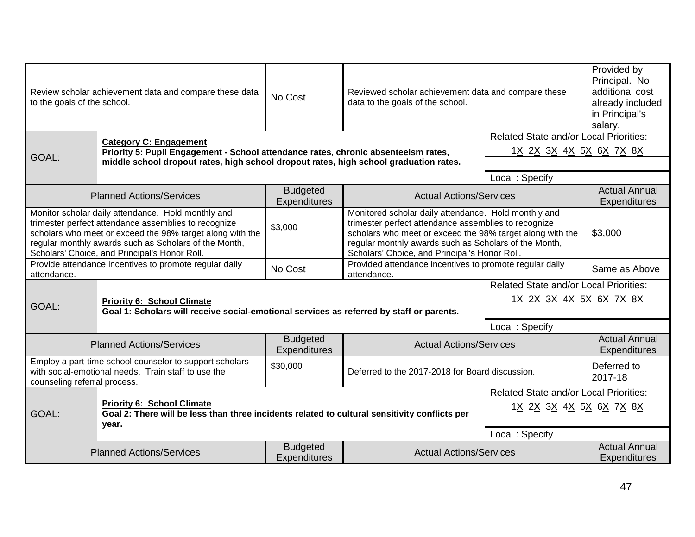| Review scholar achievement data and compare these data<br>No Cost<br>to the goals of the school.                                                                                                                                                                                                                                                                                                                                                                                                                                                                                    |                                                                                       | Reviewed scholar achievement data and compare these<br>data to the goals of the school.  |                                                                        | Provided by<br>Principal. No<br>additional cost<br>already included<br>in Principal's<br>salary. |                                             |
|-------------------------------------------------------------------------------------------------------------------------------------------------------------------------------------------------------------------------------------------------------------------------------------------------------------------------------------------------------------------------------------------------------------------------------------------------------------------------------------------------------------------------------------------------------------------------------------|---------------------------------------------------------------------------------------|------------------------------------------------------------------------------------------|------------------------------------------------------------------------|--------------------------------------------------------------------------------------------------|---------------------------------------------|
|                                                                                                                                                                                                                                                                                                                                                                                                                                                                                                                                                                                     | <b>Category C: Engagement</b>                                                         |                                                                                          |                                                                        | <b>Related State and/or Local Priorities:</b>                                                    |                                             |
|                                                                                                                                                                                                                                                                                                                                                                                                                                                                                                                                                                                     | Priority 5: Pupil Engagement - School attendance rates, chronic absenteeism rates,    |                                                                                          |                                                                        | 1 <u>X 2X 3X 4X 5X 6X 7X 8X</u>                                                                  |                                             |
| GOAL:                                                                                                                                                                                                                                                                                                                                                                                                                                                                                                                                                                               | middle school dropout rates, high school dropout rates, high school graduation rates. |                                                                                          |                                                                        |                                                                                                  |                                             |
|                                                                                                                                                                                                                                                                                                                                                                                                                                                                                                                                                                                     |                                                                                       |                                                                                          |                                                                        | Local: Specify                                                                                   |                                             |
| <b>Budgeted</b><br><b>Planned Actions/Services</b><br>Expenditures                                                                                                                                                                                                                                                                                                                                                                                                                                                                                                                  |                                                                                       |                                                                                          | <b>Actual Actions/Services</b>                                         |                                                                                                  | <b>Actual Annual</b><br><b>Expenditures</b> |
| Monitor scholar daily attendance. Hold monthly and<br>Monitored scholar daily attendance. Hold monthly and<br>trimester perfect attendance assemblies to recognize<br>trimester perfect attendance assemblies to recognize<br>\$3,000<br>scholars who meet or exceed the 98% target along with the<br>scholars who meet or exceed the 98% target along with the<br>regular monthly awards such as Scholars of the Month,<br>regular monthly awards such as Scholars of the Month,<br>Scholars' Choice, and Principal's Honor Roll.<br>Scholars' Choice, and Principal's Honor Roll. |                                                                                       | \$3,000                                                                                  |                                                                        |                                                                                                  |                                             |
| attendance.                                                                                                                                                                                                                                                                                                                                                                                                                                                                                                                                                                         | Provide attendance incentives to promote regular daily                                | No Cost                                                                                  | Provided attendance incentives to promote regular daily<br>attendance. | Same as Above                                                                                    |                                             |
|                                                                                                                                                                                                                                                                                                                                                                                                                                                                                                                                                                                     |                                                                                       |                                                                                          |                                                                        | Related State and/or Local Priorities:                                                           |                                             |
| GOAL:                                                                                                                                                                                                                                                                                                                                                                                                                                                                                                                                                                               | <b>Priority 6: School Climate</b>                                                     | Goal 1: Scholars will receive social-emotional services as referred by staff or parents. |                                                                        | 1 <u>X 2X 3X 4X 5X 6X 7X 8X</u>                                                                  |                                             |
|                                                                                                                                                                                                                                                                                                                                                                                                                                                                                                                                                                                     |                                                                                       |                                                                                          |                                                                        |                                                                                                  |                                             |
|                                                                                                                                                                                                                                                                                                                                                                                                                                                                                                                                                                                     |                                                                                       |                                                                                          |                                                                        | Local: Specify                                                                                   |                                             |
|                                                                                                                                                                                                                                                                                                                                                                                                                                                                                                                                                                                     | <b>Planned Actions/Services</b>                                                       | <b>Budgeted</b><br>Expenditures                                                          | <b>Actual Actions/Services</b>                                         |                                                                                                  | <b>Actual Annual</b><br><b>Expenditures</b> |
| Employ a part-time school counselor to support scholars<br>with social-emotional needs. Train staff to use the<br>counseling referral process.                                                                                                                                                                                                                                                                                                                                                                                                                                      |                                                                                       | \$30,000                                                                                 | Deferred to the 2017-2018 for Board discussion.                        |                                                                                                  | Deferred to<br>2017-18                      |
|                                                                                                                                                                                                                                                                                                                                                                                                                                                                                                                                                                                     |                                                                                       |                                                                                          |                                                                        | <b>Related State and/or Local Priorities:</b>                                                    |                                             |
| <b>Priority 6: School Climate</b>                                                                                                                                                                                                                                                                                                                                                                                                                                                                                                                                                   |                                                                                       |                                                                                          |                                                                        | 1 <u>X 2X 3X 4X 5X 6X 7X 8X</u>                                                                  |                                             |
| GOAL:<br>Goal 2: There will be less than three incidents related to cultural sensitivity conflicts per<br>year.                                                                                                                                                                                                                                                                                                                                                                                                                                                                     |                                                                                       |                                                                                          |                                                                        |                                                                                                  |                                             |
|                                                                                                                                                                                                                                                                                                                                                                                                                                                                                                                                                                                     |                                                                                       |                                                                                          |                                                                        | Local: Specify                                                                                   |                                             |
|                                                                                                                                                                                                                                                                                                                                                                                                                                                                                                                                                                                     | <b>Planned Actions/Services</b>                                                       | <b>Budgeted</b><br><b>Expenditures</b>                                                   | <b>Actual Actions/Services</b>                                         |                                                                                                  | <b>Actual Annual</b><br><b>Expenditures</b> |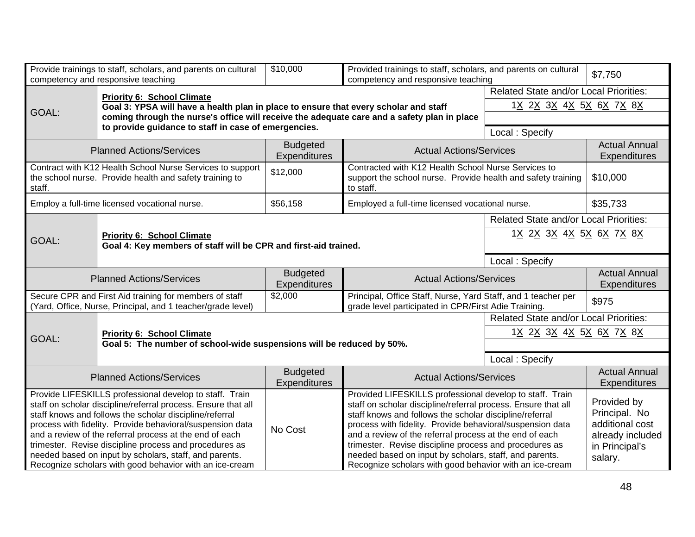|                                                                                                                                                                                                                                                                                                                                                                                                                                                                                            | Provide trainings to staff, scholars, and parents on cultural<br>competency and responsive teaching                   | \$10,000                               | Provided trainings to staff, scholars, and parents on cultural<br>competency and responsive teaching                                                                                                                                                                                                                                                                                                                                                                                        |                                               | \$7,750                                                                                          |  |
|--------------------------------------------------------------------------------------------------------------------------------------------------------------------------------------------------------------------------------------------------------------------------------------------------------------------------------------------------------------------------------------------------------------------------------------------------------------------------------------------|-----------------------------------------------------------------------------------------------------------------------|----------------------------------------|---------------------------------------------------------------------------------------------------------------------------------------------------------------------------------------------------------------------------------------------------------------------------------------------------------------------------------------------------------------------------------------------------------------------------------------------------------------------------------------------|-----------------------------------------------|--------------------------------------------------------------------------------------------------|--|
|                                                                                                                                                                                                                                                                                                                                                                                                                                                                                            | <b>Priority 6: School Climate</b>                                                                                     |                                        |                                                                                                                                                                                                                                                                                                                                                                                                                                                                                             | <b>Related State and/or Local Priorities:</b> |                                                                                                  |  |
|                                                                                                                                                                                                                                                                                                                                                                                                                                                                                            | Goal 3: YPSA will have a health plan in place to ensure that every scholar and staff                                  |                                        |                                                                                                                                                                                                                                                                                                                                                                                                                                                                                             | 1 <u>X 2X 3X 4X 5X 6X 7X 8X</u>               |                                                                                                  |  |
| GOAL:                                                                                                                                                                                                                                                                                                                                                                                                                                                                                      | coming through the nurse's office will receive the adequate care and a safety plan in place                           |                                        |                                                                                                                                                                                                                                                                                                                                                                                                                                                                                             |                                               |                                                                                                  |  |
|                                                                                                                                                                                                                                                                                                                                                                                                                                                                                            | to provide guidance to staff in case of emergencies.                                                                  |                                        |                                                                                                                                                                                                                                                                                                                                                                                                                                                                                             | Local: Specify                                |                                                                                                  |  |
|                                                                                                                                                                                                                                                                                                                                                                                                                                                                                            | <b>Planned Actions/Services</b>                                                                                       | <b>Budgeted</b><br><b>Expenditures</b> | <b>Actual Actions/Services</b>                                                                                                                                                                                                                                                                                                                                                                                                                                                              |                                               | <b>Actual Annual</b><br><b>Expenditures</b>                                                      |  |
| staff.                                                                                                                                                                                                                                                                                                                                                                                                                                                                                     | Contract with K12 Health School Nurse Services to support<br>the school nurse. Provide health and safety training to  | \$12,000                               | Contracted with K12 Health School Nurse Services to<br>support the school nurse. Provide health and safety training<br>to staff.                                                                                                                                                                                                                                                                                                                                                            |                                               | \$10,000                                                                                         |  |
|                                                                                                                                                                                                                                                                                                                                                                                                                                                                                            | Employ a full-time licensed vocational nurse.                                                                         | \$56,158                               | Employed a full-time licensed vocational nurse.                                                                                                                                                                                                                                                                                                                                                                                                                                             |                                               | \$35,733                                                                                         |  |
|                                                                                                                                                                                                                                                                                                                                                                                                                                                                                            |                                                                                                                       |                                        |                                                                                                                                                                                                                                                                                                                                                                                                                                                                                             | Related State and/or Local Priorities:        |                                                                                                  |  |
|                                                                                                                                                                                                                                                                                                                                                                                                                                                                                            | <b>Priority 6: School Climate</b>                                                                                     |                                        |                                                                                                                                                                                                                                                                                                                                                                                                                                                                                             | 1 <u>X 2X 3X 4X 5X 6X 7X 8X</u>               |                                                                                                  |  |
| GOAL:                                                                                                                                                                                                                                                                                                                                                                                                                                                                                      | Goal 4: Key members of staff will be CPR and first-aid trained.                                                       |                                        |                                                                                                                                                                                                                                                                                                                                                                                                                                                                                             |                                               |                                                                                                  |  |
| Local: Specify                                                                                                                                                                                                                                                                                                                                                                                                                                                                             |                                                                                                                       |                                        |                                                                                                                                                                                                                                                                                                                                                                                                                                                                                             |                                               |                                                                                                  |  |
| <b>Planned Actions/Services</b>                                                                                                                                                                                                                                                                                                                                                                                                                                                            |                                                                                                                       | <b>Budgeted</b><br>Expenditures        | <b>Actual Actions/Services</b>                                                                                                                                                                                                                                                                                                                                                                                                                                                              |                                               | <b>Actual Annual</b><br><b>Expenditures</b>                                                      |  |
|                                                                                                                                                                                                                                                                                                                                                                                                                                                                                            | Secure CPR and First Aid training for members of staff<br>(Yard, Office, Nurse, Principal, and 1 teacher/grade level) | \$2,000                                | Principal, Office Staff, Nurse, Yard Staff, and 1 teacher per<br>grade level participated in CPR/First Adie Training.                                                                                                                                                                                                                                                                                                                                                                       |                                               | \$975                                                                                            |  |
|                                                                                                                                                                                                                                                                                                                                                                                                                                                                                            |                                                                                                                       |                                        |                                                                                                                                                                                                                                                                                                                                                                                                                                                                                             | <b>Related State and/or Local Priorities:</b> |                                                                                                  |  |
|                                                                                                                                                                                                                                                                                                                                                                                                                                                                                            | <b>Priority 6: School Climate</b>                                                                                     |                                        |                                                                                                                                                                                                                                                                                                                                                                                                                                                                                             | 1 <u>X 2X 3X 4X 5X 6X 7X 8X</u>               |                                                                                                  |  |
| GOAL:                                                                                                                                                                                                                                                                                                                                                                                                                                                                                      | Goal 5: The number of school-wide suspensions will be reduced by 50%.                                                 |                                        |                                                                                                                                                                                                                                                                                                                                                                                                                                                                                             |                                               |                                                                                                  |  |
|                                                                                                                                                                                                                                                                                                                                                                                                                                                                                            |                                                                                                                       |                                        |                                                                                                                                                                                                                                                                                                                                                                                                                                                                                             | Local: Specify                                |                                                                                                  |  |
| <b>Planned Actions/Services</b>                                                                                                                                                                                                                                                                                                                                                                                                                                                            |                                                                                                                       | <b>Budgeted</b><br>Expenditures        | <b>Actual Actions/Services</b>                                                                                                                                                                                                                                                                                                                                                                                                                                                              |                                               | <b>Actual Annual</b><br><b>Expenditures</b>                                                      |  |
| Provide LIFESKILLS professional develop to staff. Train<br>staff on scholar discipline/referral process. Ensure that all<br>staff knows and follows the scholar discipline/referral<br>process with fidelity. Provide behavioral/suspension data<br>and a review of the referral process at the end of each<br>trimester. Revise discipline process and procedures as<br>needed based on input by scholars, staff, and parents.<br>Recognize scholars with good behavior with an ice-cream |                                                                                                                       | No Cost                                | Provided LIFESKILLS professional develop to staff. Train<br>staff on scholar discipline/referral process. Ensure that all<br>staff knows and follows the scholar discipline/referral<br>process with fidelity. Provide behavioral/suspension data<br>and a review of the referral process at the end of each<br>trimester. Revise discipline process and procedures as<br>needed based on input by scholars, staff, and parents.<br>Recognize scholars with good behavior with an ice-cream |                                               | Provided by<br>Principal. No<br>additional cost<br>already included<br>in Principal's<br>salary. |  |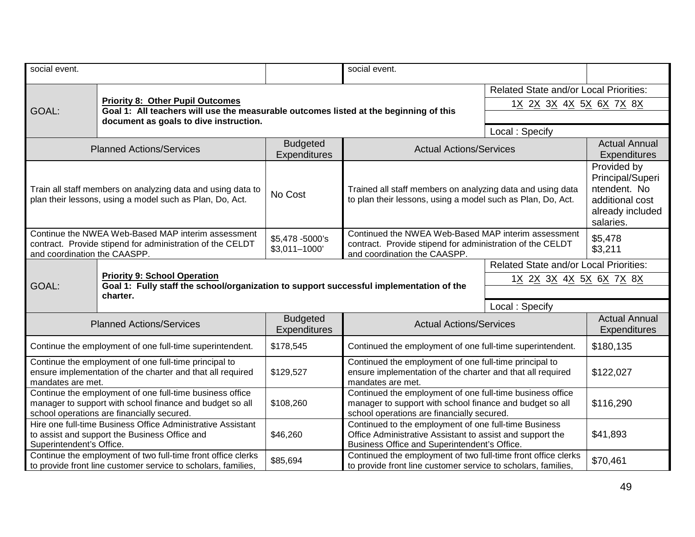| social event.                                                                                                                                                      |                                                                                                                                 |                                        | social event.                                                                                                                                                                  |                                                                                                     |  |  |
|--------------------------------------------------------------------------------------------------------------------------------------------------------------------|---------------------------------------------------------------------------------------------------------------------------------|----------------------------------------|--------------------------------------------------------------------------------------------------------------------------------------------------------------------------------|-----------------------------------------------------------------------------------------------------|--|--|
|                                                                                                                                                                    |                                                                                                                                 |                                        |                                                                                                                                                                                | <b>Related State and/or Local Priorities:</b>                                                       |  |  |
| GOAL:                                                                                                                                                              | <b>Priority 8: Other Pupil Outcomes</b>                                                                                         |                                        |                                                                                                                                                                                | 1 <u>X 2X 3X 4X 5X 6X 7X 8X</u>                                                                     |  |  |
|                                                                                                                                                                    | Goal 1: All teachers will use the measurable outcomes listed at the beginning of this<br>document as goals to dive instruction. |                                        |                                                                                                                                                                                |                                                                                                     |  |  |
|                                                                                                                                                                    |                                                                                                                                 |                                        |                                                                                                                                                                                | Local: Specify                                                                                      |  |  |
| <b>Planned Actions/Services</b>                                                                                                                                    |                                                                                                                                 | <b>Budgeted</b><br><b>Expenditures</b> | <b>Actual Actions/Services</b>                                                                                                                                                 | <b>Actual Annual</b><br><b>Expenditures</b>                                                         |  |  |
| Train all staff members on analyzing data and using data to<br>plan their lessons, using a model such as Plan, Do, Act.                                            |                                                                                                                                 | No Cost                                | Trained all staff members on analyzing data and using data<br>to plan their lessons, using a model such as Plan, Do, Act.                                                      | Provided by<br>Principal/Superi<br>ntendent. No<br>additional cost<br>already included<br>salaries. |  |  |
| Continue the NWEA Web-Based MAP interim assessment<br>contract. Provide stipend for administration of the CELDT<br>and coordination the CAASPP.                    |                                                                                                                                 | \$5,478 -5000's<br>$$3,011-1000'$      | Continued the NWEA Web-Based MAP interim assessment<br>contract. Provide stipend for administration of the CELDT<br>and coordination the CAASPP.                               | \$5,478<br>\$3,211                                                                                  |  |  |
|                                                                                                                                                                    | <b>Priority 9: School Operation</b><br>Goal 1: Fully staff the school/organization to support successful implementation of the  |                                        | <b>Related State and/or Local Priorities:</b><br>1 <u>X 2X 3X 4X 5X 6X 7X 8X</u>                                                                                               |                                                                                                     |  |  |
| GOAL:                                                                                                                                                              |                                                                                                                                 |                                        |                                                                                                                                                                                |                                                                                                     |  |  |
|                                                                                                                                                                    | charter.                                                                                                                        |                                        | Local: Specify                                                                                                                                                                 |                                                                                                     |  |  |
|                                                                                                                                                                    |                                                                                                                                 |                                        |                                                                                                                                                                                |                                                                                                     |  |  |
| <b>Planned Actions/Services</b>                                                                                                                                    |                                                                                                                                 | <b>Budgeted</b><br>Expenditures        | <b>Actual Actions/Services</b>                                                                                                                                                 | <b>Actual Annual</b><br>Expenditures                                                                |  |  |
| Continue the employment of one full-time superintendent.                                                                                                           |                                                                                                                                 | \$178,545                              | Continued the employment of one full-time superintendent.                                                                                                                      | \$180,135                                                                                           |  |  |
| Continue the employment of one full-time principal to<br>ensure implementation of the charter and that all required<br>mandates are met.                           |                                                                                                                                 | \$129,527                              | Continued the employment of one full-time principal to<br>ensure implementation of the charter and that all required<br>mandates are met.                                      | \$122,027                                                                                           |  |  |
| Continue the employment of one full-time business office<br>manager to support with school finance and budget so all<br>school operations are financially secured. |                                                                                                                                 | \$108,260                              | Continued the employment of one full-time business office<br>manager to support with school finance and budget so all<br>school operations are financially secured.            | \$116,290                                                                                           |  |  |
| Hire one full-time Business Office Administrative Assistant<br>to assist and support the Business Office and<br>Superintendent's Office.                           |                                                                                                                                 | \$46,260                               | Continued to the employment of one full-time Business<br>Office Administrative Assistant to assist and support the<br>\$41,893<br>Business Office and Superintendent's Office. |                                                                                                     |  |  |
| Continue the employment of two full-time front office clerks<br>to provide front line customer service to scholars, families,                                      |                                                                                                                                 | \$85,694                               | Continued the employment of two full-time front office clerks<br>\$70,461<br>to provide front line customer service to scholars, families,                                     |                                                                                                     |  |  |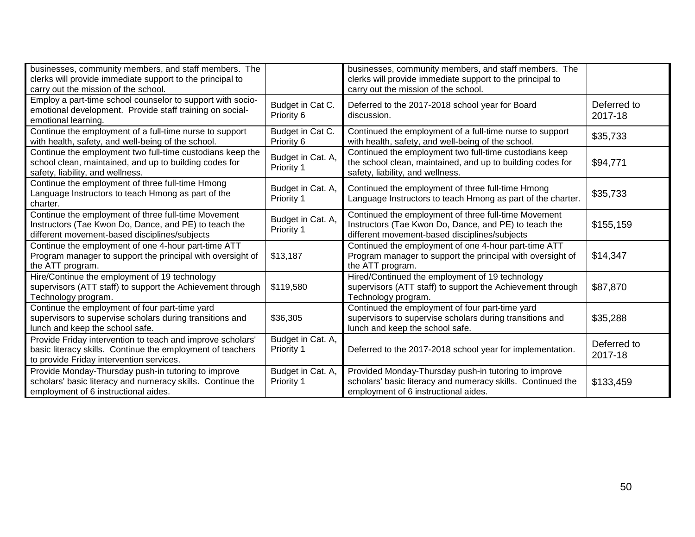| businesses, community members, and staff members. The<br>clerks will provide immediate support to the principal to<br>carry out the mission of the school.           |                                        | businesses, community members, and staff members. The<br>clerks will provide immediate support to the principal to<br>carry out the mission of the school.     |                        |
|----------------------------------------------------------------------------------------------------------------------------------------------------------------------|----------------------------------------|----------------------------------------------------------------------------------------------------------------------------------------------------------------|------------------------|
| Employ a part-time school counselor to support with socio-<br>emotional development. Provide staff training on social-<br>emotional learning.                        | Budget in Cat C.<br>Priority 6         | Deferred to the 2017-2018 school year for Board<br>discussion.                                                                                                 | Deferred to<br>2017-18 |
| Continue the employment of a full-time nurse to support<br>with health, safety, and well-being of the school.                                                        | Budget in Cat C.<br>Priority 6         | Continued the employment of a full-time nurse to support<br>with health, safety, and well-being of the school.                                                 | \$35,733               |
| Continue the employment two full-time custodians keep the<br>school clean, maintained, and up to building codes for<br>safety, liability, and wellness.              | Budget in Cat. A,<br>Priority 1        | Continued the employment two full-time custodians keep<br>the school clean, maintained, and up to building codes for<br>safety, liability, and wellness.       | \$94,771               |
| Continue the employment of three full-time Hmong<br>Language Instructors to teach Hmong as part of the<br>charter.                                                   | Budget in Cat. A,<br>Priority 1        | Continued the employment of three full-time Hmong<br>Language Instructors to teach Hmong as part of the charter.                                               | \$35,733               |
| Continue the employment of three full-time Movement<br>Instructors (Tae Kwon Do, Dance, and PE) to teach the<br>different movement-based disciplines/subjects        | Budget in Cat. A,<br>Priority 1        | Continued the employment of three full-time Movement<br>Instructors (Tae Kwon Do, Dance, and PE) to teach the<br>different movement-based disciplines/subjects | \$155,159              |
| Continue the employment of one 4-hour part-time ATT<br>Program manager to support the principal with oversight of<br>the ATT program.                                | \$13,187                               | Continued the employment of one 4-hour part-time ATT<br>Program manager to support the principal with oversight of<br>the ATT program.                         | \$14,347               |
| Hire/Continue the employment of 19 technology<br>supervisors (ATT staff) to support the Achievement through<br>Technology program.                                   | \$119,580                              | Hired/Continued the employment of 19 technology<br>supervisors (ATT staff) to support the Achievement through<br>Technology program.                           | \$87,870               |
| Continue the employment of four part-time yard<br>supervisors to supervise scholars during transitions and<br>lunch and keep the school safe.                        | \$36,305                               | Continued the employment of four part-time yard<br>supervisors to supervise scholars during transitions and<br>lunch and keep the school safe.                 | \$35,288               |
| Provide Friday intervention to teach and improve scholars'<br>basic literacy skills. Continue the employment of teachers<br>to provide Friday intervention services. | Budget in Cat. A,<br><b>Priority 1</b> | Deferred to the 2017-2018 school year for implementation.                                                                                                      | Deferred to<br>2017-18 |
| Provide Monday-Thursday push-in tutoring to improve<br>scholars' basic literacy and numeracy skills. Continue the<br>employment of 6 instructional aides.            | Budget in Cat. A,<br>Priority 1        | Provided Monday-Thursday push-in tutoring to improve<br>scholars' basic literacy and numeracy skills. Continued the<br>employment of 6 instructional aides.    | \$133,459              |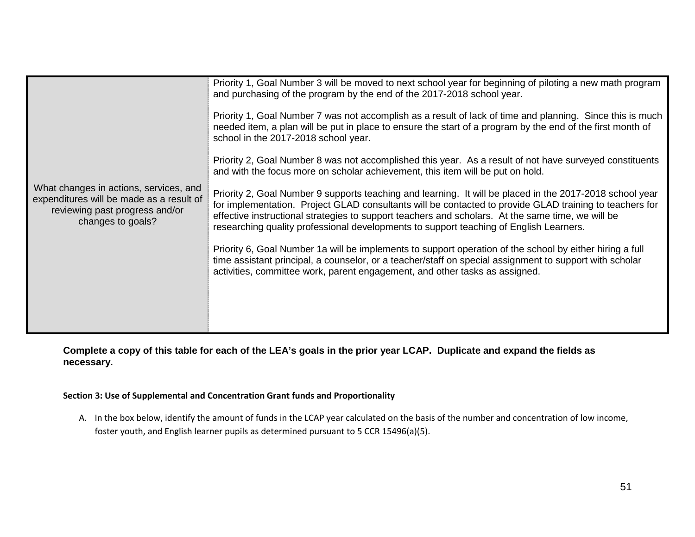|                                                                                                                                           | Priority 1, Goal Number 3 will be moved to next school year for beginning of piloting a new math program<br>and purchasing of the program by the end of the 2017-2018 school year.                                                                                                                                                                                                                                 |
|-------------------------------------------------------------------------------------------------------------------------------------------|--------------------------------------------------------------------------------------------------------------------------------------------------------------------------------------------------------------------------------------------------------------------------------------------------------------------------------------------------------------------------------------------------------------------|
|                                                                                                                                           | Priority 1, Goal Number 7 was not accomplish as a result of lack of time and planning. Since this is much<br>needed item, a plan will be put in place to ensure the start of a program by the end of the first month of<br>school in the 2017-2018 school year.                                                                                                                                                    |
|                                                                                                                                           | Priority 2, Goal Number 8 was not accomplished this year. As a result of not have surveyed constituents<br>and with the focus more on scholar achievement, this item will be put on hold.                                                                                                                                                                                                                          |
| What changes in actions, services, and<br>expenditures will be made as a result of<br>reviewing past progress and/or<br>changes to goals? | Priority 2, Goal Number 9 supports teaching and learning. It will be placed in the 2017-2018 school year<br>for implementation. Project GLAD consultants will be contacted to provide GLAD training to teachers for<br>effective instructional strategies to support teachers and scholars. At the same time, we will be<br>researching quality professional developments to support teaching of English Learners. |
|                                                                                                                                           | Priority 6, Goal Number 1a will be implements to support operation of the school by either hiring a full<br>time assistant principal, a counselor, or a teacher/staff on special assignment to support with scholar<br>activities, committee work, parent engagement, and other tasks as assigned.                                                                                                                 |
|                                                                                                                                           |                                                                                                                                                                                                                                                                                                                                                                                                                    |
|                                                                                                                                           |                                                                                                                                                                                                                                                                                                                                                                                                                    |

**Complete a copy of this table for each of the LEA's goals in the prior year LCAP. Duplicate and expand the fields as necessary.**

### **Section 3: Use of Supplemental and Concentration Grant funds and Proportionality**

A. In the box below, identify the amount of funds in the LCAP year calculated on the basis of the number and concentration of low income, foster youth, and English learner pupils as determined pursuant to 5 CCR 15496(a)(5).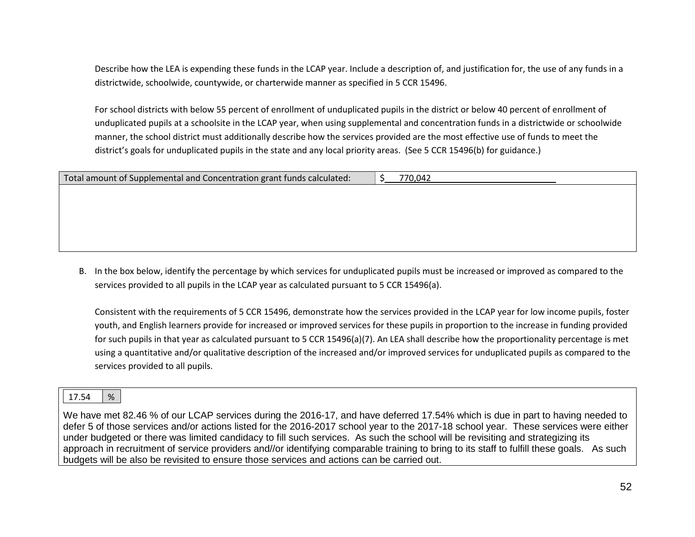Describe how the LEA is expending these funds in the LCAP year. Include a description of, and justification for, the use of any funds in a districtwide, schoolwide, countywide, or charterwide manner as specified in 5 CCR 15496.

For school districts with below 55 percent of enrollment of unduplicated pupils in the district or below 40 percent of enrollment of unduplicated pupils at a schoolsite in the LCAP year, when using supplemental and concentration funds in a districtwide or schoolwide manner, the school district must additionally describe how the services provided are the most effective use of funds to meet the district's goals for unduplicated pupils in the state and any local priority areas. (See 5 CCR 15496(b) for guidance.)

| Total amount of Supplemental and Concentration grant funds calculated: | 770,042 |
|------------------------------------------------------------------------|---------|
|                                                                        |         |
|                                                                        |         |
|                                                                        |         |
|                                                                        |         |
|                                                                        |         |
|                                                                        |         |

B. In the box below, identify the percentage by which services for unduplicated pupils must be increased or improved as compared to the services provided to all pupils in the LCAP year as calculated pursuant to 5 CCR 15496(a).

Consistent with the requirements of 5 CCR 15496, demonstrate how the services provided in the LCAP year for low income pupils, foster youth, and English learners provide for increased or improved services for these pupils in proportion to the increase in funding provided for such pupils in that year as calculated pursuant to 5 CCR 15496(a)(7). An LEA shall describe how the proportionality percentage is met using a quantitative and/or qualitative description of the increased and/or improved services for unduplicated pupils as compared to the services provided to all pupils.

# 17.54 %

We have met 82.46 % of our LCAP services during the 2016-17, and have deferred 17.54% which is due in part to having needed to defer 5 of those services and/or actions listed for the 2016-2017 school year to the 2017-18 school year. These services were either under budgeted or there was limited candidacy to fill such services. As such the school will be revisiting and strategizing its approach in recruitment of service providers and//or identifying comparable training to bring to its staff to fulfill these goals. As such budgets will be also be revisited to ensure those services and actions can be carried out.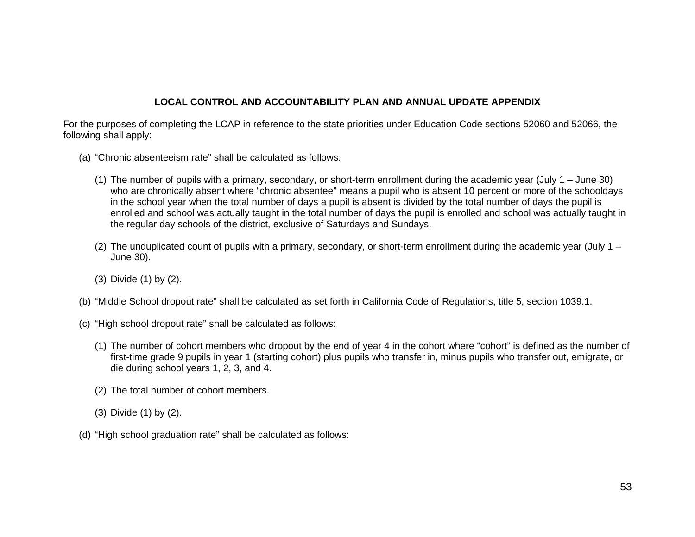# **LOCAL CONTROL AND ACCOUNTABILITY PLAN AND ANNUAL UPDATE APPENDIX**

For the purposes of completing the LCAP in reference to the state priorities under Education Code sections 52060 and 52066, the following shall apply:

- (a) "Chronic absenteeism rate" shall be calculated as follows:
	- (1) The number of pupils with a primary, secondary, or short-term enrollment during the academic year (July 1 June 30) who are chronically absent where "chronic absentee" means a pupil who is absent 10 percent or more of the schooldays in the school year when the total number of days a pupil is absent is divided by the total number of days the pupil is enrolled and school was actually taught in the total number of days the pupil is enrolled and school was actually taught in the regular day schools of the district, exclusive of Saturdays and Sundays.
	- (2) The unduplicated count of pupils with a primary, secondary, or short-term enrollment during the academic year (July  $1 -$ June 30).
	- (3) Divide (1) by (2).
- (b) "Middle School dropout rate" shall be calculated as set forth in California Code of Regulations, title 5, section 1039.1.
- (c) "High school dropout rate" shall be calculated as follows:
	- (1) The number of cohort members who dropout by the end of year 4 in the cohort where "cohort" is defined as the number of first-time grade 9 pupils in year 1 (starting cohort) plus pupils who transfer in, minus pupils who transfer out, emigrate, or die during school years 1, 2, 3, and 4.
	- (2) The total number of cohort members.
	- (3) Divide (1) by (2).
- (d) "High school graduation rate" shall be calculated as follows: